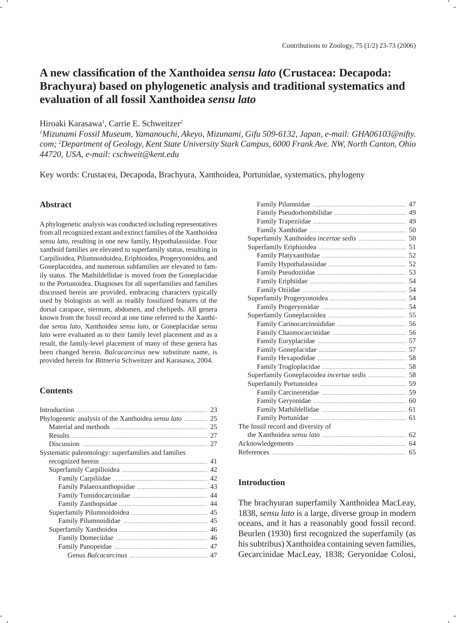# A new classification of the Xanthoidea *sensu lato* (Crustacea: Decapoda: **Brachyura) based on phylogenetic analysis and traditional systematics and evaluation of all fossil Xanthoidea** *sensu lato*

## Hiroaki Karasawa<sup>1</sup>, Carrie E. Schweitzer<sup>2</sup>

*1 Mizunami Fossil Museum, Yamanouchi, Akeyo, Mizunami, Gifu 509-6132, Japan, e-mail: GHA06103@nifty. com; 2 Department of Geology, Kent State University Stark Campus, 6000 Frank Ave. NW, North Canton, Ohio 44720, USA, e-mail: cschweit@kent.edu*

Key words: Crustacea, Decapoda, Brachyura, Xanthoidea, Portunidae, systematics, phylogeny

# **Abstract**

A phylogenetic analysis was conducted including representatives from all recognized extant and extinct families of the Xanthoidea *sensu lato*, resulting in one new family, Hypothalassiidae. Four xanthoid families are elevated to superfamily status, resulting in Carpilioidea, Pilumnoidoidea, Eriphioidea, Progeryonoidea, and Goneplacoidea, and numerous subfamilies are elevated to family status. The Mathildellidae is moved from the Goneplacidae to the Portunoidea. Diagnoses for all superfamilies and families discussed herein are provided, embracing characters typically used by biologists as well as readily fossilized features of the dorsal carapace, sternum, abdomen, and chelipeds. All genera known from the fossil record at one time referred to the Xanthidae *sensu lato*, Xanthoidea *sensu lato*, or Goneplacidae *sensu lato* were evaluated as to their family level placement and as a result, the family-level placement of many of these genera has been changed herein. *Balcacarcinus* new substitute name, is provided herein for *Bittneria* Schweitzer and Karasawa, 2004.

# **Contents**

|                                                     | 23 |
|-----------------------------------------------------|----|
|                                                     |    |
|                                                     |    |
|                                                     | 27 |
|                                                     | 27 |
| Systematic paleontology: superfamilies and families |    |
|                                                     |    |
|                                                     |    |
|                                                     |    |
|                                                     |    |
|                                                     |    |
|                                                     |    |
|                                                     |    |
|                                                     |    |
|                                                     |    |
|                                                     |    |
|                                                     |    |
|                                                     |    |
|                                                     |    |

| The fossil record and diversity of |  |
|------------------------------------|--|
|                                    |  |
|                                    |  |
|                                    |  |
|                                    |  |

# **Introduction**

The brachyuran superfamily Xanthoidea MacLeay, 1838, *sensu lato* is a large, diverse group in modern oceans, and it has a reasonably good fossil record. Beurlen (1930) first recognized the superfamily (as his subtribus) Xanthoidea containing seven families, Gecarcinidae MacLeay, 1838; Geryonidae Colosi,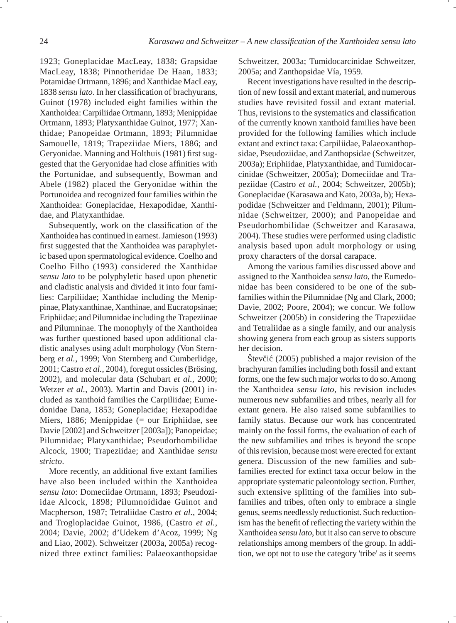1923; Goneplacidae MacLeay, 1838; Grapsidae MacLeay, 1838; Pinnotheridae De Haan, 1833; Potamidae Ortmann, 1896; and Xanthidae MacLeay, 1838 *sensu lato*. In her classification of brachyurans, Guinot (1978) included eight families within the Xanthoidea: Carpiliidae Ortmann, 1893; Menippidae Ortmann, 1893; Platyxanthidae Guinot, 1977; Xanthidae; Panopeidae Ortmann, 1893; Pilumnidae Samouelle, 1819; Trapeziidae Miers, 1886; and Geryonidae. Manning and Holthuis (1981) first suggested that the Geryonidae had close affinities with the Portunidae, and subsequently, Bowman and Abele (1982) placed the Geryonidae within the Portunoidea and recognized four families within the Xanthoidea: Goneplacidae, Hexapodidae, Xanthidae, and Platyxanthidae.

Subsequently, work on the classification of the Xanthoidea has continued in earnest. Jamieson (1993) first suggested that the Xanthoidea was paraphyletic based upon spermatological evidence. Coelho and Coelho Filho (1993) considered the Xanthidae *sensu lato* to be polyphyletic based upon phenetic and cladistic analysis and divided it into four families: Carpiliidae; Xanthidae including the Menippinae, Platyxanthinae, Xanthinae, and Eucratopsinae; Eriphiidae; and Pilumnidae including the Trapeziinae and Pilumninae. The monophyly of the Xanthoidea was further questioned based upon additional cladistic analyses using adult morphology (Von Sternberg *et al.*, 1999; Von Sternberg and Cumberlidge, 2001; Castro *et al.*, 2004), foregut ossicles (Brösing, 2002), and molecular data (Schubart *et al.*, 2000; Wetzer *et al.*, 2003). Martin and Davis (2001) included as xanthoid families the Carpiliidae; Eumedonidae Dana, 1853; Goneplacidae; Hexapodidae Miers, 1886; Menippidae (= our Eriphiidae, see Davie [2002] and Schweitzer [2003a]); Panopeidae; Pilumnidae; Platyxanthidae; Pseudorhombilidae Alcock, 1900; Trapeziidae; and Xanthidae *sensu stricto*.

More recently, an additional five extant families have also been included within the Xanthoidea *sensu lato*: Domeciidae Ortmann, 1893; Pseudoziidae Alcock, 1898; Pilumnoididae Guinot and Macpherson, 1987; Tetraliidae Castro *et al.*, 2004; and Trogloplacidae Guinot, 1986, (Castro *et al.*, 2004; Davie, 2002; d'Udekem d'Acoz, 1999; Ng and Liao, 2002). Schweitzer (2003a, 2005a) recognized three extinct families: Palaeoxanthopsidae Schweitzer, 2003a; Tumidocarcinidae Schweitzer, 2005a; and Zanthopsidae Vía, 1959.

 Recent investigations have resulted in the description of new fossil and extant material, and numerous studies have revisited fossil and extant material. Thus, revisions to the systematics and classification of the currently known xanthoid families have been provided for the following families which include extant and extinct taxa: Carpiliidae, Palaeoxanthopsidae, Pseudoziidae, and Zanthopsidae (Schweitzer, 2003a); Eriphiidae, Platyxanthidae, and Tumidocarcinidae (Schweitzer, 2005a); Domeciidae and Trapeziidae (Castro *et al.*, 2004; Schweitzer, 2005b); Goneplacidae (Karasawa and Kato, 2003a, b); Hexapodidae (Schweitzer and Feldmann, 2001); Pilumnidae (Schweitzer, 2000); and Panopeidae and Pseudorhombilidae (Schweitzer and Karasawa, 2004). These studies were performed using cladistic analysis based upon adult morphology or using proxy characters of the dorsal carapace.

 Among the various families discussed above and assigned to the Xanthoidea *sensu lato*, the Eumedonidae has been considered to be one of the subfamilies within the Pilumnidae (Ng and Clark, 2000; Davie, 2002; Poore, 2004); we concur. We follow Schweitzer (2005b) in considering the Trapeziidae and Tetraliidae as a single family, and our analysis showing genera from each group as sisters supports her decision.

Števčić (2005) published a major revision of the brachyuran families including both fossil and extant forms, one the few such major works to do so. Among the Xanthoidea *sensu lato*, his revision includes numerous new subfamilies and tribes, nearly all for extant genera. He also raised some subfamilies to family status. Because our work has concentrated mainly on the fossil forms, the evaluation of each of the new subfamilies and tribes is beyond the scope of this revision, because most were erected for extant genera. Discussion of the new families and subfamilies erected for extinct taxa occur below in the appropriate systematic paleontology section. Further, such extensive splitting of the families into subfamilies and tribes, often only to embrace a single genus, seems needlessly reductionist. Such reductionism has the benefit of reflecting the variety within the Xanthoidea *sensu lato*, but it also can serve to obscure relationships among members of the group. In addition, we opt not to use the category 'tribe' as it seems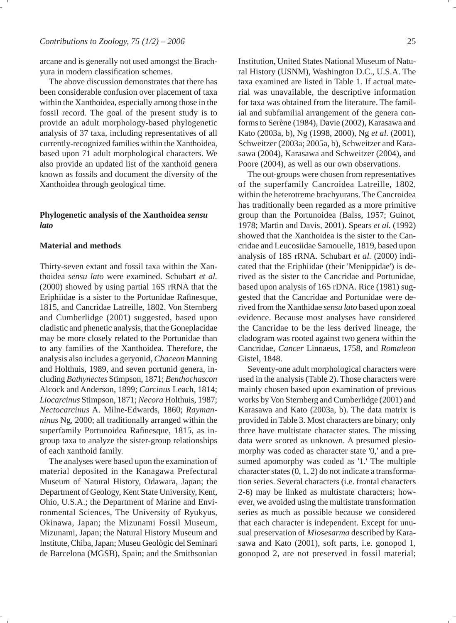arcane and is generally not used amongst the Brachyura in modern classification schemes.

 The above discussion demonstrates that there has been considerable confusion over placement of taxa within the Xanthoidea, especially among those in the fossil record. The goal of the present study is to provide an adult morphology-based phylogenetic analysis of 37 taxa, including representatives of all currently-recognized families within the Xanthoidea, based upon 71 adult morphological characters. We also provide an updated list of the xanthoid genera known as fossils and document the diversity of the Xanthoidea through geological time.

# **Phylogenetic analysis of the Xanthoidea** *sensu lato*

# **Material and methods**

Thirty-seven extant and fossil taxa within the Xanthoidea *sensu lato* were examined. Schubart *et al.* (2000) showed by using partial 16S rRNA that the Eriphiidae is a sister to the Portunidae Rafinesque, 1815, and Cancridae Latreille, 1802. Von Sternberg and Cumberlidge (2001) suggested, based upon cladistic and phenetic analysis, that the Goneplacidae may be more closely related to the Portunidae than to any families of the Xanthoidea. Therefore, the analysis also includes a geryonid, *Chaceon* Manning and Holthuis, 1989, and seven portunid genera, including *Bathynectes* Stimpson, 1871; *Benthochascon*  Alcock and Anderson, 1899; *Carcinus* Leach, 1814; *Liocarcinus* Stimpson, 1871; *Necora* Holthuis, 1987; *Nectocarcinus* A. Milne-Edwards, 1860; *Raymanninus* Ng, 2000; all traditionally arranged within the superfamily Portunoidea Rafinesque, 1815, as ingroup taxa to analyze the sister-group relationships of each xanthoid family.

 The analyses were based upon the examination of material deposited in the Kanagawa Prefectural Museum of Natural History, Odawara, Japan; the Department of Geology, Kent State University, Kent, Ohio, U.S.A.; the Department of Marine and Environmental Sciences, The University of Ryukyus, Okinawa, Japan; the Mizunami Fossil Museum, Mizunami, Japan; the Natural History Museum and Institute, Chiba, Japan; Museu Geològic del Seminari de Barcelona (MGSB), Spain; and the Smithsonian

Institution, United States National Museum of Natural History (USNM), Washington D.C., U.S.A. The taxa examined are listed in Table 1. If actual material was unavailable, the descriptive information for taxa was obtained from the literature. The familial and subfamilial arrangement of the genera conforms to Serène (1984), Davie (2002), Karasawa and Kato (2003a, b), Ng (1998, 2000), Ng *et al.* (2001), Schweitzer (2003a; 2005a, b), Schweitzer and Karasawa (2004), Karasawa and Schweitzer (2004), and Poore (2004), as well as our own observations.

 The out-groups were chosen from representatives of the superfamily Cancroidea Latreille, 1802, within the heterotreme brachyurans. The Cancroidea has traditionally been regarded as a more primitive group than the Portunoidea (Balss, 1957; Guinot, 1978; Martin and Davis, 2001). Spears *et al.* (1992) showed that the Xanthoidea is the sister to the Cancridae and Leucosiidae Samouelle, 1819, based upon analysis of 18S rRNA. Schubart *et al.* (2000) indicated that the Eriphiidae (their 'Menippidae') is derived as the sister to the Cancridae and Portunidae, based upon analysis of 16S rDNA. Rice (1981) suggested that the Cancridae and Portunidae were derived from the Xanthidae *sensu lato* based upon zoeal evidence. Because most analyses have considered the Cancridae to be the less derived lineage, the cladogram was rooted against two genera within the Cancridae, *Cancer* Linnaeus, 1758, and *Romaleon* Gistel, 1848.

 Seventy-one adult morphological characters were used in the analysis (Table 2). Those characters were mainly chosen based upon examination of previous works by Von Sternberg and Cumberlidge (2001) and Karasawa and Kato (2003a, b). The data matrix is provided in Table 3. Most characters are binary; only three have multistate character states. The missing data were scored as unknown. A presumed plesiomorphy was coded as character state '0,' and a presumed apomorphy was coded as '1.' The multiple character states (0, 1, 2) do not indicate a transformation series. Several characters (i.e. frontal characters 2-6) may be linked as multistate characters; however, we avoided using the multistate transformation series as much as possible because we considered that each character is independent. Except for unusual preservation of *Miosesarma* described by Karasawa and Kato (2001), soft parts, i.e. gonopod 1, gonopod 2, are not preserved in fossil material;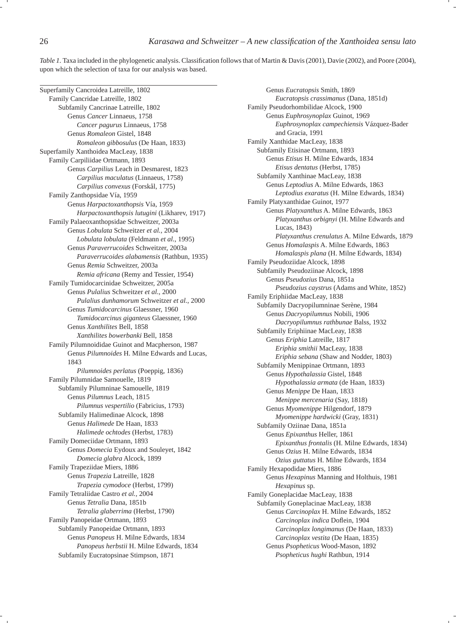Table 1. Taxa included in the phylogenetic analysis. Classification follows that of Martin & Davis (2001), Davie (2002), and Poore (2004), upon which the selection of taxa for our analysis was based.

 Family Cancridae Latreille, 1802 Subfamily Cancrinae Latreille, 1802 Genus *Cancer* Linnaeus, 1758 *Cancer pagurus* Linnaeus, 1758 Genus *Romaleon* Gistel, 1848 *Romaleon gibbosulus* (De Haan, 1833) Superfamily Xanthoidea MacLeay, 1838 Family Carpiliidae Ortmann, 1893 Genus *Carpilius* Leach in Desmarest, 1823 *Carpilius maculatus* (Linnaeus, 1758) *Carpilius convexus* (Forskål, 1775) Family Zanthopsidae Vía, 1959 Genus *Harpactoxanthopsis* Vía, 1959 *Harpactoxanthopsis lutugini* (Likharev, 1917) Family Palaeoxanthopsidae Schweitzer, 2003a Genus *Lobulata* Schweitzer *et al.,* 2004 *Lobulata lobulata* (Feldmann *et al.,* 1995) Genus *Paraverrucoides* Schweitzer, 2003a *Paraverrucoides alabamensis* (Rathbun, 1935) Genus *Remia* Schweitzer, 2003a *Remia africana* (Remy and Tessier, 1954) Family Tumidocarcinidae Schweitzer, 2005a Genus *Pulalius* Schweitzer *et al.,* 2000 *Pulalius dunhamorum* Schweitzer *et al.,* 2000 Genus *Tumidocarcinus* Glaessner, 1960 *Tumidocarcinus giganteus* Glaessner, 1960 Genus *Xanthilites* Bell, 1858 *Xanthilites bowerbanki* Bell, 1858 Family Pilumnoididae Guinot and Macpherson, 1987 Genus *Pilumnoides* H. Milne Edwards and Lucas, 1843 *Pilumnoides perlatus* (Poeppig, 1836) Family Pilumnidae Samouelle, 1819 Subfamily Pilumninae Samouelle, 1819 Genus *Pilumnus* Leach, 1815 *Pilumnus vespertilio* (Fabricius, 1793) Subfamily Halimedinae Alcock, 1898 Genus *Halimede* De Haan, 1833 *Halimede ochtodes* (Herbst, 1783) Family Domeciidae Ortmann, 1893 Genus *Domecia* Eydoux and Souleyet, 1842 *Domecia glabra* Alcock, 1899 Family Trapeziidae Miers, 1886 Genus *Trapezia* Latreille, 1828 *Trapezia cymodoce* (Herbst, 1799) Family Tetraliidae Castro *et al.,* 2004 Genus *Tetralia* Dana, 1851b *Tetralia glaberrima* (Herbst, 1790) Family Panopeidae Ortmann, 1893 Subfamily Panopeidae Ortmann, 1893 Genus *Panopeus* H. Milne Edwards, 1834 *Panopeus herbstii* H. Milne Edwards, 1834 Subfamily Eucratopsinae Stimpson, 1871

 Genus *Eucratopsis* Smith, 1869 *Eucratopsis crassimanus* (Dana, 1851d) Family Pseudorhombilidae Alcock, 1900 Genus *Euphrosynoplax* Guinot, 1969 *Euphrosynoplax campechiensis* Vázquez-Bader and Gracia, 1991 Family Xanthidae MacLeay, 1838 Subfamily Etisinae Ortmann, 1893 Genus *Etisus* H. Milne Edwards, 1834 *Etisus dentatus* (Herbst, 1785) Subfamily Xanthinae MacLeay, 1838 Genus *Leptodius* A. Milne Edwards, 1863 *Leptodius exaratus* (H. Milne Edwards, 1834) Family Platyxanthidae Guinot, 1977 Genus *Platyxanthus* A. Milne Edwards, 1863 *Platyxanthus orbignyi* (H. Milne Edwards and Lucas, 1843) *Platyxanthus crenulatus* A. Milne Edwards, 1879 Genus *Homalaspis* A. Milne Edwards, 1863 *Homalaspis plana* (H. Milne Edwards, 1834) Family Pseudoziidae Alcock, 1898 Subfamily Pseudoziinae Alcock, 1898 Genus *Pseudozius* Dana, 1851a *Pseudozius caystrus* (Adams and White, 1852) Family Eriphiidae MacLeay, 1838 Subfamily Dacryopilumninae Serène, 1984 Genus *Dacryopilumnus* Nobili, 1906 *Dacryopilumnus rathbunae* Balss, 1932 Subfamily Eriphiinae MacLeay, 1838 Genus *Eriphia* Latreille, 1817 *Eriphia smithii* MacLeay, 1838 *Eriphia sebana* (Shaw and Nodder, 1803) Subfamily Menippinae Ortmann, 1893 Genus *Hypothalassia* Gistel, 1848 *Hypothalassia armata* (de Haan, 1833) Genus *Menippe* De Haan, 1833 *Menippe mercenaria* (Say, 1818) Genus *Myomenippe* Hilgendorf, 1879 *Myomenippe hardwicki* (Gray, 1831) Subfamily Oziinae Dana, 1851a Genus *Epixanthus* Heller, 1861 *Epixanthus frontalis* (H. Milne Edwards, 1834) Genus *Ozius* H. Milne Edwards, 1834 *Ozius guttatus* H. Milne Edwards, 1834 Family Hexapodidae Miers, 1886 Genus *Hexapinus* Manning and Holthuis, 1981 *Hexapinus* sp. Family Goneplacidae MacLeay, 1838 Subfamily Goneplacinae MacLeay, 1838 Genus *Carcinoplax* H. Milne Edwards, 1852 *Carcinoplax indica Doflein, 1904 Carcinoplax longimanus* (De Haan, 1833) *Carcinoplax vestita* (De Haan, 1835) Genus *Psopheticus* Wood-Mason, 1892 *Psopheticus hughi* Rathbun, 1914

Superfamily Cancroidea Latreille, 1802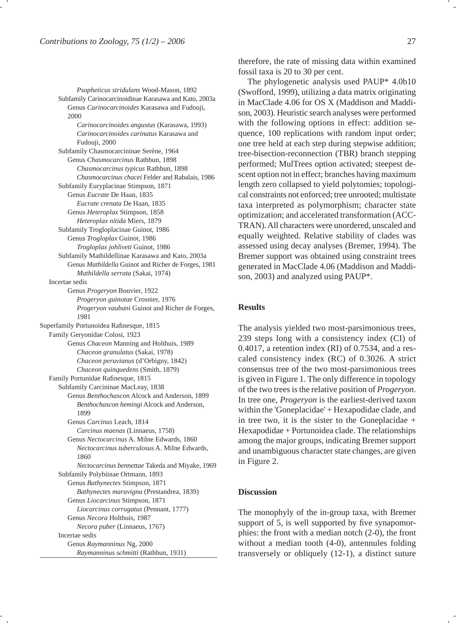*Psopheticus stridulans* Wood-Mason, 1892 Subfamily Carinocarcinoidinae Karasawa and Kato, 2003a Genus *Carinocarcinoides* Karasawa and Fudouji, 2000 *Carinocarcinoides angustus* (Karasawa, 1993) *Carinocarcinoides carinatus* Karasawa and Fudouji, 2000 Subfamily Chasmocarcininae Serène, 1964 Genus *Chasmocarcinus* Rathbun, 1898 *Chasmocarcinus typicus* Rathbun, 1898 *Chasmocarcinus chacei* Felder and Rabalais, 1986 Subfamily Euryplacinae Stimpson, 1871 Genus *Eucrate* De Haan, 1835 *Eucrate crenata* De Haan, 1835 Genus *Heteroplax* Stimpson, 1858 *Heteroplax nitida* Miers, 1879 Subfamily Trogloplacinae Guinot, 1986 Genus *Trogloplax* Guinot, 1986 *Trogloplax johliveti* Guinot, 1986 Subfamily Mathildellinae Karasawa and Kato, 2003a Genus *Mathildella* Guinot and Richer de Forges, 1981 *Mathildella serrata* (Sakai, 1974) Incertae sedis Genus *Progeryon* Bouvier, 1922 *Progeryon guinotae* Crosnier, 1976 *Progeryon vaubani* Guinot and Richer de Forges, 1981 Superfamily Portunoidea Rafinesque, 1815 Family Geryonidae Colosi, 1923 Genus *Chaceon* Manning and Holthuis, 1989 *Chaceon granulatus* (Sakai, 1978) *Chaceon peruvianus* (d'Orbigny, 1842) *Chaceon quinquedens* (Smith, 1879) Family Portunidae Rafinesque, 1815 Subfamily Carcininae MacLeay, 1838 Genus *Benthochascon* Alcock and Anderson, 1899 *Benthochascon hemingi* Alcock and Anderson, 1899 Genus *Carcinus* Leach, 1814 *Carcinus maenas* (Linnaeus, 1758) Genus *Nectocarcinus* A. Milne Edwards, 1860 *Nectocarcinus tuberculosus* A. Milne Edwards, 1860 *Nectocarcinus bennettae* Takeda and Miyake, 1969 Subfamily Polybiinae Ortmann, 1893 Genus *Bathynectes* Stimpson, 1871 *Bathynectes maravigna* (Prestandrea, 1839) Genus *Liocarcinus* Stimpson, 1871 *Liocarcinus corrugatus* (Pennant, 1777) Genus *Necora* Holthuis, 1987 *Necora puber* (Linnaeus, 1767) Incertae sedis Genus *Raymanninus* Ng, 2000 *Raymanninus schmitti* (Rathbun, 1931)

therefore, the rate of missing data within examined fossil taxa is 20 to 30 per cent.

 The phylogenetic analysis used PAUP\* 4.0b10 (Swofford, 1999), utilizing a data matrix originating in MacClade 4.06 for OS X (Maddison and Maddison, 2003). Heuristic search analyses were performed with the following options in effect: addition sequence, 100 replications with random input order; one tree held at each step during stepwise addition; tree-bisection-reconnection (TBR) branch stepping performed; MulTrees option activated; steepest descent option not in effect; branches having maximum length zero collapsed to yield polytomies; topological constraints not enforced; tree unrooted; multistate taxa interpreted as polymorphism; character state optimization; and accelerated transformation (ACC-TRAN). All characters were unordered, unscaled and equally weighted. Relative stability of clades was assessed using decay analyses (Bremer, 1994). The Bremer support was obtained using constraint trees generated in MacClade 4.06 (Maddison and Maddison, 2003) and analyzed using PAUP\*.

# **Results**

The analysis yielded two most-parsimonious trees, 239 steps long with a consistency index (CI) of 0.4017, a retention index (RI) of 0.7534, and a rescaled consistency index (RC) of 0.3026. A strict consensus tree of the two most-parsimonious trees is given in Figure 1. The only difference in topology of the two trees is the relative position of *Progeryon*. In tree one, *Progeryon* is the earliest-derived taxon within the 'Goneplacidae' + Hexapodidae clade, and in tree two, it is the sister to the Goneplacidae  $+$  $Hexapodidae + Portunoidea clade.$  The relationships among the major groups, indicating Bremer support and unambiguous character state changes, are given in Figure 2.

# **Discussion**

The monophyly of the in-group taxa, with Bremer support of 5, is well supported by five synapomorphies: the front with a median notch (2-0), the front without a median tooth (4-0), antennules folding transversely or obliquely (12-1), a distinct suture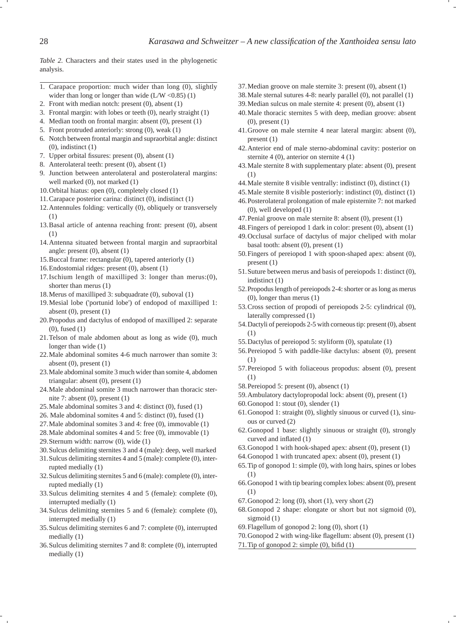*Table 2.* Characters and their states used in the phylogenetic analysis.

- 1. Carapace proportion: much wider than long (0), slightly wider than long or longer than wide  $(L/W < 0.85)$  (1)
- 2. Front with median notch: present (0), absent (1)
- 3. Frontal margin: with lobes or teeth (0), nearly straight (1)
- 4. Median tooth on frontal margin: absent (0), present (1)
- 5. Front protruded anteriorly: strong (0), weak (1)
- 6. Notch between frontal margin and supraorbital angle: distinct  $(0)$ , indistinct  $(1)$
- 7. Upper orbital fissures: present  $(0)$ , absent  $(1)$
- 8. Anterolateral teeth: present (0), absent (1)
- 9. Junction between anterolateral and posterolateral margins: well marked (0), not marked (1)
- 10. Orbital hiatus: open (0), completely closed (1)
- 11. Carapace posterior carina: distinct (0), indistinct (1)
- 12. Antennules folding: vertically (0), obliquely or transversely (1)
- 13. Basal article of antenna reaching front: present (0), absent (1)
- 14. Antenna situated between frontal margin and supraorbital angle: present (0), absent (1)
- 15. Buccal frame: rectangular (0), tapered anteriorly (1)
- 16. Endostomial ridges: present (0), absent (1)
- 17. Ischium length of maxilliped 3: longer than merus:(0), shorter than merus (1)
- 18. Merus of maxilliped 3: subquadrate (0), suboval (1)
- 19. Mesial lobe ('portunid lobe') of endopod of maxilliped 1: absent  $(0)$ , present  $(1)$
- 20. Propodus and dactylus of endopod of maxilliped 2: separate (0), fused (1)
- 21. Telson of male abdomen about as long as wide (0), much longer than wide (1)
- 22. Male abdominal somites 4-6 much narrower than somite 3: absent  $(0)$ , present  $(1)$
- 23. Male abdominal somite 3 much wider than somite 4, abdomen triangular: absent (0), present (1)
- 24. Male abdominal somite 3 much narrower than thoracic sternite 7: absent (0), present (1)
- 25. Male abdominal somites 3 and 4: distinct (0), fused (1)
- 26. Male abdominal somites 4 and 5: distinct (0), fused (1)
- 27. Male abdominal somites 3 and 4: free (0), immovable (1)
- 28. Male abdominal somites 4 and 5: free (0), immovable (1)
- 29. Sternum width: narrow (0), wide (1)
- 30. Sulcus delimiting sternites 3 and 4 (male): deep, well marked
- 31. Sulcus delimiting sternites 4 and 5 (male): complete (0), interrupted medially (1)
- 32. Sulcus delimiting sternites 5 and 6 (male): complete (0), interrupted medially (1)
- 33. Sulcus delimiting sternites 4 and 5 (female): complete (0), interrupted medially (1)
- 34. Sulcus delimiting sternites 5 and 6 (female): complete (0), interrupted medially (1)
- 35. Sulcus delimiting sternites 6 and 7: complete (0), interrupted medially (1)
- 36. Sulcus delimiting sternites 7 and 8: complete (0), interrupted medially (1)
- 37. Median groove on male sternite 3: present (0), absent (1)
- 38. Male sternal sutures 4-8: nearly parallel (0), not parallel (1)
- 39. Median sulcus on male sternite 4: present (0), absent (1)
- 40. Male thoracic sternites 5 with deep, median groove: absent (0), present (1)
- 41. Groove on male sternite 4 near lateral margin: absent (0), present (1)
- 42. Anterior end of male sterno-abdominal cavity: posterior on sternite 4 (0), anterior on sternite 4 (1)
- 43. Male sternite 8 with supplementary plate: absent (0), present (1)
- 44. Male sternite 8 visible ventrally: indistinct (0), distinct (1)
- 45. Male sternite 8 visible posteriorly: indistinct (0), distinct (1)
- 46. Posterolateral prolongation of male episternite 7: not marked (0), well developed (1)
- 47. Penial groove on male sternite 8: absent (0), present (1)
- 48. Fingers of pereiopod 1 dark in color: present (0), absent (1)
- 49. Occlusal surface of dactylus of major cheliped with molar basal tooth: absent (0), present (1)
- 50. Fingers of pereiopod 1 with spoon-shaped apex: absent (0), present (1)
- 51. Suture between merus and basis of pereiopods 1: distinct (0), indistinct (1)
- 52. Propodus length of pereiopods 2-4: shorter or as long as merus (0), longer than merus (1)
- 53. Cross section of propodi of pereiopods 2-5: cylindrical (0), laterally compressed (1)
- 54. Dactyli of pereiopods 2-5 with corneous tip: present (0), absent (1)
- 55. Dactylus of pereiopod 5: styliform (0), spatulate (1)
- 56. Pereiopod 5 with paddle-like dactylus: absent (0), present (1)
- 57. Pereiopod 5 with foliaceous propodus: absent (0), present (1)
- 58. Pereiopod 5: present (0), absenct (1)
- 59. Ambulatory dactylopropodal lock: absent (0), present (1)
- 60. Gonopod 1: stout (0), slender (1)
- 61. Gonopod 1: straight (0), slightly sinuous or curved (1), sinuous or curved (2)
- 62. Gonopod 1 base: slightly sinuous or straight (0), strongly curved and inflated (1)
- 63. Gonopod 1 with hook-shaped apex: absent (0), present (1)
- 64. Gonopod 1 with truncated apex: absent (0), present (1)
- 65. Tip of gonopod 1: simple (0), with long hairs, spines or lobes (1)
- 66. Gonopod 1 with tip bearing complex lobes: absent (0), present (1)
- 67. Gonopod 2: long (0), short (1), very short (2)
- 68. Gonopod 2 shape: elongate or short but not sigmoid (0), sigmoid (1)
- 69. Flagellum of gonopod 2: long (0), short (1)
- 70. Gonopod 2 with wing-like flagellum: absent (0), present (1)
- 71. Tip of gonopod 2: simple  $(0)$ , bifid  $(1)$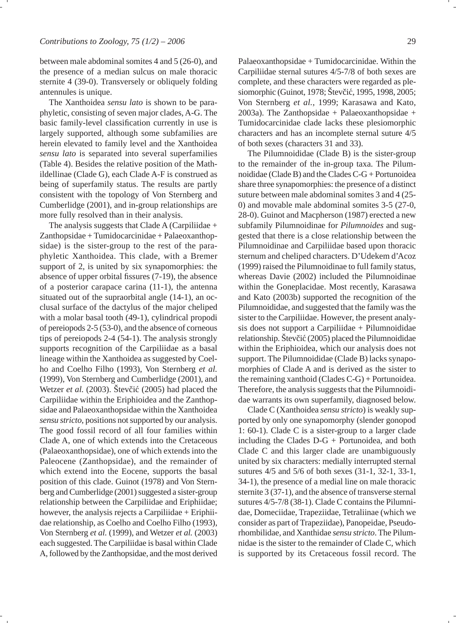between male abdominal somites 4 and 5 (26-0), and the presence of a median sulcus on male thoracic sternite 4 (39-0). Transversely or obliquely folding antennules is unique.

 The Xanthoidea *sensu lato* is shown to be paraphyletic, consisting of seven major clades, A-G. The basic family-level classification currently in use is largely supported, although some subfamilies are herein elevated to family level and the Xanthoidea *sensu lato* is separated into several superfamilies (Table 4). Besides the relative position of the Mathildellinae (Clade G), each Clade A-F is construed as being of superfamily status. The results are partly consistent with the topology of Von Sternberg and Cumberlidge (2001), and in-group relationships are more fully resolved than in their analysis.

 The analysis suggests that Clade A (Carpiliidae + Zanthopsidae + Tumidocarcinidae + Palaeoxanthopsidae) is the sister-group to the rest of the paraphyletic Xanthoidea. This clade, with a Bremer support of 2, is united by six synapomorphies: the absence of upper orbital fissures  $(7-19)$ , the absence of a posterior carapace carina (11-1), the antenna situated out of the supraorbital angle (14-1), an occlusal surface of the dactylus of the major cheliped with a molar basal tooth (49-1), cylindrical propodi of pereiopods 2-5 (53-0), and the absence of corneous tips of pereiopods 2-4 (54-1). The analysis strongly supports recognition of the Carpiliidae as a basal lineage within the Xanthoidea as suggested by Coelho and Coelho Filho (1993), Von Sternberg *et al.* (1999), Von Sternberg and Cumberlidge (2001), and Wetzer *et al.* (2003). Števčić (2005) had placed the Carpiliidae within the Eriphioidea and the Zanthopsidae and Palaeoxanthopsidae within the Xanthoidea *sensu stricto*, positions not supported by our analysis. The good fossil record of all four families within Clade A, one of which extends into the Cretaceous (Palaeoxanthopsidae), one of which extends into the Paleocene (Zanthopsidae), and the remainder of which extend into the Eocene, supports the basal position of this clade. Guinot (1978) and Von Sternberg and Cumberlidge (2001) suggested a sister-group relationship between the Carpiliidae and Eriphiidae; however, the analysis rejects a Carpiliidae + Eriphiidae relationship, as Coelho and Coelho Filho (1993), Von Sternberg *et al.* (1999), and Wetzer *et al.* (2003) each suggested. The Carpiliidae is basal within Clade A, followed by the Zanthopsidae, and the most derived Palaeoxanthopsidae + Tumidocarcinidae. Within the Carpiliidae sternal sutures 4/5-7/8 of both sexes are complete, and these characters were regarded as plesiomorphic (Guinot, 1978; Števčić, 1995, 1998, 2005; Von Sternberg *et al.*, 1999; Karasawa and Kato, 2003a). The Zanthopsidae + Palaeoxanthopsidae + Tumidocarcinidae clade lacks these plesiomorphic characters and has an incomplete sternal suture 4/5 of both sexes (characters 31 and 33).

 The Pilumnoididae (Clade B) is the sister-group to the remainder of the in-group taxa. The Pilumnoididae (Clade B) and the Clades C-G + Portunoidea share three synapomorphies: the presence of a distinct suture between male abdominal somites 3 and 4 (25- 0) and movable male abdominal somites 3-5 (27-0, 28-0). Guinot and Macpherson (1987) erected a new subfamily Pilumnoidinae for *Pilumnoides* and suggested that there is a close relationship between the Pilumnoidinae and Carpiliidae based upon thoracic sternum and cheliped characters. D'Udekem d'Acoz (1999) raised the Pilumnoidinae to full family status, whereas Davie (2002) included the Pilumnoidinae within the Goneplacidae. Most recently, Karasawa and Kato (2003b) supported the recognition of the Pilumnoididae, and suggested that the family was the sister to the Carpiliidae. However, the present analysis does not support a Carpiliidae + Pilumnoididae relationship. Števčić (2005) placed the Pilumnoididae within the Eriphioidea, which our analysis does not support. The Pilumnoididae (Clade B) lacks synapomorphies of Clade A and is derived as the sister to the remaining xanthoid (Clades C-G) + Portunoidea. Therefore, the analysis suggests that the Pilumnoididae warrants its own superfamily, diagnosed below.

 Clade C (Xanthoidea *sensu stricto*) is weakly supported by only one synapomorphy (slender gonopod 1: 60-1). Clade C is a sister-group to a larger clade including the Clades D-G + Portunoidea, and both Clade C and this larger clade are unambiguously united by six characters: medially interrupted sternal sutures 4/5 and 5/6 of both sexes (31-1, 32-1, 33-1, 34-1), the presence of a medial line on male thoracic sternite 3 (37-1), and the absence of transverse sternal sutures 4/5-7/8 (38-1). Clade C contains the Pilumnidae, Domeciidae, Trapeziidae, Tetraliinae (which we consider as part of Trapeziidae), Panopeidae, Pseudorhombilidae, and Xanthidae *sensu stricto*. The Pilumnidae is the sister to the remainder of Clade C, which is supported by its Cretaceous fossil record. The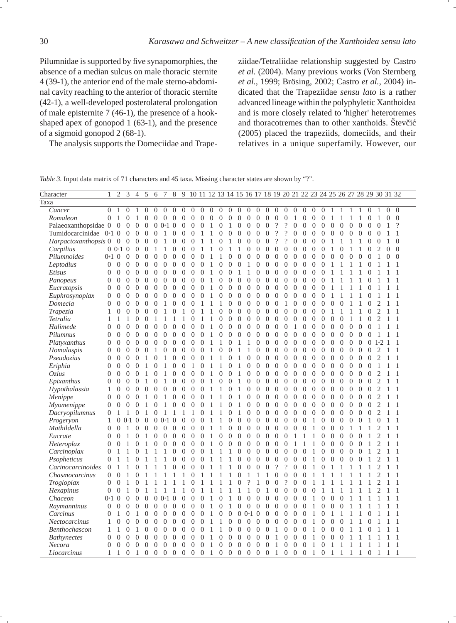Pilumnidae is supported by five synapomorphies, the absence of a median sulcus on male thoracic sternite 4 (39-1), the anterior end of the male sterno-abdominal cavity reaching to the anterior of thoracic sternite (42-1), a well-developed posterolateral prolongation of male episternite  $7(46-1)$ , the presence of a hookshaped apex of gonopod 1 (63-1), and the presence of a sigmoid gonopod 2 (68-1).

The analysis supports the Domeciidae and Trape-

ziidae/Tetraliidae relationship suggested by Castro *et al.* (2004). Many previous works (Von Sternberg *et al.*, 1999; Brösing, 2002; Castro *et al.*, 2004) indicated that the Trapeziidae *sensu lato* is a rather advanced lineage within the polyphyletic Xanthoidea and is more closely related to 'higher' heterotremes and thoracotremes than to other xanthoids. Števčić (2005) placed the trapeziids, domeciids, and their relatives in a unique superfamily. However, our

*Table 3.* Input data matrix of 71 characters and 45 taxa. Missing character states are shown by "?".

| Character              | 1                | $\overline{2}$   | $\overline{3}$   | $\overline{4}$   | 5                | 6                | 7                | 8                | 9                |                  |                  |                |                  |                  |                  |                  |                  |                  |                          |                          |                  | 10 11 12 13 14 15 16 17 18 19 20 21 22 23 24 25 26 27 28 29 30 31 32 |                  |                  |                  |                  |                  |                  |                  |                  |          |                |  |
|------------------------|------------------|------------------|------------------|------------------|------------------|------------------|------------------|------------------|------------------|------------------|------------------|----------------|------------------|------------------|------------------|------------------|------------------|------------------|--------------------------|--------------------------|------------------|----------------------------------------------------------------------|------------------|------------------|------------------|------------------|------------------|------------------|------------------|------------------|----------|----------------|--|
| Taxa                   |                  |                  |                  |                  |                  |                  |                  |                  |                  |                  |                  |                |                  |                  |                  |                  |                  |                  |                          |                          |                  |                                                                      |                  |                  |                  |                  |                  |                  |                  |                  |          |                |  |
| Cancer                 | $\overline{0}$   | 1                | $\mathbf{0}$     | 1                | $\boldsymbol{0}$ | $\overline{0}$   | $\theta$         | $\theta$         | $\overline{0}$   | $\theta$         | $\theta$         | $\theta$       | $\mathbf{0}$     | $\overline{0}$   | $\overline{0}$   | $\boldsymbol{0}$ | $\theta$         | $\mathbf{0}$     | $\overline{0}$           | $\mathbf{0}$             | $\overline{0}$   | $\overline{0}$                                                       | $\overline{0}$   | $\theta$         | 1                | 1                | 1                | 1                | $\overline{0}$   | 1                | $\Omega$ | $\Omega$       |  |
| Romaleon               | $\Omega$         | $\mathbf{1}$     | $\overline{0}$   | $\mathbf{1}$     | $\overline{0}$   | $\overline{0}$   | $\theta$         | $\theta$         | $\overline{0}$   | $\overline{0}$   | $\theta$         | $\overline{0}$ | $\overline{0}$   | $\overline{0}$   | $\overline{0}$   | $\overline{0}$   | $\overline{0}$   | $\overline{0}$   | $\mathbf{0}$             | $\overline{0}$           | $\mathbf{1}$     | $\mathbf{0}$                                                         | $\overline{0}$   | $\theta$         | 1                | 1                | $\mathbf{1}$     | $\mathbf{1}$     | $\theta$         | 1                | $\theta$ | $\Omega$       |  |
| Palaeoxanthopsidae 0   |                  | $\theta$         | $\overline{0}$   | $\overline{0}$   | $\overline{0}$   | $\theta$         | $0+1$            | $\overline{0}$   | $\overline{0}$   | $\overline{0}$   | $\theta$         | 1              | $\mathbf{0}$     | 1                | $\overline{0}$   | $\overline{0}$   | $\overline{0}$   | $\overline{0}$   | $\overline{\cdot}$       | $\overline{\mathcal{L}}$ | $\overline{0}$   | $\overline{0}$                                                       | $\overline{0}$   | $\overline{0}$   | $\overline{0}$   | $\overline{0}$   | $\overline{0}$   | $\overline{0}$   | $\theta$         | $\overline{0}$   |          | $\gamma$       |  |
| Tumidocarcinidae 0+1 0 |                  |                  | $\overline{0}$   | $\overline{0}$   | $\boldsymbol{0}$ | $\mathbf{0}$     | 1                | $\boldsymbol{0}$ | $\mathbf{0}$     | $\overline{0}$   |                  | $\mathbf{1}$   | $\mathbf{0}$     | $\boldsymbol{0}$ | $\mathbf{0}$     | $\mathbf{0}$     | $\overline{0}$   | $\overline{0}$   | $\overline{\mathcal{L}}$ | $\overline{\mathcal{L}}$ | $\overline{0}$   | $\boldsymbol{0}$                                                     | $\overline{0}$   | $\overline{0}$   | $\mathbf{0}$     | $\boldsymbol{0}$ | $\boldsymbol{0}$ | 0                | $\theta$         | $\theta$         |          | 1              |  |
| Harpactoxanthopsis 0   |                  | $\overline{0}$   | $\mathbf{0}$     | $\overline{0}$   | $\mathbf{0}$     | $\mathbf{0}$     | 1                | $\overline{0}$   | $\overline{0}$   | $\overline{0}$   | 1                | $\mathbf{1}$   | $\mathbf{0}$     | 1                | $\mathbf{0}$     | $\overline{0}$   | $\boldsymbol{0}$ | $\overline{0}$   | $\overline{\mathcal{L}}$ | $\overline{\mathcal{L}}$ | $\overline{0}$   | $\mathbf{0}$                                                         | $\overline{0}$   | $\theta$         |                  | 1                | 1                |                  | $\theta$         | $\boldsymbol{0}$ | 1        | $\overline{0}$ |  |
| Carpilius              |                  | $0 0+1 0$        |                  | $\theta$         | $\overline{0}$   | 1                | 1                | $\theta$         | $\theta$         | $\overline{0}$   |                  | 1              | $\overline{0}$   | 1                | 1                | $\overline{0}$   | $\overline{0}$   | $\theta$         | $\overline{0}$           | $\overline{0}$           | $\overline{0}$   | $\overline{0}$                                                       | $\overline{0}$   | $\theta$         | 1                | $\overline{0}$   | 1                |                  | $\overline{0}$   | 2                | 0        | $\Omega$       |  |
| Pilumnoides            | $0+1$            | $\overline{0}$   | $\overline{0}$   | 0                | $\theta$         | $\overline{0}$   | $\theta$         | $\overline{0}$   | $\overline{0}$   | $\theta$         | $\theta$         | $\mathbf{1}$   | 1                | 0                | $\overline{0}$   | $\overline{0}$   | $\theta$         | $\Omega$         | $\overline{0}$           | $\overline{0}$           | $\overline{0}$   | $\theta$                                                             | $\overline{0}$   | $\theta$         | $\theta$         | $\overline{0}$   | $\overline{0}$   | 0                | $\Omega$         | 1                | 0        | $\Omega$       |  |
| Leptodius              | $\overline{0}$   | $\overline{0}$   | $\overline{0}$   | $\overline{0}$   | $\mathbf{0}$     | $\overline{0}$   | $\overline{0}$   | $\theta$         | $\theta$         | $\overline{0}$   | $\overline{0}$   | $\mathbf{1}$   | $\overline{0}$   | $\overline{0}$   | $\mathbf{0}$     | 1                | $\theta$         | $\theta$         | $\mathbf{0}$             | $\overline{0}$           | $\overline{0}$   | $\boldsymbol{0}$                                                     | $\overline{0}$   | $\theta$         | $\mathbf{1}$     | 1                | 1                | 1                | $\theta$         | 1                |          | 1              |  |
| Etisus                 | $\theta$         | $\overline{0}$   | $\overline{0}$   | $\Omega$         | $\overline{0}$   | $\overline{0}$   | $\overline{0}$   | $\theta$         | $\overline{0}$   | $\overline{0}$   | $\overline{0}$   | 1              | $\overline{0}$   | $\overline{0}$   | $\mathbf{1}$     | 1                | $\overline{0}$   | $\overline{0}$   | $\overline{0}$           | $\overline{0}$           | $\overline{0}$   | $\overline{0}$                                                       | $\overline{0}$   | $\theta$         |                  |                  |                  |                  | $\theta$         |                  |          | $\mathbf{1}$   |  |
| Panopeus               | $\theta$         | $\boldsymbol{0}$ | $\overline{0}$   | $\overline{0}$   | $\mathbf{0}$     | $\mathbf{0}$     | $\mathbf{0}$     | $\mathbf{0}$     | $\mathbf{0}$     | $\overline{0}$   | $\overline{0}$   | $\mathbf{1}$   | $\mathbf{0}$     | $\boldsymbol{0}$ | $\mathbf{0}$     | $\mathbf{0}$     | $\boldsymbol{0}$ | $\theta$         | $\mathbf{0}$             | $\mathbf{0}$             | $\boldsymbol{0}$ | $\mathbf{0}$                                                         | $\mathbf{0}$     | $\mathbf{0}$     |                  | 1                | 1                |                  | $\mathbf{0}$     |                  |          | 1              |  |
| Eucratopsis            | $\theta$         | $\mathbf{0}$     | $\overline{0}$   | $\overline{0}$   | $\mathbf{0}$     | $\mathbf{0}$     | $\mathbf{0}$     | $\mathbf{0}$     | $\mathbf{0}$     | $\mathbf{0}$     | $\overline{0}$   | 1              | $\overline{0}$   | $\boldsymbol{0}$ | $\mathbf{0}$     | $\mathbf{0}$     | $\boldsymbol{0}$ | $\mathbf{0}$     | $\mathbf{0}$             | $\mathbf{0}$             | $\boldsymbol{0}$ | $\boldsymbol{0}$                                                     | $\mathbf{0}$     | $\mathbf{0}$     |                  | 1                |                  |                  | $\boldsymbol{0}$ |                  |          | 1              |  |
| Euphrosynoplax         | $\overline{0}$   | $\overline{0}$   | $\overline{0}$   | $\Omega$         | $\theta$         | $\overline{0}$   | $\theta$         | $\theta$         | $\theta$         | $\theta$         | $\Omega$         | $\mathbf{1}$   | $\overline{0}$   | $\overline{0}$   | $\theta$         | $\theta$         | $\overline{0}$   | $\theta$         | $\overline{0}$           | $\mathbf{0}$             | $\overline{0}$   | $\overline{0}$                                                       | $\overline{0}$   | $\theta$         | 1                | 1                | 1                |                  | $\overline{0}$   |                  |          | $\mathbf{1}$   |  |
| Domecia                | $\overline{0}$   | $\mathbf{0}$     | $\overline{0}$   | $\overline{0}$   | $\mathbf{0}$     | $\overline{0}$   | 1                | $\theta$         | $\mathbf{0}$     | $\theta$         | 1                | 1              | 1                | $\overline{0}$   | $\mathbf{0}$     | $\theta$         | $\overline{0}$   | $\overline{0}$   | $\theta$                 | 1                        | $\theta$         | $\boldsymbol{0}$                                                     | $\overline{0}$   | $\overline{0}$   | $\boldsymbol{0}$ | $\mathbf{0}$     | 1                |                  | $\overline{0}$   | 2                |          | 1              |  |
| Trapezia               | 1                | $\overline{0}$   | $\overline{0}$   | $\theta$         | $\theta$         | $\overline{0}$   | 1                | $\theta$         | 1                | $\theta$         |                  | $\mathbf{1}$   | $\overline{0}$   | $\overline{0}$   | $\overline{0}$   | $\overline{0}$   | $\theta$         | $\overline{0}$   | $\boldsymbol{0}$         | $\overline{0}$           | $\theta$         | $\overline{0}$                                                       | $\overline{0}$   | $\overline{0}$   | $\mathbf{1}$     | 1                | $\mathbf{1}$     |                  | $\theta$         | 2                |          | 1              |  |
| Tetralia               | 1                | 1                | 1                | $\theta$         | $\mathbf{0}$     | 1                | 1                | 1                | 1                | $\overline{0}$   |                  | 1              | $\mathbf{0}$     | $\boldsymbol{0}$ | $\mathbf{0}$     | $\overline{0}$   | $\overline{0}$   | $\overline{0}$   | $\theta$                 | $\mathbf{0}$             | $\boldsymbol{0}$ | $\mathbf{0}$                                                         | $\overline{0}$   | $\overline{0}$   | $\overline{0}$   | $\mathbf{0}$     | 1                |                  | $\boldsymbol{0}$ | $\overline{2}$   |          | 1              |  |
| Halimede               | $\overline{0}$   | $\boldsymbol{0}$ | $\mathbf{0}$     | $\overline{0}$   | $\overline{0}$   | $\overline{0}$   | $\theta$         | $\mathbf{0}$     | $\mathbf{0}$     | $\overline{0}$   | $\overline{0}$   | 1              | $\mathbf{0}$     | $\boldsymbol{0}$ | $\mathbf{0}$     | $\mathbf{0}$     | $\boldsymbol{0}$ | $\theta$         | $\boldsymbol{0}$         | $\mathbf{0}$             | 1                | $\boldsymbol{0}$                                                     | $\mathbf{0}$     | $\overline{0}$   | $\mathbf{0}$     | $\boldsymbol{0}$ | $\mathbf{0}$     | $\overline{0}$   | $\mathbf{0}$     |                  |          | 1              |  |
| Pilumnus               | $\theta$         | $\boldsymbol{0}$ | $\overline{0}$   | $\overline{0}$   | $\mathbf{0}$     | $\mathbf{0}$     | $\boldsymbol{0}$ | $\theta$         | $\mathbf{0}$     | $\overline{0}$   | $\overline{0}$   | 1              | $\mathbf{0}$     | $\boldsymbol{0}$ | $\mathbf{0}$     | $\mathbf{0}$     | $\overline{0}$   | $\overline{0}$   | $\theta$                 | $\mathbf{0}$             | $\theta$         | $\boldsymbol{0}$                                                     | $\overline{0}$   | $\mathbf{0}$     | $\mathbf{0}$     | $\mathbf{0}$     | $\mathbf{0}$     | $\overline{0}$   | $\mathbf{0}$     |                  |          | 1              |  |
| Platyxanthus           | $\overline{0}$   | $\mathbf{0}$     | $\overline{0}$   | $\theta$         | $\theta$         | $\overline{0}$   | $\theta$         | $\theta$         | $\theta$         | $\overline{0}$   | $\overline{0}$   | 1              | 1                | $\overline{0}$   | 1                | 1                | $\theta$         | $\mathbf{0}$     | $\theta$                 | $\mathbf{0}$             | $\overline{0}$   | $\overline{0}$                                                       | $\overline{0}$   | $\overline{0}$   | $\theta$         | $\boldsymbol{0}$ | $\boldsymbol{0}$ | $\theta$         | $\theta$         | $1+2$            |          | 1              |  |
| Homalaspis             | $\overline{0}$   | $\overline{0}$   | $\overline{0}$   | $\theta$         | $\theta$         | 1                | 0                | $\theta$         | $\overline{0}$   | $\theta$         | $\overline{0}$   | $\mathbf{1}$   | $\overline{0}$   | 0                | 1                | 1                | $\theta$         | $\theta$         | $\theta$                 | $\overline{0}$           | $\overline{0}$   | $\overline{0}$                                                       | $\overline{0}$   | $\overline{0}$   | $\theta$         | $\overline{0}$   | $\theta$         | $\theta$         | $\overline{0}$   | 2                |          | 1              |  |
| Pseudozius             | $\overline{0}$   | $\boldsymbol{0}$ | $\overline{0}$   | $\overline{0}$   | 1                | $\overline{0}$   | 1                | $\mathbf{0}$     | $\overline{0}$   | $\overline{0}$   | $\theta$         | 1              | 1                | $\overline{0}$   | $\mathbf{1}$     | $\overline{0}$   | $\overline{0}$   | $\overline{0}$   | $\theta$                 | $\mathbf{0}$             | $\boldsymbol{0}$ | $\boldsymbol{0}$                                                     | $\overline{0}$   | $\overline{0}$   | $\mathbf{0}$     | $\boldsymbol{0}$ | $\mathbf{0}$     | $\overline{0}$   | $\mathbf{0}$     | $\overline{2}$   |          | 1              |  |
| Eriphia                | $\theta$         | $\boldsymbol{0}$ | $\overline{0}$   | $\Omega$         | 1                | $\overline{0}$   | 1                | $\overline{0}$   | $\overline{0}$   | 1                | 0                |                | 1                | 0                | 1                | $\overline{0}$   | $\overline{0}$   | $\overline{0}$   | $\theta$                 | $\mathbf{0}$             | $\overline{0}$   | $\mathbf{0}$                                                         | $\theta$         | $\overline{0}$   | $\overline{0}$   | $\overline{0}$   | $\theta$         | $\overline{0}$   | $\theta$         |                  |          | 1              |  |
| Ozius                  | $\overline{0}$   | $\boldsymbol{0}$ | $\overline{0}$   | $\overline{0}$   | $\mathbf{1}$     | $\boldsymbol{0}$ | 1                | $\mathbf{0}$     | $\mathbf{0}$     | $\overline{0}$   | 0                |                | $\overline{0}$   | $\boldsymbol{0}$ | $\mathbf{1}$     | 0                | $\boldsymbol{0}$ | $\mathbf{0}$     | $\theta$                 | $\mathbf{0}$             | $\boldsymbol{0}$ | $\mathbf{0}$                                                         | $\mathbf{0}$     | $\boldsymbol{0}$ | $\mathbf{0}$     | $\mathbf{0}$     | $\mathbf{0}$     | $\overline{0}$   | $\theta$         | $\overline{2}$   |          | $\mathbf{1}$   |  |
| Epixanthus             | $\mathbf{0}$     | $\boldsymbol{0}$ | $\overline{0}$   | $\theta$         | 1                | $\overline{0}$   | 1                | $\theta$         | $\theta$         | $\overline{0}$   | $\overline{0}$   | 1              | $\boldsymbol{0}$ | $\overline{0}$   | 1                | $\mathbf{0}$     | $\boldsymbol{0}$ | $\mathbf{0}$     | $\theta$                 | $\mathbf{0}$             | $\overline{0}$   | $\mathbf{0}$                                                         | $\overline{0}$   | $\overline{0}$   | $\mathbf{0}$     | $\boldsymbol{0}$ | $\mathbf{0}$     | $\overline{0}$   | $\theta$         | 2                |          | 1              |  |
| Hypothalassia          | 1                | $\boldsymbol{0}$ | $\overline{0}$   | $\theta$         | $\overline{0}$   | $\overline{0}$   | $\theta$         | $\theta$         | $\overline{0}$   | $\theta$         | 0                | 1              | 1                | 0                | 1                | $\overline{0}$   | $\theta$         | $\theta$         | $\mathbf{0}$             | $\mathbf{0}$             | $\overline{0}$   | $\boldsymbol{0}$                                                     | $\overline{0}$   | $\theta$         | $\theta$         | $\overline{0}$   | $\boldsymbol{0}$ | $\theta$         | $\theta$         | 2                |          | 1              |  |
| Menippe                | $\theta$         | $\boldsymbol{0}$ | $\overline{0}$   | $\theta$         | 1                | $\mathbf{0}$     | 1                | $\mathbf{0}$     | $\mathbf{0}$     | $\theta$         | $\theta$         | 1              | 1                | 0                | 1                | $\mathbf{0}$     | $\boldsymbol{0}$ | $\boldsymbol{0}$ | $\overline{0}$           | $\mathbf{0}$             | $\boldsymbol{0}$ | $\boldsymbol{0}$                                                     | $\mathbf{0}$     | $\mathbf{0}$     | $\mathbf{0}$     | $\boldsymbol{0}$ | $\theta$         | $\overline{0}$   | $\theta$         | 2                |          | 1              |  |
| Myomenippe             | $\theta$         | $\boldsymbol{0}$ | $\overline{0}$   | $\theta$         | $\mathbf{1}$     | $\overline{0}$   | 1                | $\mathbf{0}$     | $\overline{0}$   | $\overline{0}$   | $\overline{0}$   |                | 1                | 0                | 1                | $\overline{0}$   | $\overline{0}$   | $\theta$         | $\mathbf{0}$             | $\overline{0}$           | $\theta$         | $\overline{0}$                                                       | $\theta$         | $\theta$         | $\theta$         | $\theta$         | $\overline{0}$   | $\theta$         | $\overline{0}$   |                  |          | 1              |  |
| Dacryopilumnus         | $\boldsymbol{0}$ | $\mathbf{1}$     | 1                | $\theta$         | 1                | $\boldsymbol{0}$ | 1                | 1                | 1                | $\mathbf{1}$     | 0                | 1              | 1                | $\overline{0}$   | $\mathbf{1}$     | $\overline{0}$   | $\boldsymbol{0}$ | $\overline{0}$   | $\mathbf{0}$             | $\mathbf{0}$             | $\boldsymbol{0}$ | $\mathbf{0}$                                                         | $\boldsymbol{0}$ | $\overline{0}$   | $\mathbf{0}$     | $\boldsymbol{0}$ | $\mathbf{0}$     | $\theta$         | $\mathbf{0}$     | $\overline{2}$   |          | 1              |  |
| Progeryon              | 1                | $\boldsymbol{0}$ |                  | 0                | $\mathbf{0}$     | $\boldsymbol{0}$ | $0+1$            | $\boldsymbol{0}$ | $\boldsymbol{0}$ | $\mathbf{0}$     | 0                |                |                  | 0                | $\mathbf{0}$     | $\mathbf{0}$     | $\boldsymbol{0}$ | $\boldsymbol{0}$ | $\boldsymbol{0}$         | $\mathbf{0}$             | $\boldsymbol{0}$ | $\boldsymbol{0}$                                                     | 1                | $\boldsymbol{0}$ | $\mathbf{0}$     | $\mathbf{0}$     | $\boldsymbol{0}$ | $\boldsymbol{0}$ | 1                | 0                |          | 1              |  |
| Mathildella            | $\overline{0}$   | $\overline{0}$   |                  | 0                | $\theta$         | $\overline{0}$   | $\theta$         | $\theta$         | $\overline{0}$   | $\overline{0}$   | 0                | 1              | 1                | $\overline{0}$   | $\mathbf{0}$     | $\theta$         | $\overline{0}$   | $\theta$         | $\theta$                 | $\mathbf{0}$             | $\overline{0}$   | $\boldsymbol{0}$                                                     | 1                | $\theta$         | $\theta$         | $\overline{0}$   | 1                |                  |                  | 2                |          | 1              |  |
| Eucrate                | $\overline{0}$   | $\boldsymbol{0}$ | 1                | 0                | 1                | $\mathbf{0}$     | $\theta$         | $\theta$         | $\boldsymbol{0}$ | $\boldsymbol{0}$ | 0                | 1              | $\mathbf{0}$     | 0                | $\theta$         | $\boldsymbol{0}$ | 0                | $\mathbf{0}$     | $\theta$                 | $\mathbf{0}$             | 1                | 1                                                                    | 1                | $\boldsymbol{0}$ | $\boldsymbol{0}$ | $\mathbf{0}$     | $\boldsymbol{0}$ | $\theta$         | 1                | 2                |          | 1              |  |
| Heteroplax             | $\theta$         | $\theta$         | 1                | 0                | 1                | 0                | $\theta$         | $\theta$         | $\overline{0}$   | $\theta$         | $\overline{0}$   | $\mathbf{1}$   | $\mathbf{0}$     | 0                | $\theta$         | $\theta$         | $\theta$         | $\theta$         | $\theta$                 | $\overline{0}$           | 1                | 1                                                                    | 1                | $\theta$         | $\theta$         | $\mathbf{0}$     | $\boldsymbol{0}$ | $\overline{0}$   | 1                | $\overline{c}$   |          | 1              |  |
| Carcinoplax            | $\theta$         | 1                | 1                | $\theta$         |                  | 1                | 1                | $\mathbf{0}$     | $\mathbf{0}$     | $\overline{0}$   | 0                | $\mathbf{1}$   | 1                | 1                | $\mathbf{0}$     | $\mathbf{0}$     | $\boldsymbol{0}$ | $\boldsymbol{0}$ | $\theta$                 | $\mathbf{0}$             | $\overline{0}$   | $\boldsymbol{0}$                                                     | 1                | $\boldsymbol{0}$ | $\mathbf{0}$     | $\boldsymbol{0}$ | $\theta$         | $\theta$         | 1                | 2                |          | $\mathbf{1}$   |  |
| Psopheticus            | $\overline{0}$   |                  |                  | 0                |                  |                  |                  | $\boldsymbol{0}$ | $\mathbf{0}$     | $\mathbf{0}$     | $\overline{0}$   |                |                  |                  | $\mathbf{0}$     | $\boldsymbol{0}$ | $\boldsymbol{0}$ | $\boldsymbol{0}$ | $\boldsymbol{0}$         | $\mathbf{0}$             | $\boldsymbol{0}$ | $\boldsymbol{0}$                                                     | 1                | $\mathbf{0}$     | $\boldsymbol{0}$ | 0                | $\boldsymbol{0}$ | $\theta$         |                  | 2                |          | 1              |  |
| Carinocarcinoides      | $\boldsymbol{0}$ | $\mathbf{1}$     | 1                | 0                |                  | 1                |                  | $\mathbf{0}$     | $\mathbf{0}$     | $\mathbf{0}$     | $\overline{0}$   | 1              | 1                | $\mathbf{1}$     | $\mathbf{0}$     | $\mathbf{0}$     | $\boldsymbol{0}$ | $\mathbf{0}$     | $\overline{\cdot}$       | $\overline{\mathcal{L}}$ | $\boldsymbol{0}$ | $\mathbf{0}$                                                         | 1                | $\mathbf{0}$     | 1                | 1                | 1                |                  | $\mathbf{1}$     | 2                |          | $\mathbf{1}$   |  |
| Chasmocarcinus         | $\mathbf{0}$     | $\overline{0}$   | 1                | 0                |                  |                  |                  | 1                | 1                | $\boldsymbol{0}$ |                  | 1              | 1                | 1                | $\boldsymbol{0}$ | 1                | 1                | 1                | $\boldsymbol{0}$         | $\mathbf{0}$             | 0                | $\mathbf{0}$                                                         | 1                |                  |                  |                  |                  |                  |                  | 2                |          | 1              |  |
| Trogloplax             | $\overline{0}$   | $\overline{0}$   | 1                | 0                | 1                | 1                |                  | 1                | 1                | 0                | 1                | 1              | 1                | 1                | $\theta$         | ?                | 1                | 0                | $\boldsymbol{0}$         | $\gamma$                 | 0                | $\theta$                                                             | 1                | 1                | 1                | 1                | 1                |                  | 1                | 2                |          | 1              |  |
| Hexapinus              | $\theta$         | $\mathbf{0}$     | 1                | 0                | 1                | 1                | 1                | 1                | 1                | $\boldsymbol{0}$ | 1                | 1              | 1                | 1                | 1                | 1                | $\theta$         | 1                | $\boldsymbol{0}$         | $\mathbf{0}$             | $\theta$         | $\theta$                                                             | 0                | 1                | 1                | 1                | 1                |                  | 1                | 2                |          | 1              |  |
| Chaceon                | $0+1$            | $\overline{0}$   | $\overline{0}$   | 0                | $\overline{0}$   | $\overline{0}$   |                  | $\theta$         | $\theta$         | $\overline{0}$   | $\theta$         | 1              | $\mathbf{0}$     | 1                | $\boldsymbol{0}$ | $\overline{0}$   | $\overline{0}$   | $\boldsymbol{0}$ | $\theta$                 | $\mathbf{0}$             | 0                | $\mathbf{0}$                                                         | 1                | $\mathbf{0}$     | $\boldsymbol{0}$ | $\boldsymbol{0}$ | 1                |                  |                  |                  |          | 1              |  |
| Raymanninus            | $\mathbf{0}$     | $\boldsymbol{0}$ | $\mathbf{0}$     | 0                | $\mathbf{0}$     | $\mathbf{0}$     | $\boldsymbol{0}$ | $\theta$         | $\boldsymbol{0}$ | $\mathbf{0}$     | 0                | 1              | $\mathbf{0}$     | 1                | $\boldsymbol{0}$ | $\boldsymbol{0}$ | $\boldsymbol{0}$ | $\boldsymbol{0}$ | $\boldsymbol{0}$         | $\boldsymbol{0}$         | $\boldsymbol{0}$ | $\boldsymbol{0}$                                                     | 1                | $\boldsymbol{0}$ | $\boldsymbol{0}$ | $\boldsymbol{0}$ | 1                |                  | 1                |                  |          | $\mathbf{1}$   |  |
| Carcinus               | $\theta$         | $\mathbf{1}$     | $\boldsymbol{0}$ | 1                | $\mathbf{0}$     | $\mathbf{0}$     | $\boldsymbol{0}$ | $\theta$         | $\mathbf{0}$     | $\mathbf{0}$     | $\boldsymbol{0}$ | 1              | $\boldsymbol{0}$ | $\boldsymbol{0}$ | $\boldsymbol{0}$ | $0+1$            | $\overline{0}$   | $\mathbf{0}$     | $\boldsymbol{0}$         | $\boldsymbol{0}$         | 0                | $\boldsymbol{0}$                                                     | 1                | $\boldsymbol{0}$ | 1                | 1                |                  |                  | $\boldsymbol{0}$ |                  |          | 1              |  |
| Nectocarcinus          | 1                | $\boldsymbol{0}$ | $\boldsymbol{0}$ | $\theta$         | $\mathbf{0}$     | $\mathbf{0}$     | $\boldsymbol{0}$ | $\boldsymbol{0}$ | $\theta$         | $\theta$         | 0                | 1              | 1                | 0                | $\boldsymbol{0}$ | $\boldsymbol{0}$ | $\theta$         | $\overline{0}$   | $\theta$                 | $\mathbf{0}$             | $\mathbf{0}$     | $\boldsymbol{0}$                                                     | 1                | $\theta$         | $\theta$         | $\boldsymbol{0}$ | 1                |                  | $\theta$         |                  |          | 1              |  |
| Benthochascon          | 1                | 1                | $\boldsymbol{0}$ | 1                | $\boldsymbol{0}$ | $\boldsymbol{0}$ | $\theta$         | $\theta$         | $\mathbf{0}$     | $\boldsymbol{0}$ | $\overline{0}$   | 1              | 1                | 0                | $\theta$         | $\mathbf{0}$     | $\mathbf{0}$     | $\mathbf{0}$     | 1                        | $\boldsymbol{0}$         | 0                | $\mathbf{0}$                                                         | 1                | $\theta$         | $\theta$         | $\boldsymbol{0}$ | 1                |                  | $\theta$         |                  |          | 1              |  |
| <b>Bathynectes</b>     | $\theta$         | $\mathbf{0}$     | 0                | $\theta$         | $\boldsymbol{0}$ | $\boldsymbol{0}$ | $\boldsymbol{0}$ | $\boldsymbol{0}$ | $\theta$         | $\boldsymbol{0}$ | $\overline{0}$   | 1              | $\mathbf{0}$     | 0                | $\theta$         | $\theta$         | $\mathbf{0}$     | $\theta$         | $\mathbf{1}$             | $\mathbf{0}$             | $\mathbf{0}$     | $\mathbf{0}$                                                         | 1                | $\theta$         | $\boldsymbol{0}$ | $\boldsymbol{0}$ | 1                |                  | 1                |                  |          | 1              |  |
| Necora                 | $\boldsymbol{0}$ | $\boldsymbol{0}$ | $\mathbf{0}$     | $\boldsymbol{0}$ | $\mathbf{0}$     | $\boldsymbol{0}$ | $\mathbf{0}$     | $\boldsymbol{0}$ | $\boldsymbol{0}$ | $\boldsymbol{0}$ | $\boldsymbol{0}$ | $\mathbf{1}$   | $\mathbf{0}$     | $\mathbf{0}$     | $\theta$         | $\boldsymbol{0}$ | $\boldsymbol{0}$ | $\boldsymbol{0}$ | 1                        | $\boldsymbol{0}$         | $\mathbf{0}$     | $\mathbf{0}$                                                         | 1                | $\mathbf{0}$     | 1                | 1                | $\mathbf{1}$     | 1                | 1                | 1                | 1        | 1              |  |
| Liocarcinus            | 1                | 1                | $\theta$         | 1                | $\overline{0}$   | $\theta$         | $\overline{0}$   | $\overline{0}$   | $\theta$         | $\overline{0}$   | $\theta$         | 1              | $\theta$         | $\overline{0}$   | $\overline{0}$   | $\mathbf{0}$     | $\overline{0}$   | $\theta$         | $\mathbf{1}$             | $\overline{0}$           | $\overline{0}$   | $\overline{0}$                                                       | $\mathbf{1}$     | $\overline{0}$   | 1                | 1                | 1                | 1                | $\theta$         | 1                |          | 1              |  |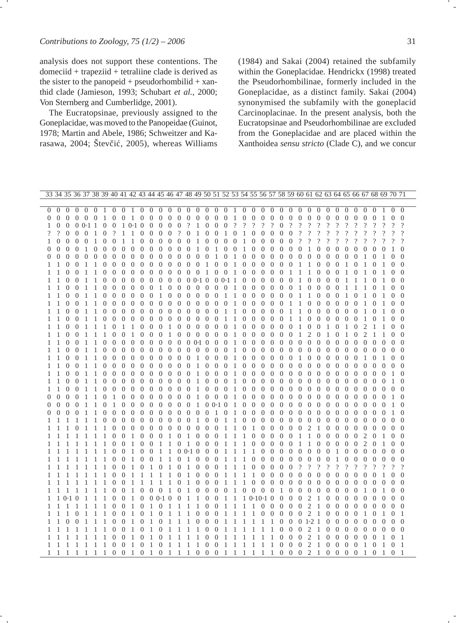analysis does not support these contentions. The domeciid + trapeziid + tetraliine clade is derived as the sister to the panopeid + pseudorhombilid +  $x$ anthid clade (Jamieson, 1993; Schubart *et al.*, 2000; Von Sternberg and Cumberlidge, 2001).

 The Eucratopsinae, previously assigned to the Goneplacidae, was moved to the Panopeidae (Guinot, 1978; Martin and Abele, 1986; Schweitzer and Karasawa, 2004; Števčić, 2005), whereas Williams (1984) and Sakai (2004) retained the subfamily within the Goneplacidae. Hendrickx (1998) treated the Pseudorhombilinae, formerly included in the Goneplacidae, as a distinct family. Sakai (2004) synonymised the subfamily with the goneplacid Carcinoplacinae. In the present analysis, both the Eucratopsinae and Pseudorhombilinae are excluded from the Goneplacidae and are placed within the Xanthoidea *sensu stricto* (Clade C), and we concur

| 33 34 35 36 37 38 39 40 41 42 43 44 45 46 47 48 49 50 51 52 53 54 55 56 57 58 59 60 61 62 63 64 65 66 67 68 69 70 71 |                                 |                                       |                                                                 |                                     |                                                     |                                     |                                         |                    |                |              |                                        |                |                                  |                              |                         |                |                |                          |                   |                     |                |                                                     |                          |                              |                |                              |          |
|----------------------------------------------------------------------------------------------------------------------|---------------------------------|---------------------------------------|-----------------------------------------------------------------|-------------------------------------|-----------------------------------------------------|-------------------------------------|-----------------------------------------|--------------------|----------------|--------------|----------------------------------------|----------------|----------------------------------|------------------------------|-------------------------|----------------|----------------|--------------------------|-------------------|---------------------|----------------|-----------------------------------------------------|--------------------------|------------------------------|----------------|------------------------------|----------|
|                                                                                                                      |                                 |                                       |                                                                 |                                     |                                                     |                                     |                                         |                    |                |              |                                        |                |                                  |                              |                         |                |                |                          |                   |                     |                |                                                     |                          |                              |                |                              |          |
|                                                                                                                      |                                 |                                       |                                                                 |                                     |                                                     |                                     |                                         |                    |                |              |                                        |                |                                  |                              |                         |                |                |                          |                   |                     |                |                                                     |                          |                              | $\overline{1}$ | $0 \quad 0$                  |          |
| $1 \t0 \t0 \t0 \t0+1 \t1 \t0 \t0 \t1 \t0+1 \t0$                                                                      |                                 |                                       |                                                                 |                                     | 0 0 0 0 2 1 0 0 0                                   |                                     |                                         |                    | $\gamma$       |              | ? ? ? ?                                |                |                                  | $\theta$                     | $\gamma$                | $\gamma$       | $\gamma$       | $\gamma$                 | $\gamma$          | $\gamma$            | $\gamma$       | $0\quad 0\quad 0\quad 0\quad 0$<br>$\gamma$         | $0\quad 0$<br>9          | $\mathcal{P}$                | -1             | $0\quad 0$<br>9              | $\gamma$ |
| $\gamma$<br>? 0 0 0 1 0 ? 1 1 0                                                                                      |                                 |                                       |                                                                 | $0\quad 0\quad 0$                   |                                                     | ? 0 1 0 0 1 0 1                     |                                         |                    |                |              | $0\quad 0$                             |                | $\overline{0}$                   | $0\quad 0$                   |                         | $\gamma$       | $\overline{?}$ | $\gamma$                 | $\gamma$          | $\gamma$            | $\gamma$       | $\gamma$                                            | $\gamma$                 | $\gamma$                     | $\gamma$       | $\gamma$                     | $\gamma$ |
| 1 0 0 0 0 1                                                                                                          |                                 | $0 \t0 \t1 \t1 \t0$                   |                                                                 |                                     | 0 0 0 0 0 1 0 0 0 0 1                               |                                     |                                         |                    |                |              | $0\quad 0$                             |                | $\overline{0}$                   | $\overline{0}$               | $\overline{0}$          | $\overline{?}$ | $\overline{?}$ | $\overline{?}$           | $\gamma$          | $\gamma$            | $\gamma$       | $\gamma$                                            | $\overline{\mathcal{L}}$ | $\gamma$                     | $\gamma$       | $\gamma$                     |          |
| $0\quad 0$<br>$0\quad 0$<br>$\overline{1}$                                                                           | $0$ 0 0 0 0 0                   |                                       | $\overline{0}$                                                  | $\overline{0}$                      | $\overline{0}$<br>$\overline{0}$                    | $\overline{0}$                      | 1 0 1 0 0                               |                    |                | -1           | $\overline{0}$                         | $\overline{0}$ | $\overline{0}$                   | $\overline{0}$               | $\overline{0}$          | $\overline{0}$ | -1             | $0\quad 0$               |                   | $\overline{0}$      | $\overline{0}$ | $\overline{0}$                                      | $\overline{0}$           | $\overline{0}$               | $\theta$       | $1 \quad 0$                  |          |
|                                                                                                                      |                                 |                                       |                                                                 |                                     |                                                     |                                     |                                         |                    |                |              |                                        |                |                                  |                              |                         |                |                |                          |                   |                     |                |                                                     |                          | $\overline{0}$               | -1             | $0\quad 0$                   |          |
| $1 \quad 1$<br>0 <sub>0</sub><br>$\overline{1}$                                                                      | $\overline{1}$                  | $0 \t0 \t0 \t0 \t0$                   | $\Omega$                                                        |                                     | 0 0 0 0 0 1 0 0 1                                   |                                     |                                         |                    |                |              | $0\quad 0\quad 0$                      |                | $\overline{0}$                   | $0\quad 0$                   |                         | -1             | $\overline{1}$ |                          | $0\quad 0\quad 0$ |                     | 1 0            |                                                     | $\overline{1}$           | $\Omega$                     | -1             | $0 \quad 0$                  |          |
| $\mathbf{1}$<br>$\overline{1}$<br>$0\quad 0$<br>-1                                                                   | $\overline{1}$                  | $0 \t0 \t0 \t0 \t0$                   |                                                                 | $0\quad 0\quad 0$                   |                                                     | 0 0 0 1 0 0 1                       |                                         |                    |                |              | $0\quad 0\quad 0$                      |                | $\Omega$                         | $\,0\,$                      | $\overline{1}$          | -1             | 1              |                          | $0\quad 0\quad 0$ |                     | 1 0            |                                                     | -1                       | $\overline{0}$               | -1             | $0 \quad 0$                  |          |
| $\overline{1}$<br>$\overline{1}$<br>$\mathbf{1}$<br>$0\quad 0$                                                       | $\overline{1}$                  | $0 \t0 \t0 \t0 \t0$                   | $\overline{0}$                                                  |                                     | $0 \t0 \t0 \t0 \t0+1 \t0 \t0 \t0+1 \t1 \t0 \t0 \t0$ |                                     |                                         |                    |                |              |                                        |                | $\overline{0}$                   | $0\quad 0$                   |                         | -1             |                | $0\quad 0\quad 0\quad 0$ |                   |                     | -1             | -1                                                  | $\overline{1}$           |                              | 0 <sub>1</sub> | $0 \quad 0$                  |          |
| $\overline{1}$<br>1<br>$0\quad 0$                                                                                    | 1 1 0 0 0 0 0                   |                                       | $\overline{0}$                                                  | -1                                  | 0 0 0 0 0 0 0 1 0 0 0                               |                                     |                                         |                    |                |              |                                        |                | $\overline{0}$                   | $0\quad 0$                   |                         | -1             |                | $0\quad 0\quad 0\quad 0$ |                   |                     | -1             | -1                                                  | -1                       | $\overline{0}$               | -1             | $0\quad 0$                   |          |
| 0 0 1 1 0 0 0 0 0 0 1<br>$1 \quad 1$                                                                                 |                                 |                                       |                                                                 |                                     | 0 0 0 0 0 0 1 1 0 0 0 0 0 0                         |                                     |                                         |                    |                |              |                                        |                |                                  |                              |                         |                |                |                          |                   |                     |                | 1 1 0 0 0 1 0 1 0 1                                 |                          |                              |                | $0\quad 0$                   |          |
| $1 \quad 1$<br>$0\quad 0$<br>- 1                                                                                     | -1                              | $0 \t0 \t0 \t0 \t0$                   | $\overline{0}$                                                  | $\overline{0}$                      | $0$ 0 0 0 0 0 0                                     |                                     |                                         |                    | -1             |              | $0\quad 0\quad 0\quad 0$               |                |                                  | $\overline{0}$               | - 1                     | -1             | $\overline{0}$ |                          |                   | $0 \t0 \t0 \t0 \t0$ |                |                                                     | - 1                      | $\overline{0}$               | -1             | $0\quad 0$                   |          |
| $0\quad 0$<br>-1<br>$\mathbf{1}$<br>- 1                                                                              | $\mathbf{1}$                    | $0\quad 0\quad 0$                     | $0\quad 0$                                                      |                                     | 0 0 0 0 0 0 0 0 1 1                                 |                                     |                                         |                    |                |              | $0\quad 0\quad 0$                      |                | $\overline{0}$                   | $\overline{0}$               | - 1                     | $\,1\,$        |                | $0 \t0 \t0 \t0 \t0 \t0$  |                   |                     |                |                                                     | - 1                      | $\boldsymbol{0}$             | 1              | $0\quad 0$                   |          |
| $1\quad1$<br>$0 \quad 0 \quad 1$<br>1<br>- 1<br>$0\quad 0$                                                           | $\overline{1}$<br>1 1 1 0 1 1 0 | $0 \t0 \t0 \t0 \t0$                   | $\overline{0}$                                                  | $0\quad 0\quad 0$<br>$\overline{0}$ | -1<br>$\overline{0}$                                | 0 0 0 0 0 1<br>0 0 0 0 0 1          |                                         |                    | $\overline{1}$ |              | $0\quad 0\quad 0$<br>$0\quad 0\quad 0$ |                | $\overline{0}$<br>$\overline{0}$ | $\overline{0}$<br>$0\quad 0$ | - 1                     | 1<br>- 1       |                | $0 \t0 \t1 \t0$          |                   |                     |                | 0 0 0 0 0 0 1<br>1 0 2                              |                          | $\overline{0}$<br>- 1        | -1<br>1        | $0\quad 0$<br>$0\quad 0$     |          |
| 0 0 1 1 1 0 0 1 0 0 0<br>$1\quad1$                                                                                   |                                 |                                       |                                                                 |                                     | -1                                                  | 0 0 0 0 0 0 1 0 0 0 0               |                                         |                    |                |              |                                        |                |                                  | $0\quad 0$                   |                         | - 1            |                |                          |                   |                     |                | 2 0 1 0 1 0 2 1                                     |                          |                              | -1             | $0\quad 0$                   |          |
| $1\quad1$                                                                                                            | 0 0 1 1 0 0 0 0 0               |                                       | $\Omega$                                                        | $0 \quad 0$                         |                                                     | $0 \t0 \t0 \t0 \t1 \t0 \t0 \t0 \t1$ |                                         |                    |                |              | $0\quad 0\quad 0$                      |                | $\overline{0}$                   |                              |                         |                |                |                          |                   |                     |                | 0 0 0 0 0 0 0 0 0 0 0 0                             |                          |                              |                | $0 \quad 0$                  |          |
| $1 \quad 1$<br>$0\quad 0$                                                                                            | 1 1                             | $0 \t0 \t0 \t0 \t0$                   |                                                                 |                                     | 0 0 0 0 0 0 0 0 0                                   |                                     |                                         |                    | -1             |              | $0\quad 0\quad 0$                      |                | $\Omega$                         | $0\quad 0$                   |                         |                |                |                          |                   |                     |                | 0 0 0 0 0 0 0 0                                     |                          | $\overline{0}$               | $\Omega$       | $0 \quad 0$                  |          |
| $\overline{1}$<br>$1 \quad 1$<br>$0\quad 0$                                                                          | $\overline{1}$                  | $0 \t0 \t0 \t0 \t0$                   |                                                                 | $0\quad 0\quad 0$                   |                                                     | 0 0 1 0 0 0 1                       |                                         |                    |                |              | $0\quad 0\quad 0$                      |                | $\overline{0}$                   | $0\quad 0$                   |                         |                |                | 1 0 0 0 0 0 0            |                   |                     |                |                                                     | $\overline{1}$           | $\overline{0}$               | $\overline{1}$ | $0 \quad 0$                  |          |
| $\mathbf{1}$<br>$\overline{1}$<br>$0\quad 0$                                                                         | 1 1 0 0 0 0 0                   |                                       | $\overline{0}$                                                  | $0\quad 0$                          | $0\quad 0$                                          |                                     | 1 0 0 0 1                               |                    |                |              | $0\quad 0\quad 0$                      |                | $\overline{0}$                   | $0\quad 0$                   |                         |                |                |                          |                   |                     |                | 0 0 0 0 0 0 0 0 0 0                                 |                          |                              |                | $0\quad 0$                   |          |
| 1 1 0 0 1 1 0 0 0 0 0                                                                                                |                                 |                                       |                                                                 |                                     | 0 0 0 0 0 1 0 0 0 1 0 0 0                           |                                     |                                         |                    |                |              |                                        |                | $\overline{0}$                   | $0\quad 0$                   |                         | $\overline{0}$ |                |                          |                   |                     |                | $0\; 0\; 0\; 0\; 0\; 0\; 0\; 0\; 0$                 |                          |                              |                | 1 0                          |          |
| $1\quad1$<br>$0\quad 0$<br>- 1                                                                                       | $\overline{1}$                  | $0 \t0 \t0 \t0 \t0$                   | $\Omega$                                                        |                                     | $0\quad 0\quad 0\quad 0$                            |                                     | 1 0 0 0 1                               |                    |                |              | $0\quad 0\quad 0$                      |                | $\overline{0}$                   | $0\quad 0$                   |                         | $\overline{0}$ |                |                          |                   |                     |                | 0000000000                                          |                          |                              |                | $1\quad$ 0                   |          |
| $0\quad 0$<br>$1\quad1$                                                                                              | 1 1                             | $0 \t0 \t0 \t0 \t0$                   |                                                                 |                                     | $0 \t0 \t0 \t0 \t0 \t1$                             |                                     |                                         | 0 0 0 1 0 0 0      |                |              |                                        |                | $\overline{0}$                   | $0\quad 0$                   |                         | $\overline{0}$ | $\overline{0}$ |                          |                   |                     |                | $0$ 0 0 0 0 0 0                                     |                          |                              | $\theta$       | $0\quad 0$                   |          |
| $0\ 0\ 0\ 0$<br>- 1                                                                                                  | 1                               | 0 1 0 0 0                             |                                                                 |                                     | $0 \t0 \t0 \t0 \t0$                                 | -1                                  |                                         | $0 \t 0 \t 0 \t 1$ |                |              | $0\quad 0\quad 0$                      |                | $\overline{0}$                   | $0\quad 0$                   |                         |                |                |                          |                   |                     |                | 0 0 0 0 0 0 0 0 0 0                                 |                          |                              |                | 1 0                          |          |
| 0 0 0 0 1 1 0 1 0 0 0                                                                                                |                                 |                                       |                                                                 |                                     | 0 0 0 0 0 1 0 0 1 0 1 0 0 0                         |                                     |                                         |                    |                |              |                                        |                | $\overline{0}$                   | $0\quad 0$                   |                         |                |                |                          |                   |                     |                | 0 0 0 0 0 0 0 0 0 0                                 |                          |                              |                | 1 0                          |          |
| 0 0 0 0 1 1 0 0 0 0 0<br>$1 \t1 \t1 \t1$<br>-1                                                                       | $\overline{1}$                  | $0 \t0 \t0 \t0 \t0$                   | $\overline{0}$                                                  | $\overline{0}$                      | 0 0 0 0 0 0 0 1 0 1 0 0 0 0<br>$\overline{0}$       | 0 0 1 0 0 1                         |                                         |                    | -1             |              | $0\quad 0\quad 0$                      |                | $\overline{0}$                   | $\overline{0}$               | $\overline{0}$          | $\overline{0}$ |                | $0\quad 0\quad 0$        |                   |                     |                | 0 0 0 0 0 0 0 0 0 0 0 0<br>$0\quad 0\quad 0\quad 0$ |                          | $\Omega$                     | $\Omega$       | 1 0<br>$0 \quad 0$           |          |
| 1 0 1 1 1 0 0 0 0 0 0 0 0 0 0 0 0 1 1 0 1 0 0 0 0 0 2<br>$1\quad1$                                                   |                                 |                                       |                                                                 |                                     |                                                     |                                     |                                         |                    |                |              |                                        |                |                                  |                              |                         |                |                |                          |                   |                     |                | 1 0 0 0 0 0                                         |                          | $\overline{0}$               | $\Omega$       | $0 \quad 0$                  |          |
| $1\quad1$<br>$1 \t1 \t1$                                                                                             | $1\quad0\quad0$<br>-1           |                                       | 1 0 0 0                                                         |                                     | $\overline{1}$<br>$\overline{0}$                    | 1 0 0 0 1                           |                                         |                    | -1             | $\mathbf{1}$ | $0\quad 0$                             |                | $\overline{0}$                   | $0\quad 0$                   |                         | $\overline{1}$ | 1              |                          |                   |                     |                | 0 0 0 0 0 2                                         |                          | $\overline{0}$               | $\mathbf{1}$   | $0 \quad 0$                  |          |
| 1 1 1 1 1 0 0 1 0 0 1 1 0 1 0 0 0 1 1 1 0 0<br>$1\quad1$                                                             |                                 |                                       |                                                                 |                                     |                                                     |                                     |                                         |                    |                |              |                                        |                | $\overline{0}$                   | $0\quad 0$                   |                         | -1             | <sup>1</sup>   |                          |                   |                     |                | 0 0 0 0 0 2 0                                       |                          |                              | -1             | $0\quad 0$                   |          |
| 1 1 1 1 1 1 1 0 0 1 0 0 1 1 0 0 1 0 0 0 1 1 1 1 0 0 0 0 0 0 0 0 0 0                                                  |                                 |                                       |                                                                 |                                     |                                                     |                                     |                                         |                    |                |              |                                        |                |                                  |                              |                         |                |                |                          |                   | -1                  |                | $0 \t0 \t0 \t0 \t0$                                 |                          |                              |                | $0\quad 0$                   |          |
| 1 1 1<br>1<br>- 1                                                                                                    | $\overline{1}$<br>1 0 0         | 1 0                                   | $\overline{0}$                                                  | -1                                  | 1 0                                                 | $\overline{1}$                      | $0 \t 0 \t 0 \t 1$                      |                    | - 1            | -1           | $0\quad 0$                             |                | $\overline{0}$                   | $0\quad 0$                   |                         | $\overline{0}$ | $\overline{0}$ | $\overline{0}$           | $\overline{0}$    | -1                  | $\overline{0}$ | $\overline{0}$                                      | $\overline{0}$           | $\overline{0}$               | $\theta$       | $0 \quad 0$                  |          |
| 1 1 1 1 1 1 1 0 0 1 0 1 0 1 0 1 0 0 0 1 1 1 0 0 0 0 0 0                                                              |                                 |                                       |                                                                 |                                     |                                                     |                                     |                                         |                    |                |              |                                        |                |                                  |                              |                         |                |                | ? ? ?                    |                   | ?  ?  ?             |                |                                                     | $?$ ?                    | $\gamma$                     | $\gamma$       |                              | 2, 2     |
| $1\quad1$<br>1 1 1                                                                                                   | - 1                             | 1 0 0 1 1 1                           |                                                                 | -1                                  | -1<br>$\overline{0}$                                | 1 0 0 0 1                           |                                         |                    | -1             | -1           | 1 0 0                                  |                |                                  | $0\quad 0$                   |                         | $\overline{0}$ |                | $0\quad 0\quad 0\quad 0$ |                   |                     | $\overline{0}$ | $\overline{0}$                                      | $\overline{0}$           | $\overline{0}$               | $\overline{1}$ | $0 \quad 0$                  |          |
| 1 1 1 1 1 1 1 0 0 1 1 1 1 1 0 1 0 0 0 1 1 1                                                                          |                                 |                                       |                                                                 |                                     |                                                     |                                     |                                         |                    |                |              |                                        |                | $0 \t0 \t0 \t0 \t0$              |                              |                         |                |                | $0\quad 0\quad 0\quad 0$ |                   |                     |                | $0\quad 0\quad 0\quad 0$                            |                          | $\overline{0}$               | $\theta$       | $0 \quad 0$                  |          |
| 1 1 1 1<br>$1 \quad 1$                                                                                               |                                 | 1 0 0 1 0 0 0 1 0 1 0 0 0 0 1 0 0 0 0 |                                                                 |                                     |                                                     |                                     |                                         |                    |                |              |                                        |                |                                  |                              |                         |                |                | 1 0 0 0 0 0              |                   | $0\quad 0\quad 0$   |                |                                                     | 1 0                      |                              | -1             | $0 \quad 0$                  |          |
| $10+1011$<br>1                                                                                                       | 1 0 0                           |                                       | $1 \t0 \t0 \t0+1 \t0 \t0 \t1 \t1 \t0 \t0 \t1 \t1 \t1 \t0+1 \t0$ |                                     |                                                     |                                     |                                         |                    |                |              |                                        |                |                                  |                              | $0 \t 0 \t 0 \t 2 \t 1$ |                |                |                          | $\Omega$          | $\theta$            | $\overline{0}$ | $\overline{0}$                                      | $\overline{0}$           | $\Omega$                     | $\Omega$       | $0 \quad 0$                  |          |
| $1 \quad 1$                                                                                                          |                                 |                                       |                                                                 |                                     |                                                     |                                     |                                         |                    |                |              |                                        |                |                                  |                              |                         |                |                |                          |                   |                     |                |                                                     | $\overline{1}$           | $0\quad 0$<br>$\overline{0}$ | -1             | $0\quad 0$<br>0 <sub>1</sub> |          |
| 0 0 1 1 1 0 0 1 0 1 0 1 1 1<br>$\mathbf{1}$<br>-1                                                                    |                                 |                                       |                                                                 |                                     |                                                     |                                     | 0 0 0 1 1 1 1 1 1 0 0 0 1 2 1 0 0 0 0 0 |                    |                |              |                                        |                |                                  |                              |                         |                |                |                          |                   |                     |                |                                                     |                          | $\overline{0}$               | $\overline{0}$ | $0\quad 0$                   |          |
| 1 1<br>-1<br>$\overline{1}$                                                                                          | -1<br>$\mathbf{1}$              | $0\quad 0$<br>1 0                     | -1                                                              | 0 <sub>1</sub>                      | -1                                                  | 1 1 0 0 1                           |                                         |                    | $\,1\,$        |              | 1 1 1                                  |                | -1                               |                              | $0 \t0 \t0 \t2 \t1$     |                |                |                          | $\overline{0}$    |                     |                | $0$ 0 0 0 0 0                                       |                          |                              |                | $0\quad 0$                   |          |
| - 1<br>1 1<br>- 1<br>1                                                                                               | 1 0 0<br>- 1                    | 1 0                                   |                                                                 | 1 0 1                               | - 1                                                 | 1 1 0 0 1 1 1 1 1 1                 |                                         |                    |                |              |                                        |                |                                  |                              | $0 \t 0 \t 0 \t 2$      |                |                | -1                       | $\overline{0}$    | $\overline{0}$      |                | $0\quad 0\quad 0$                                   |                          | $\overline{0}$               | - 1            | 0 <sub>1</sub>               |          |
|                                                                                                                      |                                 |                                       |                                                                 |                                     |                                                     |                                     |                                         |                    |                |              |                                        |                |                                  |                              |                         |                |                |                          |                   |                     |                |                                                     |                          |                              |                |                              |          |
|                                                                                                                      |                                 |                                       |                                                                 |                                     |                                                     |                                     |                                         |                    |                |              |                                        |                |                                  |                              |                         |                |                |                          |                   |                     |                |                                                     |                          |                              |                |                              |          |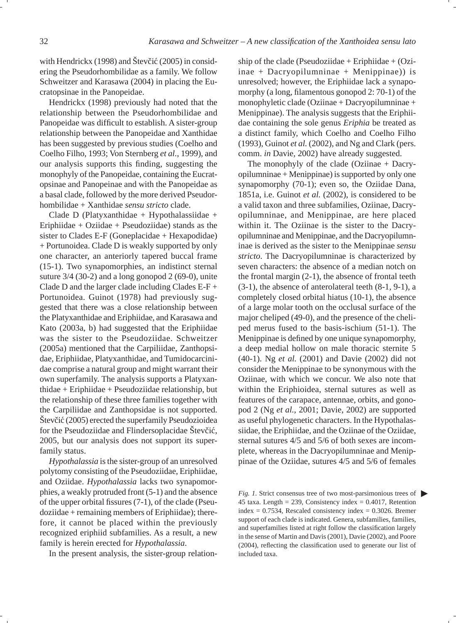with Hendrickx (1998) and Števčić (2005) in considering the Pseudorhombilidae as a family. We follow Schweitzer and Karasawa (2004) in placing the Eucratopsinae in the Panopeidae.

 Hendrickx (1998) previously had noted that the relationship between the Pseudorhombilidae and Panopeidae was difficult to establish. A sister-group relationship between the Panopeidae and Xanthidae has been suggested by previous studies (Coelho and Coelho Filho, 1993; Von Sternberg *et al.*, 1999), and our analysis supports this finding, suggesting the monophyly of the Panopeidae, containing the Eucratopsinae and Panopeinae and with the Panopeidae as a basal clade, followed by the more derived Pseudorhombilidae + Xanthidae *sensu stricto* clade.

 Clade D (Platyxanthidae + Hypothalassiidae + Eriphiidae + Oziidae + Pseudoziidae) stands as the sister to Clades E-F (Goneplacidae + Hexapodidae) + Portunoidea. Clade D is weakly supported by only one character, an anteriorly tapered buccal frame (15-1). Two synapomorphies, an indistinct sternal suture 3/4 (30-2) and a long gonopod 2 (69-0), unite Clade D and the larger clade including Clades E-F + Portunoidea. Guinot (1978) had previously suggested that there was a close relationship between the Platyxanthidae and Eriphiidae, and Karasawa and Kato (2003a, b) had suggested that the Eriphiidae was the sister to the Pseudoziidae. Schweitzer (2005a) mentioned that the Carpiliidae, Zanthopsidae, Eriphiidae, Platyxanthidae, and Tumidocarcinidae comprise a natural group and might warrant their own superfamily. The analysis supports a Platyxanthidae + Eriphiidae + Pseudoziidae relationship, but the relationship of these three families together with the Carpiliidae and Zanthopsidae is not supported.  $\text{Števčić (2005)}$  erected the superfamily Pseudozioidea for the Pseudoziidae and Flindersoplacidae Števčić, 2005, but our analysis does not support its superfamily status.

 *Hypothalassia* is the sister-group of an unresolved polytomy consisting of the Pseudoziidae, Eriphiidae, and Oziidae. *Hypothalassia* lacks two synapomorphies, a weakly protruded front (5-1) and the absence of the upper orbital fissures  $(7-1)$ , of the clade (Pseudoziidae + remaining members of Eriphiidae); therefore, it cannot be placed within the previously recognized eriphiid subfamilies. As a result, a new family is herein erected for *Hypothalassia*.

In the present analysis, the sister-group relation-

ship of the clade (Pseudoziidae + Eriphiidae +  $Ozi$ inae + Dacryopilumninae + Menippinae)) is unresolved; however, the Eriphiidae lack a synapomorphy (a long, filamentous gonopod 2: 70-1) of the monophyletic clade (Oziinae + Dacryopilumninae + Menippinae). The analysis suggests that the Eriphiidae containing the sole genus *Eriphia* be treated as a distinct family, which Coelho and Coelho Filho (1993), Guinot *et al.* (2002), and Ng and Clark (pers. comm. *in* Davie, 2002) have already suggested.

 The monophyly of the clade (Oziinae + Dacryopilumninae + Menippinae) is supported by only one synapomorphy (70-1); even so, the Oziidae Dana, 1851a, i.e. Guinot *et al.* (2002), is considered to be a valid taxon and three subfamilies, Oziinae, Dacryopilumninae, and Menippinae, are here placed within it. The Oziinae is the sister to the Dacryopilumninae and Menippinae, and the Dacryopilumninae is derived as the sister to the Menippinae *sensu stricto*. The Dacryopilumninae is characterized by seven characters: the absence of a median notch on the frontal margin (2-1), the absence of frontal teeth (3-1), the absence of anterolateral teeth (8-1, 9-1), a completely closed orbital hiatus (10-1), the absence of a large molar tooth on the occlusal surface of the major cheliped (49-0), and the presence of the cheliped merus fused to the basis-ischium (51-1). The Menippinae is defined by one unique synapomorphy, a deep medial hollow on male thoracic sternite 5 (40-1). Ng *et al.* (2001) and Davie (2002) did not consider the Menippinae to be synonymous with the Oziinae, with which we concur. We also note that within the Eriphioidea, sternal sutures as well as features of the carapace, antennae, orbits, and gonopod 2 (Ng *et al.*, 2001; Davie, 2002) are supported as useful phylogenetic characters. In the Hypothalassiidae, the Eriphiidae, and the Oziinae of the Oziidae, sternal sutures 4/5 and 5/6 of both sexes are incomplete, whereas in the Dacryopilumninae and Menippinae of the Oziidae, sutures 4/5 and 5/6 of females

*Fig. 1.* Strict consensus tree of two most-parsimonious trees of 45 taxa. Length = 239, Consistency index =  $0.4017$ , Retention index =  $0.7534$ , Rescaled consistency index =  $0.3026$ . Bremer support of each clade is indicated. Genera, subfamilies, families, and superfamilies listed at right follow the classification largely in the sense of Martin and Davis (2001), Davie (2002), and Poore  $(2004)$ , reflecting the classification used to generate our list of included taxa.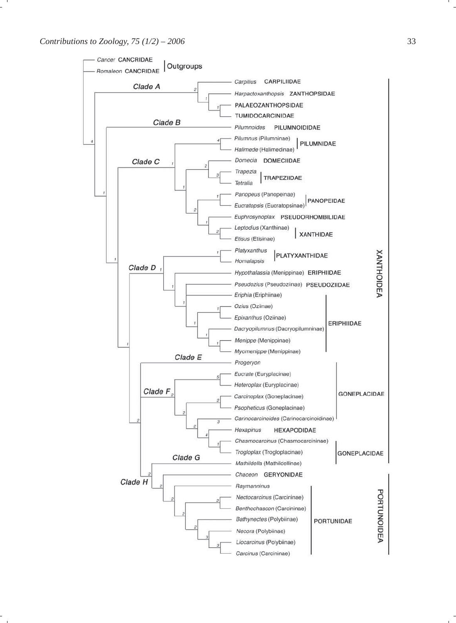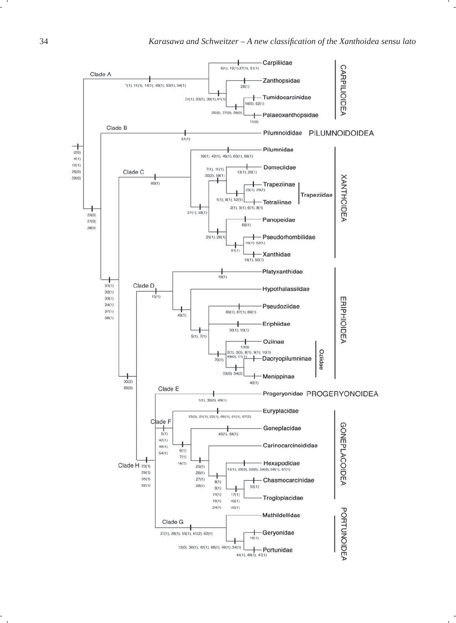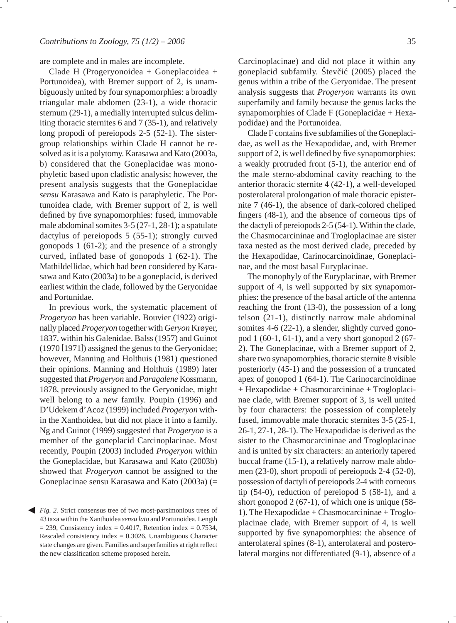are complete and in males are incomplete.

 Clade H (Progeryonoidea + Goneplacoidea + Portunoidea), with Bremer support of 2, is unambiguously united by four synapomorphies: a broadly triangular male abdomen (23-1), a wide thoracic sternum (29-1), a medially interrupted sulcus delimiting thoracic sternites 6 and 7 (35-1), and relatively long propodi of pereiopods 2-5 (52-1). The sistergroup relationships within Clade H cannot be resolved as it is a polytomy. Karasawa and Kato (2003a, b) considered that the Goneplacidae was monophyletic based upon cladistic analysis; however, the present analysis suggests that the Goneplacidae *sensu* Karasawa and Kato is paraphyletic. The Portunoidea clade, with Bremer support of 2, is well defined by five synapomorphies: fused, immovable male abdominal somites 3-5 (27-1, 28-1); a spatulate dactylus of pereiopods 5 (55-1); strongly curved gonopods 1 (61-2); and the presence of a strongly curved, inflated base of gonopods  $1$  (62-1). The Mathildellidae, which had been considered by Karasawa and Kato (2003a) to be a goneplacid, is derived earliest within the clade, followed by the Geryonidae and Portunidae.

 In previous work, the systematic placement of *Progeryon* has been variable. Bouvier (1922) originally placed *Progeryon* together with *Geryon* Krøyer, 1837, within his Galenidae. Balss (1957) and Guinot (1970 [1971]) assigned the genus to the Geryonidae; however, Manning and Holthuis (1981) questioned their opinions. Manning and Holthuis (1989) later suggested that *Progeryon* and *Paragalene* Kossmann, 1878, previously assigned to the Geryonidae, might well belong to a new family. Poupin (1996) and D'Udekem d'Acoz (1999) included *Progeryon* within the Xanthoidea, but did not place it into a family. Ng and Guinot (1999) suggested that *Progeryon* is a member of the goneplacid Carcinoplacinae. Most recently, Poupin (2003) included *Progeryon* within the Goneplacidae, but Karasawa and Kato (2003b) showed that *Progeryon* cannot be assigned to the Goneplacinae sensu Karasawa and Kato (2003a) (=

 *Fig. 2.* Strict consensus tree of two most-parsimonious trees of 43 taxa within the Xanthoidea *sensu lato* and Portunoidea. Length  $= 239$ , Consistency index  $= 0.4017$ , Retention index  $= 0.7534$ , Rescaled consistency index  $= 0.3026$ . Unambiguous Character state changes are given. Families and superfamilies at right reflect the new classification scheme proposed herein.

Carcinoplacinae) and did not place it within any goneplacid subfamily. Števčić  $(2005)$  placed the genus within a tribe of the Geryonidae. The present analysis suggests that *Progeryon* warrants its own superfamily and family because the genus lacks the synapomorphies of Clade F (Gone placidae + Hexapodidae) and the Portunoidea.

Clade F contains five subfamilies of the Goneplacidae, as well as the Hexapodidae, and, with Bremer support of 2, is well defined by five synapomorphies: a weakly protruded front (5-1), the anterior end of the male sterno-abdominal cavity reaching to the anterior thoracic sternite 4 (42-1), a well-developed posterolateral prolongation of male thoracic episternite 7 (46-1), the absence of dark-colored cheliped fingers  $(48-1)$ , and the absence of corneous tips of the dactyli of pereiopods 2-5 (54-1). Within the clade, the Chasmocarcininae and Trogloplacinae are sister taxa nested as the most derived clade, preceded by the Hexapodidae, Carinocarcinoidinae, Goneplacinae, and the most basal Euryplacinae.

 The monophyly of the Euryplacinae, with Bremer support of 4, is well supported by six synapomorphies: the presence of the basal article of the antenna reaching the front (13-0), the possession of a long telson (21-1), distinctly narrow male abdominal somites 4-6 (22-1), a slender, slightly curved gonopod 1 (60-1, 61-1), and a very short gonopod 2 (67- 2). The Goneplacinae, with a Bremer support of 2, share two synapomorphies, thoracic sternite 8 visible posteriorly (45-1) and the possession of a truncated apex of gonopod 1 (64-1). The Carinocarcinoidinae + Hexapodidae + Chasmocarcininae + Trogloplacinae clade, with Bremer support of 3, is well united by four characters: the possession of completely fused, immovable male thoracic sternites 3-5 (25-1, 26-1, 27-1, 28-1). The Hexapodidae is derived as the sister to the Chasmocarcininae and Trogloplacinae and is united by six characters: an anteriorly tapered buccal frame (15-1), a relatively narrow male abdomen (23-0), short propodi of pereiopods 2-4 (52-0), possession of dactyli of pereiopods 2-4 with corneous tip (54-0), reduction of pereiopod 5 (58-1), and a short gonopod 2 (67-1), of which one is unique (58- 1). The Hexapodidae + Chasmocarcininae + Trogloplacinae clade, with Bremer support of 4, is well supported by five synapomorphies: the absence of anterolateral spines (8-1), anterolateral and posterolateral margins not differentiated (9-1), absence of a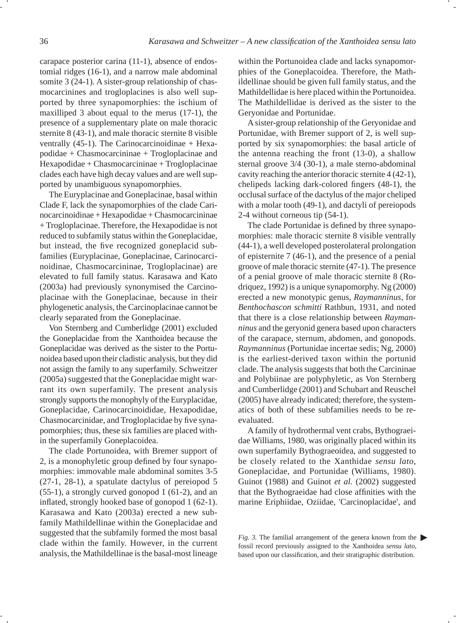carapace posterior carina (11-1), absence of endostomial ridges (16-1), and a narrow male abdominal somite 3 (24-1). A sister-group relationship of chasmocarcinines and trogloplacines is also well supported by three synapomorphies: the ischium of maxilliped 3 about equal to the merus (17-1), the presence of a supplementary plate on male thoracic sternite 8 (43-1), and male thoracic sternite 8 visible ventrally (45-1). The Carinocarcinoidinae + Hexapodidae + Chasmocarcininae + Trogloplacinae and Hexapodidae + Chasmocarcininae + Trogloplacinae clades each have high decay values and are well supported by unambiguous synapomorphies.

 The Euryplacinae and Goneplacinae, basal within Clade F, lack the synapomorphies of the clade Carinocarcinoidinae + Hexapodidae + Chasmocarcininae + Trogloplacinae. Therefore, the Hexapodidae is not reduced to subfamily status within the Goneplacidae, but instead, the five recognized goneplacid subfamilies (Euryplacinae, Goneplacinae, Carinocarcinoidinae, Chasmocarcininae, Trogloplacinae) are elevated to full family status. Karasawa and Kato (2003a) had previously synonymised the Carcinoplacinae with the Goneplacinae, because in their phylogenetic analysis, the Carcinoplacinae cannot be clearly separated from the Goneplacinae.

 Von Sternberg and Cumberlidge (2001) excluded the Goneplacidae from the Xanthoidea because the Goneplacidae was derived as the sister to the Portunoidea based upon their cladistic analysis, but they did not assign the family to any superfamily. Schweitzer (2005a) suggested that the Goneplacidae might warrant its own superfamily. The present analysis strongly supports the monophyly of the Euryplacidae, Goneplacidae, Carinocarcinoididae, Hexapodidae, Chasmocarcinidae, and Trogloplacidae by five synapomorphies; thus, these six families are placed within the superfamily Goneplacoidea.

 The clade Portunoidea, with Bremer support of 2, is a monophyletic group defined by four synapomorphies: immovable male abdominal somites 3-5 (27-1, 28-1), a spatulate dactylus of pereiopod 5 (55-1), a strongly curved gonopod 1 (61-2), and an inflated, strongly hooked base of gonopod 1 (62-1). Karasawa and Kato (2003a) erected a new subfamily Mathildellinae within the Goneplacidae and suggested that the subfamily formed the most basal clade within the family. However, in the current analysis, the Mathildellinae is the basal-most lineage

within the Portunoidea clade and lacks synapomorphies of the Goneplacoidea. Therefore, the Mathildellinae should be given full family status, and the Mathildellidae is here placed within the Portunoidea. The Mathildellidae is derived as the sister to the Geryonidae and Portunidae.

 A sister-group relationship of the Geryonidae and Portunidae, with Bremer support of 2, is well supported by six synapomorphies: the basal article of the antenna reaching the front (13-0), a shallow sternal groove 3/4 (30-1), a male sterno-abdominal cavity reaching the anterior thoracic sternite 4 (42-1), chelipeds lacking dark-colored fingers  $(48-1)$ , the occlusal surface of the dactylus of the major cheliped with a molar tooth (49-1), and dactyli of pereiopods 2-4 without corneous tip (54-1).

The clade Portunidae is defined by three synapomorphies: male thoracic sternite 8 visible ventrally (44-1), a well developed posterolateral prolongation of episternite 7 (46-1), and the presence of a penial groove of male thoracic sternite (47-1). The presence of a penial groove of male thoracic sternite 8 (Rodriquez, 1992) is a unique synapomorphy. Ng (2000) erected a new monotypic genus, *Raymanninus*, for *Benthochascon schmitti* Rathbun, 1931, and noted that there is a close relationship between *Raymanninus* and the geryonid genera based upon characters of the carapace, sternum, abdomen, and gonopods. *Raymanninus* (Portunidae incertae sedis; Ng, 2000) is the earliest-derived taxon within the portunid clade. The analysis suggests that both the Carcininae and Polybiinae are polyphyletic, as Von Sternberg and Cumberlidge (2001) and Schubart and Reuschel (2005) have already indicated; therefore, the systematics of both of these subfamilies needs to be reevaluated.

 A family of hydrothermal vent crabs, Bythograeidae Williams, 1980, was originally placed within its own superfamily Bythograeoidea, and suggested to be closely related to the Xanthidae *sensu lato*, Goneplacidae, and Portunidae (Williams, 1980). Guinot (1988) and Guinot *et al.* (2002) suggested that the Bythograeidae had close affinities with the marine Eriphiidae, Oziidae, 'Carcinoplacidae', and

*Fig. 3.* The familial arrangement of the genera known from the fossil record previously assigned to the Xanthoidea *sensu lato*, based upon our classification, and their stratigraphic distribution.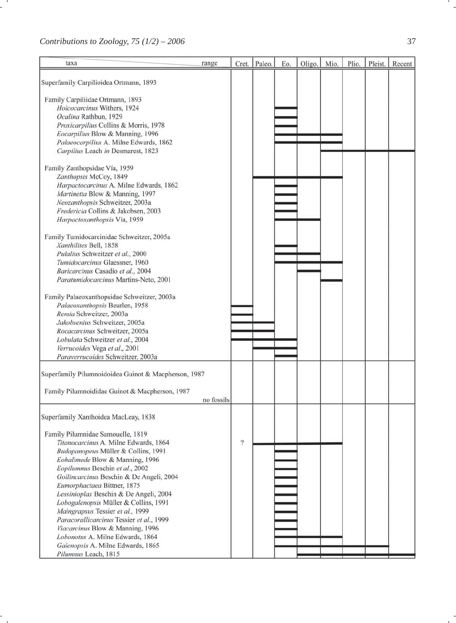| taxa<br>range                                                |                | Cret. Paleo. | Eo. | Oligo. | Mio. | Plio. | Pleist. | Recent |
|--------------------------------------------------------------|----------------|--------------|-----|--------|------|-------|---------|--------|
|                                                              |                |              |     |        |      |       |         |        |
| Superfamily Carpilioidea Ortmann, 1893                       |                |              |     |        |      |       |         |        |
| Family Carpiliidae Ortmann, 1893                             |                |              |     |        |      |       |         |        |
| Holcocarcinus Withers, 1924                                  |                |              |     |        |      |       |         |        |
| Ocalina Rathbun, 1929                                        |                |              |     |        |      |       |         |        |
| Proxicarpilius Collins & Morris, 1978                        |                |              |     |        |      |       |         |        |
| Eocarpilius Blow & Manning, 1996                             |                |              |     |        |      |       |         |        |
| Palaeocarpilius A. Milne Edwards, 1862                       |                |              |     |        |      |       |         |        |
| Carpilius Leach in Desmarest, 1823                           |                |              |     |        |      |       |         |        |
| Family Zanthopsidae Vía, 1959                                |                |              |     |        |      |       |         |        |
| Zanthopsis McCoy, 1849                                       |                |              |     |        |      |       |         |        |
| Harpactocarcinus A. Milne Edwards, 1862                      |                |              |     |        |      |       |         |        |
| Martinetta Blow & Manning, 1997                              |                |              |     |        |      |       |         |        |
| Neozanthopsis Schweitzer, 2003a                              |                |              |     |        |      |       |         |        |
| Fredericia Collins & Jakobsen, 2003                          |                |              |     |        |      |       |         |        |
| Harpactoxanthopsis Via, 1959                                 |                |              |     |        |      |       |         |        |
| Family Tumidocarcinidae Schweitzer, 2005a                    |                |              |     |        |      |       |         |        |
| Xanthilites Bell, 1858                                       |                |              |     |        |      |       |         |        |
| Pulalius Schweitzer et al., 2000                             |                |              |     |        |      |       |         |        |
| Tumidocarcinus Glaessner, 1960                               |                |              |     |        |      |       |         |        |
| Baricarcinus Casadío et al., 2004                            |                |              |     |        |      |       |         |        |
| Paratumidocarcinus Martins-Neto, 2001                        |                |              |     |        |      |       |         |        |
| Family Palaeoxanthopsidae Schweitzer, 2003a                  |                |              |     |        |      |       |         |        |
| Palaeoxanthopsis Beurlen, 1958                               |                |              |     |        |      |       |         |        |
| Remia Schweitzer, 2003a                                      |                |              |     |        |      |       |         |        |
| Jakobsenius Schweitzer, 2005a                                |                |              |     |        |      |       |         |        |
| Rocacarcinus Schweitzer, 2005a                               |                |              |     |        |      |       |         |        |
| Lobulata Schweitzer et al., 2004                             |                |              |     |        |      |       |         |        |
| Verrucoides Vega et al., 2001                                |                |              |     |        |      |       |         |        |
| Paraverrucoides Schweitzer, 2003a                            |                |              |     |        |      |       |         |        |
| Superfamily Pilumnoidoidea Guinot & Macpherson, 1987         |                |              |     |        |      |       |         |        |
|                                                              |                |              |     |        |      |       |         |        |
| Family Pilumnoididae Guinot & Macpherson, 1987<br>no fossils |                |              |     |        |      |       |         |        |
|                                                              |                |              |     |        |      |       |         |        |
| Superfamily Xanthoidea MacLeay, 1838                         |                |              |     |        |      |       |         |        |
| Family Pilumnidae Samouelle, 1819                            |                |              |     |        |      |       |         |        |
| Titanocarcinus A. Milne Edwards, 1864                        | $\overline{?}$ |              |     |        |      |       |         |        |
| Budapanopeus Müller & Collins, 1991                          |                |              |     |        |      |       |         |        |
| Eohalimede Blow & Manning, 1996                              |                |              |     |        |      |       |         |        |
| Eopilumnus Beschin et al., 2002                              |                |              |     |        |      |       |         |        |
| Gollincarcinus Beschin & De Angeli, 2004                     |                |              |     |        |      |       |         |        |
| Eumorphactaea Bittner, 1875                                  |                |              |     |        |      |       |         |        |
| Lessinioplax Beschin & De Angeli, 2004                       |                |              |     |        |      |       |         |        |
| Lobogalenopsis Müller & Collins, 1991                        |                |              |     |        |      |       |         |        |
| Maingrapsus Tessier et al., 1999                             |                |              |     |        |      |       |         |        |
| Paracorallicarcinus Tessier et al., 1999                     |                |              |     |        |      |       |         |        |
| Viacarcinus Blow & Manning, 1996                             |                |              |     |        |      |       |         |        |
| Lobonotus A. Milne Edwards, 1864                             |                |              |     |        |      |       |         |        |
| Galenopsis A. Milne Edwards, 1865                            |                |              |     |        |      |       |         |        |
| Pilumnus Leach, 1815                                         |                |              |     |        |      |       |         |        |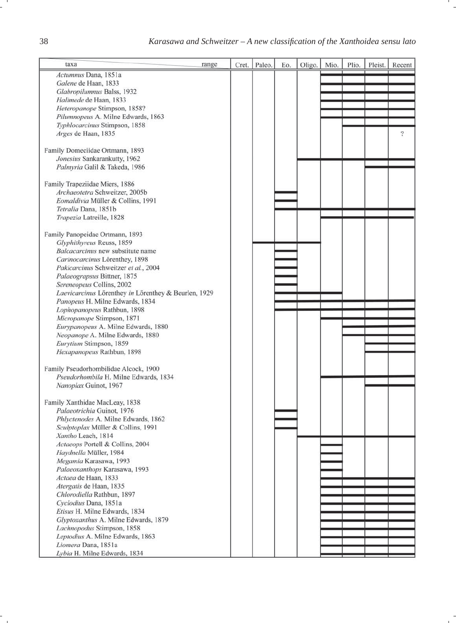| Actumnus Dana, 1851a<br>Galene de Haan, 1833<br>Glabropilumnus Balss, 1932<br>Halimede de Haan, 1833<br>Heteropanope Stimpson, 1858?<br>Pilumnopeus A. Milne Edwards, 1863<br>Typhlocarcinus Stimpson, 1858<br>Arges de Haan, 1835<br>$\overline{\phantom{a}}$<br>Family Domeciidae Ortmann, 1893<br>Jonesius Sankarankutty, 1962<br>Palmyria Galil & Takeda, 1986<br>Family Trapeziidae Miers, 1886<br>Archaeotetra Schweitzer, 2005b<br>Eomaldivia Müller & Collins, 1991<br>Tetralia Dana, 1851b<br>Trapezia Latreille, 1828<br>Family Panopeidae Ortmann, 1893<br>Glyphithyreus Reuss, 1859<br>Balcacarcinus new substitute name<br>Carinocarcinus Lörenthey, 1898<br>Pakicarcinus Schweitzer et al., 2004<br>Palaeograpsus Bittner, 1875<br>Sereneopeus Collins, 2002<br>Laevicarcinus Lörenthey in Lörenthey & Beurlen, 1929<br>Panopeus H. Milne Edwards, 1834<br>Lophopanopeus Rathbun, 1898<br>Micropanope Stimpson, 1871<br>Eurypanopeus A. Milne Edwards, 1880<br>Neopanope A. Milne Edwards, 1880<br>Eurytium Stimpson, 1859<br>Hexapanopeus Rathbun, 1898<br>Family Pseudorhombilidae Alcock, 1900<br>Pseudorhombila H. Milne Edwards, 1834<br>Nanoplax Guinot, 1967<br>Family Xanthidae MacLeay, 1838<br>Palaeotrichia Guinot, 1976<br>Phlyctenodes A. Milne Edwards, 1862<br><i>Sculptoplax Müller &amp; Collins, 1991</i><br>Xantho Leach, 1814<br>Actaeops Portell & Collins, 2004<br>Haydnella Müller, 1984<br>Megamia Karasawa, 1993<br>Palaeoxanthops Karasawa, 1993<br>Actaea de Haan, 1833<br>Atergatis de Haan, 1835<br>Chlorodiella Rathbun, 1897<br>Cyclodius Dana, 1851a<br>Etisus H. Milne Edwards, 1834<br>Glyptoxanthus A. Milne Edwards, 1879<br>Lachnopodus Stimpson, 1858<br>Leptodius A. Milne Edwards, 1863<br>Liomera Dana, 1851a<br>Lybia H. Milne Edwards, 1834 | taxa | range | Cret. | Paleo. | Eo. | Oligo. | Mio. | Plio. | Pleist. | Recent |
|------------------------------------------------------------------------------------------------------------------------------------------------------------------------------------------------------------------------------------------------------------------------------------------------------------------------------------------------------------------------------------------------------------------------------------------------------------------------------------------------------------------------------------------------------------------------------------------------------------------------------------------------------------------------------------------------------------------------------------------------------------------------------------------------------------------------------------------------------------------------------------------------------------------------------------------------------------------------------------------------------------------------------------------------------------------------------------------------------------------------------------------------------------------------------------------------------------------------------------------------------------------------------------------------------------------------------------------------------------------------------------------------------------------------------------------------------------------------------------------------------------------------------------------------------------------------------------------------------------------------------------------------------------------------------------------------------------------------------------------------------------------------------------------------------|------|-------|-------|--------|-----|--------|------|-------|---------|--------|
|                                                                                                                                                                                                                                                                                                                                                                                                                                                                                                                                                                                                                                                                                                                                                                                                                                                                                                                                                                                                                                                                                                                                                                                                                                                                                                                                                                                                                                                                                                                                                                                                                                                                                                                                                                                                      |      |       |       |        |     |        |      |       |         |        |
|                                                                                                                                                                                                                                                                                                                                                                                                                                                                                                                                                                                                                                                                                                                                                                                                                                                                                                                                                                                                                                                                                                                                                                                                                                                                                                                                                                                                                                                                                                                                                                                                                                                                                                                                                                                                      |      |       |       |        |     |        |      |       |         |        |
|                                                                                                                                                                                                                                                                                                                                                                                                                                                                                                                                                                                                                                                                                                                                                                                                                                                                                                                                                                                                                                                                                                                                                                                                                                                                                                                                                                                                                                                                                                                                                                                                                                                                                                                                                                                                      |      |       |       |        |     |        |      |       |         |        |
|                                                                                                                                                                                                                                                                                                                                                                                                                                                                                                                                                                                                                                                                                                                                                                                                                                                                                                                                                                                                                                                                                                                                                                                                                                                                                                                                                                                                                                                                                                                                                                                                                                                                                                                                                                                                      |      |       |       |        |     |        |      |       |         |        |
|                                                                                                                                                                                                                                                                                                                                                                                                                                                                                                                                                                                                                                                                                                                                                                                                                                                                                                                                                                                                                                                                                                                                                                                                                                                                                                                                                                                                                                                                                                                                                                                                                                                                                                                                                                                                      |      |       |       |        |     |        |      |       |         |        |
|                                                                                                                                                                                                                                                                                                                                                                                                                                                                                                                                                                                                                                                                                                                                                                                                                                                                                                                                                                                                                                                                                                                                                                                                                                                                                                                                                                                                                                                                                                                                                                                                                                                                                                                                                                                                      |      |       |       |        |     |        |      |       |         |        |
|                                                                                                                                                                                                                                                                                                                                                                                                                                                                                                                                                                                                                                                                                                                                                                                                                                                                                                                                                                                                                                                                                                                                                                                                                                                                                                                                                                                                                                                                                                                                                                                                                                                                                                                                                                                                      |      |       |       |        |     |        |      |       |         |        |
|                                                                                                                                                                                                                                                                                                                                                                                                                                                                                                                                                                                                                                                                                                                                                                                                                                                                                                                                                                                                                                                                                                                                                                                                                                                                                                                                                                                                                                                                                                                                                                                                                                                                                                                                                                                                      |      |       |       |        |     |        |      |       |         |        |
|                                                                                                                                                                                                                                                                                                                                                                                                                                                                                                                                                                                                                                                                                                                                                                                                                                                                                                                                                                                                                                                                                                                                                                                                                                                                                                                                                                                                                                                                                                                                                                                                                                                                                                                                                                                                      |      |       |       |        |     |        |      |       |         |        |
|                                                                                                                                                                                                                                                                                                                                                                                                                                                                                                                                                                                                                                                                                                                                                                                                                                                                                                                                                                                                                                                                                                                                                                                                                                                                                                                                                                                                                                                                                                                                                                                                                                                                                                                                                                                                      |      |       |       |        |     |        |      |       |         |        |
|                                                                                                                                                                                                                                                                                                                                                                                                                                                                                                                                                                                                                                                                                                                                                                                                                                                                                                                                                                                                                                                                                                                                                                                                                                                                                                                                                                                                                                                                                                                                                                                                                                                                                                                                                                                                      |      |       |       |        |     |        |      |       |         |        |
|                                                                                                                                                                                                                                                                                                                                                                                                                                                                                                                                                                                                                                                                                                                                                                                                                                                                                                                                                                                                                                                                                                                                                                                                                                                                                                                                                                                                                                                                                                                                                                                                                                                                                                                                                                                                      |      |       |       |        |     |        |      |       |         |        |
|                                                                                                                                                                                                                                                                                                                                                                                                                                                                                                                                                                                                                                                                                                                                                                                                                                                                                                                                                                                                                                                                                                                                                                                                                                                                                                                                                                                                                                                                                                                                                                                                                                                                                                                                                                                                      |      |       |       |        |     |        |      |       |         |        |
|                                                                                                                                                                                                                                                                                                                                                                                                                                                                                                                                                                                                                                                                                                                                                                                                                                                                                                                                                                                                                                                                                                                                                                                                                                                                                                                                                                                                                                                                                                                                                                                                                                                                                                                                                                                                      |      |       |       |        |     |        |      |       |         |        |
|                                                                                                                                                                                                                                                                                                                                                                                                                                                                                                                                                                                                                                                                                                                                                                                                                                                                                                                                                                                                                                                                                                                                                                                                                                                                                                                                                                                                                                                                                                                                                                                                                                                                                                                                                                                                      |      |       |       |        |     |        |      |       |         |        |
|                                                                                                                                                                                                                                                                                                                                                                                                                                                                                                                                                                                                                                                                                                                                                                                                                                                                                                                                                                                                                                                                                                                                                                                                                                                                                                                                                                                                                                                                                                                                                                                                                                                                                                                                                                                                      |      |       |       |        |     |        |      |       |         |        |
|                                                                                                                                                                                                                                                                                                                                                                                                                                                                                                                                                                                                                                                                                                                                                                                                                                                                                                                                                                                                                                                                                                                                                                                                                                                                                                                                                                                                                                                                                                                                                                                                                                                                                                                                                                                                      |      |       |       |        |     |        |      |       |         |        |
|                                                                                                                                                                                                                                                                                                                                                                                                                                                                                                                                                                                                                                                                                                                                                                                                                                                                                                                                                                                                                                                                                                                                                                                                                                                                                                                                                                                                                                                                                                                                                                                                                                                                                                                                                                                                      |      |       |       |        |     |        |      |       |         |        |
|                                                                                                                                                                                                                                                                                                                                                                                                                                                                                                                                                                                                                                                                                                                                                                                                                                                                                                                                                                                                                                                                                                                                                                                                                                                                                                                                                                                                                                                                                                                                                                                                                                                                                                                                                                                                      |      |       |       |        |     |        |      |       |         |        |
|                                                                                                                                                                                                                                                                                                                                                                                                                                                                                                                                                                                                                                                                                                                                                                                                                                                                                                                                                                                                                                                                                                                                                                                                                                                                                                                                                                                                                                                                                                                                                                                                                                                                                                                                                                                                      |      |       |       |        |     |        |      |       |         |        |
|                                                                                                                                                                                                                                                                                                                                                                                                                                                                                                                                                                                                                                                                                                                                                                                                                                                                                                                                                                                                                                                                                                                                                                                                                                                                                                                                                                                                                                                                                                                                                                                                                                                                                                                                                                                                      |      |       |       |        |     |        |      |       |         |        |
|                                                                                                                                                                                                                                                                                                                                                                                                                                                                                                                                                                                                                                                                                                                                                                                                                                                                                                                                                                                                                                                                                                                                                                                                                                                                                                                                                                                                                                                                                                                                                                                                                                                                                                                                                                                                      |      |       |       |        |     |        |      |       |         |        |
|                                                                                                                                                                                                                                                                                                                                                                                                                                                                                                                                                                                                                                                                                                                                                                                                                                                                                                                                                                                                                                                                                                                                                                                                                                                                                                                                                                                                                                                                                                                                                                                                                                                                                                                                                                                                      |      |       |       |        |     |        |      |       |         |        |
|                                                                                                                                                                                                                                                                                                                                                                                                                                                                                                                                                                                                                                                                                                                                                                                                                                                                                                                                                                                                                                                                                                                                                                                                                                                                                                                                                                                                                                                                                                                                                                                                                                                                                                                                                                                                      |      |       |       |        |     |        |      |       |         |        |
|                                                                                                                                                                                                                                                                                                                                                                                                                                                                                                                                                                                                                                                                                                                                                                                                                                                                                                                                                                                                                                                                                                                                                                                                                                                                                                                                                                                                                                                                                                                                                                                                                                                                                                                                                                                                      |      |       |       |        |     |        |      |       |         |        |
|                                                                                                                                                                                                                                                                                                                                                                                                                                                                                                                                                                                                                                                                                                                                                                                                                                                                                                                                                                                                                                                                                                                                                                                                                                                                                                                                                                                                                                                                                                                                                                                                                                                                                                                                                                                                      |      |       |       |        |     |        |      |       |         |        |
|                                                                                                                                                                                                                                                                                                                                                                                                                                                                                                                                                                                                                                                                                                                                                                                                                                                                                                                                                                                                                                                                                                                                                                                                                                                                                                                                                                                                                                                                                                                                                                                                                                                                                                                                                                                                      |      |       |       |        |     |        |      |       |         |        |
|                                                                                                                                                                                                                                                                                                                                                                                                                                                                                                                                                                                                                                                                                                                                                                                                                                                                                                                                                                                                                                                                                                                                                                                                                                                                                                                                                                                                                                                                                                                                                                                                                                                                                                                                                                                                      |      |       |       |        |     |        |      |       |         |        |
|                                                                                                                                                                                                                                                                                                                                                                                                                                                                                                                                                                                                                                                                                                                                                                                                                                                                                                                                                                                                                                                                                                                                                                                                                                                                                                                                                                                                                                                                                                                                                                                                                                                                                                                                                                                                      |      |       |       |        |     |        |      |       |         |        |
|                                                                                                                                                                                                                                                                                                                                                                                                                                                                                                                                                                                                                                                                                                                                                                                                                                                                                                                                                                                                                                                                                                                                                                                                                                                                                                                                                                                                                                                                                                                                                                                                                                                                                                                                                                                                      |      |       |       |        |     |        |      |       |         |        |
|                                                                                                                                                                                                                                                                                                                                                                                                                                                                                                                                                                                                                                                                                                                                                                                                                                                                                                                                                                                                                                                                                                                                                                                                                                                                                                                                                                                                                                                                                                                                                                                                                                                                                                                                                                                                      |      |       |       |        |     |        |      |       |         |        |
|                                                                                                                                                                                                                                                                                                                                                                                                                                                                                                                                                                                                                                                                                                                                                                                                                                                                                                                                                                                                                                                                                                                                                                                                                                                                                                                                                                                                                                                                                                                                                                                                                                                                                                                                                                                                      |      |       |       |        |     |        |      |       |         |        |
|                                                                                                                                                                                                                                                                                                                                                                                                                                                                                                                                                                                                                                                                                                                                                                                                                                                                                                                                                                                                                                                                                                                                                                                                                                                                                                                                                                                                                                                                                                                                                                                                                                                                                                                                                                                                      |      |       |       |        |     |        |      |       |         |        |
|                                                                                                                                                                                                                                                                                                                                                                                                                                                                                                                                                                                                                                                                                                                                                                                                                                                                                                                                                                                                                                                                                                                                                                                                                                                                                                                                                                                                                                                                                                                                                                                                                                                                                                                                                                                                      |      |       |       |        |     |        |      |       |         |        |
|                                                                                                                                                                                                                                                                                                                                                                                                                                                                                                                                                                                                                                                                                                                                                                                                                                                                                                                                                                                                                                                                                                                                                                                                                                                                                                                                                                                                                                                                                                                                                                                                                                                                                                                                                                                                      |      |       |       |        |     |        |      |       |         |        |
|                                                                                                                                                                                                                                                                                                                                                                                                                                                                                                                                                                                                                                                                                                                                                                                                                                                                                                                                                                                                                                                                                                                                                                                                                                                                                                                                                                                                                                                                                                                                                                                                                                                                                                                                                                                                      |      |       |       |        |     |        |      |       |         |        |
|                                                                                                                                                                                                                                                                                                                                                                                                                                                                                                                                                                                                                                                                                                                                                                                                                                                                                                                                                                                                                                                                                                                                                                                                                                                                                                                                                                                                                                                                                                                                                                                                                                                                                                                                                                                                      |      |       |       |        |     |        |      |       |         |        |
|                                                                                                                                                                                                                                                                                                                                                                                                                                                                                                                                                                                                                                                                                                                                                                                                                                                                                                                                                                                                                                                                                                                                                                                                                                                                                                                                                                                                                                                                                                                                                                                                                                                                                                                                                                                                      |      |       |       |        |     |        |      |       |         |        |
|                                                                                                                                                                                                                                                                                                                                                                                                                                                                                                                                                                                                                                                                                                                                                                                                                                                                                                                                                                                                                                                                                                                                                                                                                                                                                                                                                                                                                                                                                                                                                                                                                                                                                                                                                                                                      |      |       |       |        |     |        |      |       |         |        |
|                                                                                                                                                                                                                                                                                                                                                                                                                                                                                                                                                                                                                                                                                                                                                                                                                                                                                                                                                                                                                                                                                                                                                                                                                                                                                                                                                                                                                                                                                                                                                                                                                                                                                                                                                                                                      |      |       |       |        |     |        |      |       |         |        |
|                                                                                                                                                                                                                                                                                                                                                                                                                                                                                                                                                                                                                                                                                                                                                                                                                                                                                                                                                                                                                                                                                                                                                                                                                                                                                                                                                                                                                                                                                                                                                                                                                                                                                                                                                                                                      |      |       |       |        |     |        |      |       |         |        |
|                                                                                                                                                                                                                                                                                                                                                                                                                                                                                                                                                                                                                                                                                                                                                                                                                                                                                                                                                                                                                                                                                                                                                                                                                                                                                                                                                                                                                                                                                                                                                                                                                                                                                                                                                                                                      |      |       |       |        |     |        |      |       |         |        |
|                                                                                                                                                                                                                                                                                                                                                                                                                                                                                                                                                                                                                                                                                                                                                                                                                                                                                                                                                                                                                                                                                                                                                                                                                                                                                                                                                                                                                                                                                                                                                                                                                                                                                                                                                                                                      |      |       |       |        |     |        |      |       |         |        |
|                                                                                                                                                                                                                                                                                                                                                                                                                                                                                                                                                                                                                                                                                                                                                                                                                                                                                                                                                                                                                                                                                                                                                                                                                                                                                                                                                                                                                                                                                                                                                                                                                                                                                                                                                                                                      |      |       |       |        |     |        |      |       |         |        |
|                                                                                                                                                                                                                                                                                                                                                                                                                                                                                                                                                                                                                                                                                                                                                                                                                                                                                                                                                                                                                                                                                                                                                                                                                                                                                                                                                                                                                                                                                                                                                                                                                                                                                                                                                                                                      |      |       |       |        |     |        |      |       |         |        |
|                                                                                                                                                                                                                                                                                                                                                                                                                                                                                                                                                                                                                                                                                                                                                                                                                                                                                                                                                                                                                                                                                                                                                                                                                                                                                                                                                                                                                                                                                                                                                                                                                                                                                                                                                                                                      |      |       |       |        |     |        |      |       |         |        |
|                                                                                                                                                                                                                                                                                                                                                                                                                                                                                                                                                                                                                                                                                                                                                                                                                                                                                                                                                                                                                                                                                                                                                                                                                                                                                                                                                                                                                                                                                                                                                                                                                                                                                                                                                                                                      |      |       |       |        |     |        |      |       |         |        |
|                                                                                                                                                                                                                                                                                                                                                                                                                                                                                                                                                                                                                                                                                                                                                                                                                                                                                                                                                                                                                                                                                                                                                                                                                                                                                                                                                                                                                                                                                                                                                                                                                                                                                                                                                                                                      |      |       |       |        |     |        |      |       |         |        |
|                                                                                                                                                                                                                                                                                                                                                                                                                                                                                                                                                                                                                                                                                                                                                                                                                                                                                                                                                                                                                                                                                                                                                                                                                                                                                                                                                                                                                                                                                                                                                                                                                                                                                                                                                                                                      |      |       |       |        |     |        |      |       |         |        |
|                                                                                                                                                                                                                                                                                                                                                                                                                                                                                                                                                                                                                                                                                                                                                                                                                                                                                                                                                                                                                                                                                                                                                                                                                                                                                                                                                                                                                                                                                                                                                                                                                                                                                                                                                                                                      |      |       |       |        |     |        |      |       |         |        |
|                                                                                                                                                                                                                                                                                                                                                                                                                                                                                                                                                                                                                                                                                                                                                                                                                                                                                                                                                                                                                                                                                                                                                                                                                                                                                                                                                                                                                                                                                                                                                                                                                                                                                                                                                                                                      |      |       |       |        |     |        |      |       |         |        |
|                                                                                                                                                                                                                                                                                                                                                                                                                                                                                                                                                                                                                                                                                                                                                                                                                                                                                                                                                                                                                                                                                                                                                                                                                                                                                                                                                                                                                                                                                                                                                                                                                                                                                                                                                                                                      |      |       |       |        |     |        |      |       |         |        |
|                                                                                                                                                                                                                                                                                                                                                                                                                                                                                                                                                                                                                                                                                                                                                                                                                                                                                                                                                                                                                                                                                                                                                                                                                                                                                                                                                                                                                                                                                                                                                                                                                                                                                                                                                                                                      |      |       |       |        |     |        |      |       |         |        |
|                                                                                                                                                                                                                                                                                                                                                                                                                                                                                                                                                                                                                                                                                                                                                                                                                                                                                                                                                                                                                                                                                                                                                                                                                                                                                                                                                                                                                                                                                                                                                                                                                                                                                                                                                                                                      |      |       |       |        |     |        |      |       |         |        |
|                                                                                                                                                                                                                                                                                                                                                                                                                                                                                                                                                                                                                                                                                                                                                                                                                                                                                                                                                                                                                                                                                                                                                                                                                                                                                                                                                                                                                                                                                                                                                                                                                                                                                                                                                                                                      |      |       |       |        |     |        |      |       |         |        |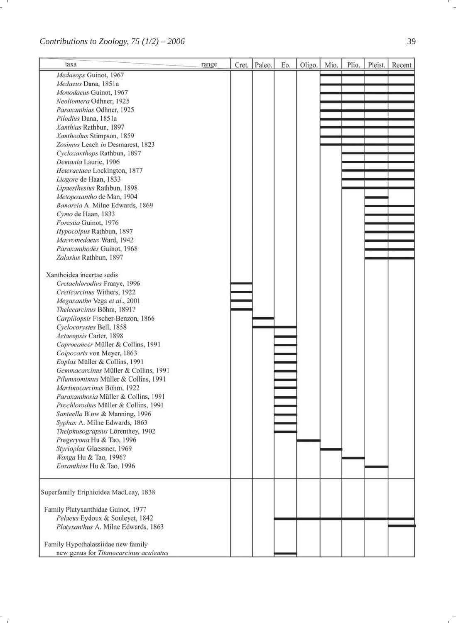| taxa                                                                  | range | Cret. | Paleo. | Eo. | Oligo. | Mio. | Plio. | Pleist. Recent |
|-----------------------------------------------------------------------|-------|-------|--------|-----|--------|------|-------|----------------|
| Medaeops Guinot, 1967                                                 |       |       |        |     |        |      |       |                |
| Medaeus Dana, 1851a                                                   |       |       |        |     |        |      |       |                |
| Monodaeus Guinot, 1967                                                |       |       |        |     |        |      |       |                |
| Neoliomera Odhner, 1925                                               |       |       |        |     |        |      |       |                |
| Paraxanthias Odhner, 1925                                             |       |       |        |     |        |      |       |                |
| Pilodius Dana, 1851a                                                  |       |       |        |     |        |      |       |                |
| Xanthias Rathbun, 1897                                                |       |       |        |     |        |      |       |                |
| Xanthodius Stimpson, 1859                                             |       |       |        |     |        |      |       |                |
| Zosimus Leach in Desmarest, 1823                                      |       |       |        |     |        |      |       |                |
| Cycloxanthops Rathbun, 1897                                           |       |       |        |     |        |      |       |                |
| Demania Laurie, 1906                                                  |       |       |        |     |        |      |       |                |
| Heteractaea Lockington, 1877                                          |       |       |        |     |        |      |       |                |
| Liagore de Haan, 1833                                                 |       |       |        |     |        |      |       |                |
| Lipaesthesius Rathbun, 1898                                           |       |       |        |     |        |      |       |                |
| Metopoxantho de Man, 1904                                             |       |       |        |     |        |      |       |                |
| Banareia A. Milne Edwards, 1869                                       |       |       |        |     |        |      |       |                |
| Cymo de Haan, 1833                                                    |       |       |        |     |        |      |       |                |
| Forestia Guinot, 1976                                                 |       |       |        |     |        |      |       |                |
| Hypocolpus Rathbun, 1897                                              |       |       |        |     |        |      |       |                |
| Macromedaeus Ward, 1942                                               |       |       |        |     |        |      |       |                |
| Paraxanthodes Guinot, 1968                                            |       |       |        |     |        |      |       |                |
| Zalasius Rathbun, 1897                                                |       |       |        |     |        |      |       |                |
|                                                                       |       |       |        |     |        |      |       |                |
| Xanthoidea incertae sedis                                             |       |       |        |     |        |      |       |                |
| Cretachlorodius Fraaye, 1996                                          |       |       |        |     |        |      |       |                |
| Creticarcinus Withers, 1922                                           |       |       |        |     |        |      |       |                |
| Megaxantho Vega et al., 2001                                          |       |       |        |     |        |      |       |                |
| Thelecarcinus Böhm, 1891?                                             |       |       |        |     |        |      |       |                |
| Carpiliopsis Fischer-Benzon, 1866                                     |       |       |        |     |        |      |       |                |
| Cyclocorystes Bell, 1858                                              |       |       |        |     |        |      |       |                |
| Actaeopsis Carter, 1898                                               |       |       |        |     |        |      |       |                |
| Caprocancer Müller & Collins, 1991                                    |       |       |        |     |        |      |       |                |
| Colpocaris von Meyer, 1863                                            |       |       |        |     |        |      |       |                |
| Eoplax Müller & Collins, 1991                                         |       |       |        |     |        |      |       |                |
| Gemmacarcinus Müller & Collins, 1991                                  |       |       |        |     |        |      |       |                |
| Pilumnomimus Müller & Collins, 1991                                   |       |       |        |     |        |      |       |                |
| Martinocarcinus Böhm, 1922                                            |       |       |        |     |        |      |       |                |
| Paraxanthosia Müller & Collins, 1991                                  |       |       |        |     |        |      |       |                |
| Prochlorodius Müller & Collins, 1991                                  |       |       |        |     |        |      |       |                |
| Santeella Blow & Manning, 1996                                        |       |       |        |     |        |      |       |                |
| Syphax A. Milne Edwards, 1863                                         |       |       |        |     |        |      |       |                |
| Thelphusograpsus Lörenthey, 1902<br>Pregeryona Hu & Tao, 1996         |       |       |        |     |        |      |       |                |
|                                                                       |       |       |        |     |        |      |       |                |
| Styrioplax Glaessner, 1969<br>Wanga Hu & Tao, 1996?                   |       |       |        |     |        |      |       |                |
| Eoxanthias Hu & Tao, 1996                                             |       |       |        |     |        |      |       |                |
|                                                                       |       |       |        |     |        |      |       |                |
|                                                                       |       |       |        |     |        |      |       |                |
| Superfamily Eriphioidea MacLeay, 1838                                 |       |       |        |     |        |      |       |                |
|                                                                       |       |       |        |     |        |      |       |                |
| Family Platyxanthidae Guinot, 1977<br>Pelaeus Eydoux & Souleyet, 1842 |       |       |        |     |        |      |       |                |
| Platyxanthus A. Milne Edwards, 1863                                   |       |       |        |     |        |      |       |                |
|                                                                       |       |       |        |     |        |      |       |                |
| Family Hypothalassiidae new family                                    |       |       |        |     |        |      |       |                |
| new genus for Titanocarcinus aculeatus                                |       |       |        |     |        |      |       |                |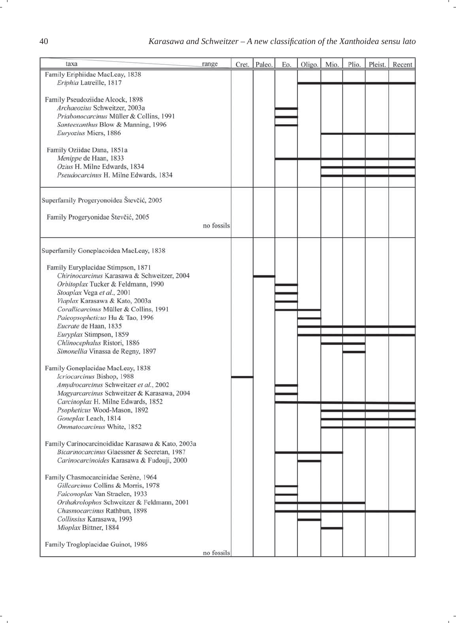| taxa                                                                             | range      | Cret. Paleo. | Eo. | Oligo. | Mio. | Plio. | Pleist. Recent |
|----------------------------------------------------------------------------------|------------|--------------|-----|--------|------|-------|----------------|
| Family Eriphiidae MacLeay, 1838<br>Eriphia Latreille, 1817                       |            |              |     |        |      |       |                |
|                                                                                  |            |              |     |        |      |       |                |
| Family Pseudoziidae Alcock, 1898<br>Archaeozius Schweitzer, 2003a                |            |              |     |        |      |       |                |
| Priabonocarcinus Müller & Collins, 1991                                          |            |              |     |        |      |       |                |
| Santeexanthus Blow & Manning, 1996                                               |            |              |     |        |      |       |                |
| Euryozius Miers, 1886                                                            |            |              |     |        |      |       |                |
| Family Oziidae Dana, 1851a                                                       |            |              |     |        |      |       |                |
| Menippe de Haan, 1833                                                            |            |              |     |        |      |       |                |
| Ozius H. Milne Edwards, 1834                                                     |            |              |     |        |      |       |                |
| Pseudocarcinus H. Milne Edwards, 1834                                            |            |              |     |        |      |       |                |
| Superfamily Progeryonoidea Števčić, 2005                                         |            |              |     |        |      |       |                |
|                                                                                  |            |              |     |        |      |       |                |
| Family Progeryonidae Števčić, 2005                                               |            |              |     |        |      |       |                |
|                                                                                  | no fossils |              |     |        |      |       |                |
| Superfamily Goneplacoidea MacLeay, 1838                                          |            |              |     |        |      |       |                |
|                                                                                  |            |              |     |        |      |       |                |
| Family Euryplacidae Stimpson, 1871                                               |            |              |     |        |      |       |                |
| Chirinocarcinus Karasawa & Schweitzer, 2004                                      |            |              |     |        |      |       |                |
| Orbitoplax Tucker & Feldmann, 1990<br>Stoaplax Vega et al., 2001                 |            |              |     |        |      |       |                |
| Viaplax Karasawa & Kato, 2003a                                                   |            |              |     |        |      |       |                |
| Corallicarcinus Müller & Collins, 1991                                           |            |              |     |        |      |       |                |
| Paleopsopheticus Hu & Tao, 1996                                                  |            |              |     |        |      |       |                |
| Eucrate de Haan, 1835                                                            |            |              |     |        |      |       |                |
| Euryplax Stimpson, 1859                                                          |            |              |     |        |      |       |                |
| Chlinocephalus Ristori, 1886<br>Simonellia Vinassa de Regny, 1897                |            |              |     |        |      |       |                |
|                                                                                  |            |              |     |        |      |       |                |
| Family Goneplacidae MacLeay, 1838                                                |            |              |     |        |      |       |                |
| Icriocarcinus Bishop, 1988                                                       |            |              |     |        |      |       |                |
| Amydrocarcinus Schweitzer et al., 2002                                           |            |              |     |        |      |       |                |
| Magyarcarcinus Schweitzer & Karasawa, 2004<br>Carcinoplax H. Milne Edwards, 1852 |            |              |     |        |      |       |                |
| Psopheticus Wood-Mason, 1892                                                     |            |              |     |        |      |       |                |
| Goneplax Leach, 1814                                                             |            |              |     |        |      |       |                |
| Ommatocarcinus White, 1852                                                       |            |              |     |        |      |       |                |
| Family Carinocarcinoididae Karasawa & Kato, 2003a                                |            |              |     |        |      |       |                |
| Bicarinocarcinus Glaessner & Secretan, 1987                                      |            |              |     |        |      |       |                |
| Carinocarcinoides Karasawa & Fudouji, 2000                                       |            |              |     |        |      |       |                |
| Family Chasmocarcinidae Serène, 1964                                             |            |              |     |        |      |       |                |
| Gillcarcinus Collins & Morris, 1978                                              |            |              |     |        |      |       |                |
| Falconoplax Van Straelen, 1933                                                   |            |              |     |        |      |       |                |
| Orthakrolophos Schweitzer & Feldmann, 2001                                       |            |              |     |        |      |       |                |
| Chasmocarcinus Rathbun, 1898<br>Collinsius Karasawa, 1993                        |            |              |     |        |      |       |                |
| Mioplax Bittner, 1884                                                            |            |              |     |        |      |       |                |
| Family Trogloplacidae Guinot, 1986                                               |            |              |     |        |      |       |                |
|                                                                                  | no fossils |              |     |        |      |       |                |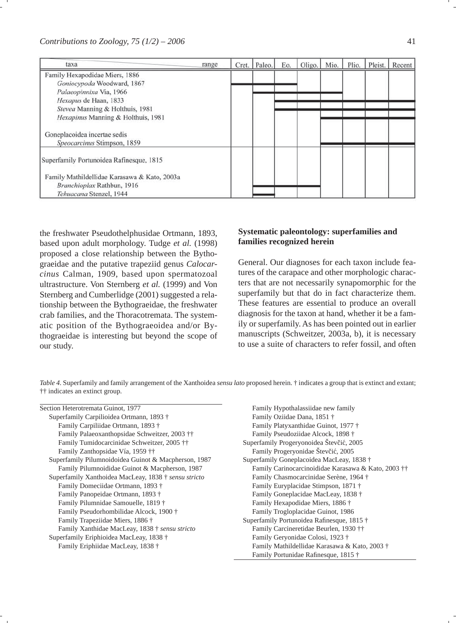| taxa                                         | range | Cret. | Paleo. | Eo. | Oligo. | Mio. | Plio. | Pleist. | Recent |
|----------------------------------------------|-------|-------|--------|-----|--------|------|-------|---------|--------|
| Family Hexapodidae Miers, 1886               |       |       |        |     |        |      |       |         |        |
| Goniocypoda Woodward, 1867                   |       |       |        |     |        |      |       |         |        |
| Palaeopinnixa Via, 1966                      |       |       |        |     |        |      |       |         |        |
| Hexapus de Haan, 1833                        |       |       |        |     |        |      |       |         |        |
| Stevea Manning & Holthuis, 1981              |       |       |        |     |        |      |       |         |        |
| Hexapinus Manning & Holthuis, 1981           |       |       |        |     |        |      |       |         |        |
|                                              |       |       |        |     |        |      |       |         |        |
| Goneplacoidea incertae sedis                 |       |       |        |     |        |      |       |         |        |
| Speocarcinus Stimpson, 1859                  |       |       |        |     |        |      |       |         |        |
| Superfamily Portunoidea Rafinesque, 1815     |       |       |        |     |        |      |       |         |        |
| Family Mathildellidae Karasawa & Kato, 2003a |       |       |        |     |        |      |       |         |        |
| Branchioplax Rathbun, 1916                   |       |       |        |     |        |      |       |         |        |
| Tehuacana Stenzel, 1944                      |       |       |        |     |        |      |       |         |        |

the freshwater Pseudothelphusidae Ortmann, 1893, based upon adult morphology. Tudge *et al.* (1998) proposed a close relationship between the Bythograeidae and the putative trapeziid genus *Calocarcinus* Calman, 1909, based upon spermatozoal ultrastructure. Von Sternberg *et al.* (1999) and Von Sternberg and Cumberlidge (2001) suggested a relationship between the Bythograeidae, the freshwater crab families, and the Thoracotremata. The systematic position of the Bythograeoidea and/or Bythograeidae is interesting but beyond the scope of our study.

# **Systematic paleontology: superfamilies and families recognized herein**

General. Our diagnoses for each taxon include features of the carapace and other morphologic characters that are not necessarily synapomorphic for the superfamily but that do in fact characterize them. These features are essential to produce an overall diagnosis for the taxon at hand, whether it be a family or superfamily. As has been pointed out in earlier manuscripts (Schweitzer, 2003a, b), it is necessary to use a suite of characters to refer fossil, and often

*Table 4.* Superfamily and family arrangement of the Xanthoidea *sensu lato* proposed herein. † indicates a group that is extinct and extant; †† indicates an extinct group.

| Section Heterotremata Guinot, 1977                   | Family Hypothalassiidae new family                  |
|------------------------------------------------------|-----------------------------------------------------|
| Superfamily Carpilioidea Ortmann, 1893 †             | Family Oziidae Dana, 1851 †                         |
| Family Carpiliidae Ortmann, 1893 †                   | Family Platyxanthidae Guinot, 1977 †                |
| Family Palaeoxanthopsidae Schweitzer, 2003 ††        | Family Pseudoziidae Alcock, 1898 †                  |
| Family Tumidocarcinidae Schweitzer, 2005 ††          | Superfamily Progeryonoidea Števčić, 2005            |
| Family Zanthopsidae Vía, 1959 ††                     | Family Progeryonidae Števčić, 2005                  |
| Superfamily Pilumnoidoidea Guinot & Macpherson, 1987 | Superfamily Goneplacoidea MacLeay, 1838 †           |
| Family Pilumnoididae Guinot & Macpherson, 1987       | Family Carinocarcinoididae Karasawa & Kato, 2003 †† |
| Superfamily Xanthoidea MacLeay, 1838 † sensu stricto | Family Chasmocarcinidae Serène, 1964 †              |
| Family Domeciidae Ortmann, 1893 †                    | Family Euryplacidae Stimpson, 1871 †                |
| Family Panopeidae Ortmann, 1893 †                    | Family Goneplacidae MacLeay, 1838 †                 |
| Family Pilumnidae Samouelle, 1819 †                  | Family Hexapodidae Miers, 1886 †                    |
| Family Pseudorhombilidae Alcock, 1900 †              | Family Trogloplacidae Guinot, 1986                  |
| Family Trapeziidae Miers, 1886 †                     | Superfamily Portunoidea Rafinesque, 1815 †          |
| Family Xanthidae MacLeay, 1838 † sensu stricto       | Family Carcineretidae Beurlen, 1930 ††              |
| Superfamily Eriphioidea MacLeay, 1838 †              | Family Geryonidae Colosi, 1923 †                    |
| Family Eriphiidae MacLeay, 1838 †                    | Family Mathildellidae Karasawa & Kato, 2003 †       |
|                                                      | Family Portunidae Rafinesque, 1815 †                |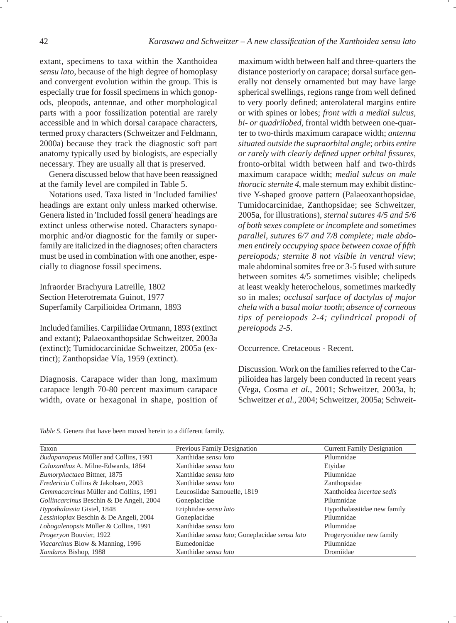extant, specimens to taxa within the Xanthoidea *sensu lato*, because of the high degree of homoplasy and convergent evolution within the group. This is especially true for fossil specimens in which gonopods, pleopods, antennae, and other morphological parts with a poor fossilization potential are rarely accessible and in which dorsal carapace characters, termed proxy characters (Schweitzer and Feldmann, 2000a) because they track the diagnostic soft part anatomy typically used by biologists, are especially necessary. They are usually all that is preserved.

 Genera discussed below that have been reassigned at the family level are compiled in Table 5.

 Notations used. Taxa listed in 'Included families' headings are extant only unless marked otherwise. Genera listed in 'Included fossil genera' headings are extinct unless otherwise noted. Characters synapomorphic and/or diagnostic for the family or superfamily are italicized in the diagnoses; often characters must be used in combination with one another, especially to diagnose fossil specimens.

Infraorder Brachyura Latreille, 1802 Section Heterotremata Guinot, 1977 Superfamily Carpilioidea Ortmann, 1893

Included families. Carpiliidae Ortmann, 1893 (extinct and extant); Palaeoxanthopsidae Schweitzer, 2003a (extinct); Tumidocarcinidae Schweitzer, 2005a (extinct); Zanthopsidae Vía, 1959 (extinct).

Diagnosis. Carapace wider than long, maximum carapace length 70-80 percent maximum carapace width, ovate or hexagonal in shape, position of maximum width between half and three-quarters the distance posteriorly on carapace; dorsal surface generally not densely ornamented but may have large spherical swellings, regions range from well defined to very poorly defined; anterolateral margins entire or with spines or lobes; *front with a medial sulcus, bi- or quadrilobed*, frontal width between one-quarter to two-thirds maximum carapace width; *antenna situated outside the supraorbital angle*; *orbits entire or rarely with clearly defi ned upper orbital fi ssures*, fronto-orbital width between half and two-thirds maximum carapace width; *medial sulcus on male thoracic sternite 4*, male sternum may exhibit distinctive Y-shaped groove pattern (Palaeoxanthopsidae, Tumidocarcinidae, Zanthopsidae; see Schweitzer, 2005a, for illustrations), *sternal sutures 4/5 and 5/6 of both sexes complete or incomplete and sometimes parallel, sutures 6/7 and 7/8 complete; male abdomen entirely occupying space between coxae of fifth pereiopods; sternite 8 not visible in ventral view*; male abdominal somites free or 3-5 fused with suture between somites 4/5 sometimes visible; chelipeds at least weakly heterochelous, sometimes markedly so in males; *occlusal surface of dactylus of major chela with a basal molar tooth*; *absence of corneous tips of pereiopods 2-4; cylindrical propodi of pereiopods 2-5*.

Occurrence. Cretaceous - Recent.

Discussion. Work on the families referred to the Carpilioidea has largely been conducted in recent years (Vega, Cosma *et al.*, 2001; Schweitzer, 2003a, b; Schweitzer *et al.*, 2004; Schweitzer, 2005a; Schweit-

*Table 5.* Genera that have been moved herein to a different family.

| Taxon                                    | Previous Family Designation                   | <b>Current Family Designation</b> |
|------------------------------------------|-----------------------------------------------|-----------------------------------|
| Budapanopeus Müller and Collins, 1991    | Xanthidae sensu lato                          | Pilumnidae                        |
| Caloxanthus A. Milne-Edwards, 1864       | Xanthidae sensu lato                          | Etvidae                           |
| Eumorphactaea Bittner, 1875              | Xanthidae sensu lato                          | Pilumnidae                        |
| Fredericia Collins & Jakobsen, 2003      | Xanthidae sensu lato                          | Zanthopsidae                      |
| Gemmacarcinus Müller and Collins, 1991   | Leucosiidae Samouelle, 1819                   | Xanthoidea <i>incertae sedis</i>  |
| Gollincarcinus Beschin & De Angeli, 2004 | Goneplacidae                                  | Pilumnidae                        |
| Hypothalassia Gistel, 1848               | Eriphiidae sensu lato                         | Hypothalassiidae new family       |
| Lessinioplax Beschin & De Angeli, 2004   | Goneplacidae                                  | Pilumnidae                        |
| Lobogalenopsis Müller & Collins, 1991    | Xanthidae sensu lato                          | Pilumnidae                        |
| Progeryon Bouvier, 1922                  | Xanthidae sensu lato; Goneplacidae sensu lato | Progeryonidae new family          |
| Viacarcinus Blow & Manning, 1996         | Eumedonidae                                   | Pilumnidae                        |
| Xandaros Bishop, 1988                    | Xanthidae sensu lato                          | Dromiidae                         |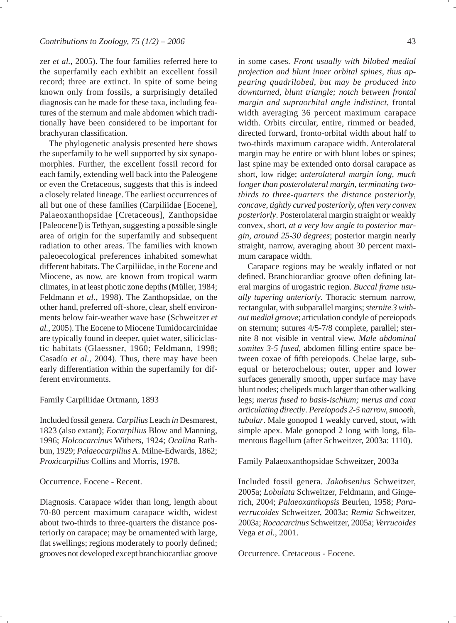zer *et al.*, 2005). The four families referred here to the superfamily each exhibit an excellent fossil record; three are extinct. In spite of some being known only from fossils, a surprisingly detailed diagnosis can be made for these taxa, including features of the sternum and male abdomen which traditionally have been considered to be important for brachyuran classification.

 The phylogenetic analysis presented here shows the superfamily to be well supported by six synapomorphies. Further, the excellent fossil record for each family, extending well back into the Paleogene or even the Cretaceous, suggests that this is indeed a closely related lineage. The earliest occurrences of all but one of these families (Carpiliidae [Eocene], Palaeoxanthopsidae [Cretaceous], Zanthopsidae [Paleocene]) is Tethyan, suggesting a possible single area of origin for the superfamily and subsequent radiation to other areas. The families with known paleoecological preferences inhabited somewhat different habitats. The Carpiliidae, in the Eocene and Miocene, as now, are known from tropical warm climates, in at least photic zone depths (Müller, 1984; Feldmann *et al.*, 1998). The Zanthopsidae, on the other hand, preferred off-shore, clear, shelf environments below fair-weather wave base (Schweitzer *et al.*, 2005). The Eocene to Miocene Tumidocarcinidae are typically found in deeper, quiet water, siliciclastic habitats (Glaessner, 1960; Feldmann, 1998; Casadío *et al.*, 2004). Thus, there may have been early differentiation within the superfamily for different environments.

#### Family Carpiliidae Ortmann, 1893

Included fossil genera. *Carpilius* Leach *in* Desmarest, 1823 (also extant); *Eocarpilius* Blow and Manning, 1996; *Holcocarcinus* Withers, 1924; *Ocalina* Rathbun, 1929; *Palaeocarpilius* A. Milne-Edwards, 1862; *Proxicarpilius* Collins and Morris, 1978.

# Occurrence. Eocene - Recent.

Diagnosis. Carapace wider than long, length about 70-80 percent maximum carapace width, widest about two-thirds to three-quarters the distance posteriorly on carapace; may be ornamented with large, flat swellings; regions moderately to poorly defined; grooves not developed except branchiocardiac groove in some cases. *Front usually with bilobed medial projection and blunt inner orbital spines, thus appearing quadrilobed, but may be produced into downturned, blunt triangle; notch between frontal margin and supraorbital angle indistinct*, frontal width averaging 36 percent maximum carapace width. Orbits circular, entire, rimmed or beaded, directed forward, fronto-orbital width about half to two-thirds maximum carapace width. Anterolateral margin may be entire or with blunt lobes or spines; last spine may be extended onto dorsal carapace as short, low ridge; *anterolateral margin long, much longer than posterolateral margin, terminating twothirds to three-quarters the distance posteriorly, concave, tightly curved posteriorly, often very convex posteriorly*. Posterolateral margin straight or weakly convex, short, *at a very low angle to posterior margin, around 25-30 degrees*; posterior margin nearly straight, narrow, averaging about 30 percent maximum carapace width.

Carapace regions may be weakly inflated or not defined. Branchiocardiac groove often defining lateral margins of urogastric region. *Buccal frame usually tapering anteriorly*. Thoracic sternum narrow, rectangular, with subparallel margins; *sternite 3 without medial groove*; articulation condyle of pereiopods on sternum; sutures 4/5-7/8 complete, parallel; sternite 8 not visible in ventral view. *Male abdominal somites 3-5 fused*, abdomen filling entire space between coxae of fifth pereiopods. Chelae large, subequal or heterochelous; outer, upper and lower surfaces generally smooth, upper surface may have blunt nodes; chelipeds much larger than other walking legs; *merus fused to basis-ischium; merus and coxa articulating directly*. *Pereiopods 2-5 narrow, smooth, tubular*. Male gonopod 1 weakly curved, stout, with simple apex. Male gonopod 2 long with long, filamentous flagellum (after Schweitzer, 2003a: 1110).

#### Family Palaeoxanthopsidae Schweitzer, 2003a

Included fossil genera. *Jakobsenius* Schweitzer, 2005a; *Lobulata* Schweitzer, Feldmann, and Gingerich, 2004; *Palaeoxanthopsis* Beurlen, 1958; *Paraverrucoides* Schweitzer, 2003a; *Remia* Schweitzer, 2003a; *Rocacarcinus* Schweitzer, 2005a; *Verrucoides* Vega *et al.,* 2001.

Occurrence. Cretaceous - Eocene.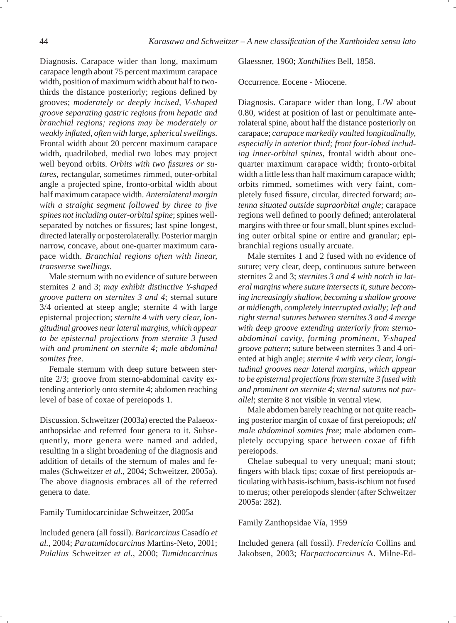Diagnosis. Carapace wider than long, maximum carapace length about 75 percent maximum carapace width, position of maximum width about half to twothirds the distance posteriorly; regions defined by grooves; *moderately or deeply incised, V-shaped groove separating gastric regions from hepatic and branchial regions; regions may be moderately or weakly infl ated, often with large, spherical swellings*. Frontal width about 20 percent maximum carapace width, quadrilobed, medial two lobes may project well beyond orbits. Orbits with two fissures or su*tures*, rectangular, sometimes rimmed, outer-orbital angle a projected spine, fronto-orbital width about half maximum carapace width. *Anterolateral margin with a straight segment followed by three to five spines not including outer-orbital spine*; spines wellseparated by notches or fissures; last spine longest, directed laterally or posterolaterally. Posterior margin narrow, concave, about one-quarter maximum carapace width. *Branchial regions often with linear, transverse swellings*.

 Male sternum with no evidence of suture between sternites 2 and 3; *may exhibit distinctive Y-shaped groove pattern on sternites 3 and 4*; sternal suture 3/4 oriented at steep angle; sternite 4 with large episternal projection; *sternite 4 with very clear, longitudinal grooves near lateral margins, which appear to be episternal projections from sternite 3 fused with and prominent on sternite 4; male abdominal somites free*.

 Female sternum with deep suture between sternite 2/3; groove from sterno-abdominal cavity extending anteriorly onto sternite 4; abdomen reaching level of base of coxae of pereiopods 1.

Discussion. Schweitzer (2003a) erected the Palaeoxanthopsidae and referred four genera to it. Subsequently, more genera were named and added, resulting in a slight broadening of the diagnosis and addition of details of the sternum of males and females (Schweitzer *et al.*, 2004; Schweitzer, 2005a). The above diagnosis embraces all of the referred genera to date.

## Family Tumidocarcinidae Schweitzer, 2005a

Included genera (all fossil). *Baricarcinus* Casadío *et al.*, 2004; *Paratumidocarcinus* Martins-Neto, 2001; *Pulalius* Schweitzer *et al.*, 2000; *Tumidocarcinus*

Glaessner, 1960; *Xanthilites* Bell, 1858.

Occurrence. Eocene - Miocene.

Diagnosis. Carapace wider than long, L/W about 0.80, widest at position of last or penultimate anterolateral spine, about half the distance posteriorly on carapace; *carapace markedly vaulted longitudinally, especially in anterior third; front four-lobed including inner-orbital spines*, frontal width about onequarter maximum carapace width; fronto-orbital width a little less than half maximum carapace width; orbits rimmed, sometimes with very faint, completely fused fissure, circular, directed forward; *antenna situated outside supraorbital angle*; carapace regions well defined to poorly defined; anterolateral margins with three or four small, blunt spines excluding outer orbital spine or entire and granular; epibranchial regions usually arcuate.

 Male sternites 1 and 2 fused with no evidence of suture; very clear, deep, continuous suture between sternites 2 and 3; *sternites 3 and 4 with notch in lateral margins where suture intersects it, suture becoming increasingly shallow, becoming a shallow groove at midlength, completely interrupted axially; left and right sternal sutures between sternites 3 and 4 merge with deep groove extending anteriorly from sternoabdominal cavity, forming prominent, Y-shaped groove pattern*; suture between sternites 3 and 4 oriented at high angle; *sternite 4 with very clear, longitudinal grooves near lateral margins, which appear to be episternal projections from sternite 3 fused with and prominent on sternite 4*; *sternal sutures not parallel*; sternite 8 not visible in ventral view.

 Male abdomen barely reaching or not quite reaching posterior margin of coxae of first pereiopods; *all male abdominal somites free*; male abdomen completely occupying space between coxae of fifth pereiopods.

 Chelae subequal to very unequal; mani stout; fingers with black tips; coxae of first pereiopods articulating with basis-ischium, basis-ischium not fused to merus; other pereiopods slender (after Schweitzer 2005a: 282).

Family Zanthopsidae Vía, 1959

Included genera (all fossil). *Fredericia* Collins and Jakobsen, 2003; *Harpactocarcinus* A. Milne-Ed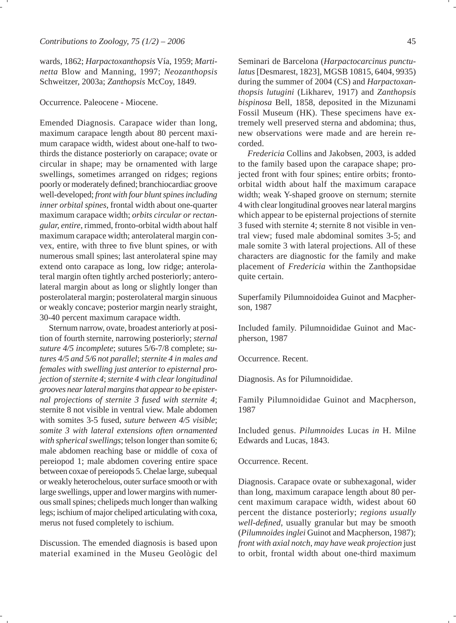wards, 1862; *Harpactoxanthopsis* Vía, 1959; *Martinetta* Blow and Manning, 1997; *Neozanthopsis* Schweitzer, 2003a; *Zanthopsis* McCoy, 1849.

Occurrence. Paleocene - Miocene.

Emended Diagnosis. Carapace wider than long, maximum carapace length about 80 percent maximum carapace width, widest about one-half to twothirds the distance posteriorly on carapace; ovate or circular in shape; may be ornamented with large swellings, sometimes arranged on ridges; regions poorly or moderately defined; branchiocardiac groove well-developed; *front with four blunt spines including inner orbital spines*, frontal width about one-quarter maximum carapace width; *orbits circular or rectangular, entire*, rimmed, fronto-orbital width about half maximum carapace width; anterolateral margin convex, entire, with three to five blunt spines, or with numerous small spines; last anterolateral spine may extend onto carapace as long, low ridge; anterolateral margin often tightly arched posteriorly; anterolateral margin about as long or slightly longer than posterolateral margin; posterolateral margin sinuous or weakly concave; posterior margin nearly straight, 30-40 percent maximum carapace width.

 Sternum narrow, ovate, broadest anteriorly at position of fourth sternite, narrowing posteriorly; *sternal suture 4/5 incomplete*; sutures 5/6-7/8 complete; *sutures 4/5 and 5/6 not parallel*; *sternite 4 in males and females with swelling just anterior to episternal projection of sternite 4*; *sternite 4 with clear longitudinal grooves near lateral margins that appear to be episternal projections of sternite 3 fused with sternite 4*; sternite 8 not visible in ventral view. Male abdomen with somites 3-5 fused, *suture between 4/5 visible*; *somite 3 with lateral extensions often ornamented with spherical swellings*; telson longer than somite 6; male abdomen reaching base or middle of coxa of pereiopod 1; male abdomen covering entire space between coxae of pereiopods 5. Chelae large, subequal or weakly heterochelous, outer surface smooth or with large swellings, upper and lower margins with numerous small spines; chelipeds much longer than walking legs; ischium of major cheliped articulating with coxa, merus not fused completely to ischium.

Discussion. The emended diagnosis is based upon material examined in the Museu Geològic del Seminari de Barcelona (*Harpactocarcinus punctulatus* [Desmarest, 1823], MGSB 10815, 6404, 9935) during the summer of 2004 (CS) and *Harpactoxanthopsis lutugini* (Likharev, 1917) and *Zanthopsis bispinosa* Bell, 1858, deposited in the Mizunami Fossil Museum (HK). These specimens have extremely well preserved sterna and abdomina; thus, new observations were made and are herein recorded.

 *Fredericia* Collins and Jakobsen, 2003, is added to the family based upon the carapace shape; projected front with four spines; entire orbits; frontoorbital width about half the maximum carapace width; weak Y-shaped groove on sternum; sternite 4 with clear longitudinal grooves near lateral margins which appear to be episternal projections of sternite 3 fused with sternite 4; sternite 8 not visible in ventral view; fused male abdominal somites 3-5; and male somite 3 with lateral projections. All of these characters are diagnostic for the family and make placement of *Fredericia* within the Zanthopsidae quite certain.

Superfamily Pilumnoidoidea Guinot and Macpherson, 1987

Included family. Pilumnoididae Guinot and Macpherson, 1987

Occurrence. Recent.

Diagnosis. As for Pilumnoididae.

Family Pilumnoididae Guinot and Macpherson, 1987

Included genus. *Pilumnoides* Lucas *in* H. Milne Edwards and Lucas, 1843.

Occurrence. Recent.

Diagnosis. Carapace ovate or subhexagonal, wider than long, maximum carapace length about 80 percent maximum carapace width, widest about 60 percent the distance posteriorly; *regions usually well-defined*, usually granular but may be smooth (*Pilumnoides inglei* Guinot and Macpherson, 1987); *front with axial notch, may have weak projection* just to orbit, frontal width about one-third maximum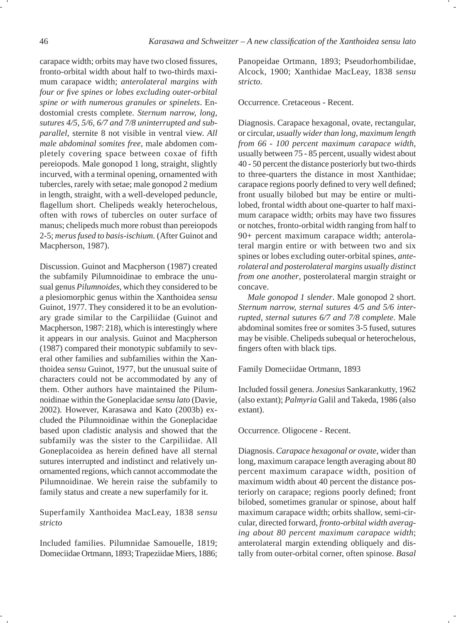carapace width; orbits may have two closed fissures, fronto-orbital width about half to two-thirds maximum carapace width; *anterolateral margins with four or fi ve spines or lobes excluding outer-orbital spine or with numerous granules or spinelets*. Endostomial crests complete. *Sternum narrow, long, sutures 4/5, 5/6, 6/7 and 7/8 uninterrupted and subparallel*, sternite 8 not visible in ventral view. *All male abdominal somites free*, male abdomen completely covering space between coxae of fifth pereiopods. Male gonopod 1 long, straight, slightly incurved, with a terminal opening, ornamented with tubercles, rarely with setae; male gonopod 2 medium in length, straight, with a well-developed peduncle, flagellum short. Chelipeds weakly heterochelous, often with rows of tubercles on outer surface of manus; chelipeds much more robust than pereiopods 2-5; *merus fused to basis-ischium.* (After Guinot and Macpherson, 1987).

Discussion. Guinot and Macpherson (1987) created the subfamily Pilumnoidinae to embrace the unusual genus *Pilumnoides*, which they considered to be a plesiomorphic genus within the Xanthoidea *sensu*  Guinot, 1977. They considered it to be an evolutionary grade similar to the Carpiliidae (Guinot and Macpherson, 1987: 218), which is interestingly where it appears in our analysis. Guinot and Macpherson (1987) compared their monotypic subfamily to several other families and subfamilies within the Xanthoidea *sensu* Guinot, 1977, but the unusual suite of characters could not be accommodated by any of them. Other authors have maintained the Pilumnoidinae within the Goneplacidae *sensu lato* (Davie, 2002). However, Karasawa and Kato (2003b) excluded the Pilumnoidinae within the Goneplacidae based upon cladistic analysis and showed that the subfamily was the sister to the Carpiliidae. All Goneplacoidea as herein defined have all sternal sutures interrupted and indistinct and relatively unornamented regions, which cannot accommodate the Pilumnoidinae. We herein raise the subfamily to family status and create a new superfamily for it.

Superfamily Xanthoidea MacLeay, 1838 *sensu stricto*

Included families. Pilumnidae Samouelle, 1819; Domeciidae Ortmann, 1893; Trapeziidae Miers, 1886; Panopeidae Ortmann, 1893; Pseudorhombilidae, Alcock, 1900; Xanthidae MacLeay, 1838 *sensu stricto*.

Occurrence. Cretaceous - Recent.

Diagnosis. Carapace hexagonal, ovate, rectangular, or circular, *usually wider than long, maximum length from 66 - 100 percent maximum carapace width*, usually between 75 - 85 percent, usually widest about 40 - 50 percent the distance posteriorly but two-thirds to three-quarters the distance in most Xanthidae; carapace regions poorly defined to very well defined; front usually bilobed but may be entire or multilobed, frontal width about one-quarter to half maximum carapace width; orbits may have two fissures or notches, fronto-orbital width ranging from half to 90+ percent maximum carapace width; anterolateral margin entire or with between two and six spines or lobes excluding outer-orbital spines, *anterolateral and posterolateral margins usually distinct from one another*, posterolateral margin straight or concave.

 *Male gonopod 1 slender*. Male gonopod 2 short. *Sternum narrow, sternal sutures 4/5 and 5/6 interrupted, sternal sutures 6/7 and 7/8 complete*. Male abdominal somites free or somites 3-5 fused, sutures may be visible. Chelipeds subequal or heterochelous, fingers often with black tips.

Family Domeciidae Ortmann, 1893

Included fossil genera. *Jonesius* Sankarankutty, 1962 (also extant); *Palmyria* Galil and Takeda, 1986 (also extant).

Occurrence. Oligocene - Recent.

Diagnosis. *Carapace hexagonal or ovate*, wider than long, maximum carapace length averaging about 80 percent maximum carapace width, position of maximum width about 40 percent the distance posteriorly on carapace; regions poorly defined; front bilobed, sometimes granular or spinose, about half maximum carapace width; orbits shallow, semi-circular, directed forward, *fronto-orbital width averaging about 80 percent maximum carapace width*; anterolateral margin extending obliquely and distally from outer-orbital corner, often spinose. *Basal*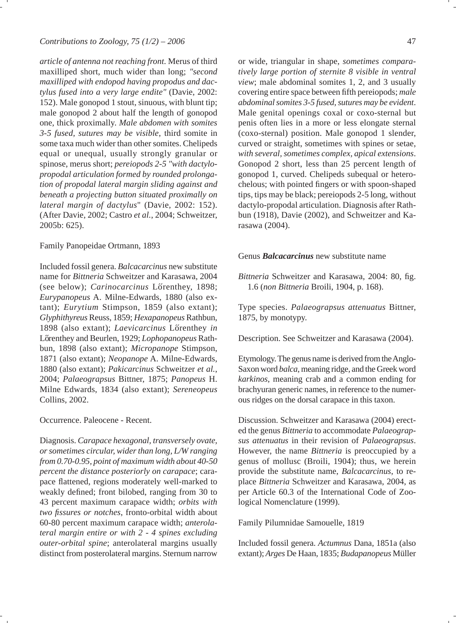*article of antenna not reaching front.* Merus of third maxilliped short, much wider than long; *"second maxilliped with endopod having propodus and dactylus fused into a very large endite"* (Davie, 2002: 152). Male gonopod 1 stout, sinuous, with blunt tip; male gonopod 2 about half the length of gonopod one, thick proximally. *Male abdomen with somites 3-5 fused, sutures may be visible*, third somite in some taxa much wider than other somites. Chelipeds equal or unequal, usually strongly granular or spinose, merus short; *pereiopods 2-5 "with dactylopropodal articulation formed by rounded prolongation of propodal lateral margin sliding against and beneath a projecting button situated proximally on lateral margin of dactylus*" (Davie, 2002: 152). (After Davie, 2002; Castro *et al.*, 2004; Schweitzer, 2005b: 625).

#### Family Panopeidae Ortmann, 1893

Included fossil genera. *Balcacarcinus* new substitute name for *Bittneria* Schweitzer and Karasawa, 2004 (see below); *Carinocarcinus* Lőrenthey, 1898; *Eurypanopeus* A. Milne-Edwards, 1880 (also extant); *Eurytium* Stimpson, 1859 (also extant); *Glyphithyreus* Reuss, 1859; *Hexapanopeus* Rathbun, 1898 (also extant); *Laevicarcinus* Lőrenthey in Lőrenthey and Beurlen, 1929; Lophopanopeus Rathbun, 1898 (also extant); *Micropanope* Stimpson, 1871 (also extant); *Neopanope* A. Milne-Edwards, 1880 (also extant); *Pakicarcinus* Schweitzer *et al.*, 2004; *Palaeograpsus* Bittner, 1875; *Panopeus* H. Milne Edwards, 1834 (also extant); *Sereneopeus* Collins, 2002.

Occurrence. Paleocene - Recent.

Diagnosis. *Carapace hexagonal, transversely ovate, or sometimes circular, wider than long, L/W ranging from 0.70-0.95, point of maximum width about 40-50 percent the distance posteriorly on carapace*; carapace flattened, regions moderately well-marked to weakly defined; front bilobed, ranging from 30 to 43 percent maximum carapace width; *orbits with two fi ssures or notches*, fronto-orbital width about 60-80 percent maximum carapace width; *anterolateral margin entire or with 2 - 4 spines excluding outer-orbital spine*; anterolateral margins usually distinct from posterolateral margins. Sternum narrow

or wide, triangular in shape, *sometimes comparatively large portion of sternite 8 visible in ventral view*; male abdominal somites 1, 2, and 3 usually covering entire space between fifth pereiopods; *male abdominal somites 3-5 fused, sutures may be evident*. Male genital openings coxal or coxo-sternal but penis often lies in a more or less elongate sternal (coxo-sternal) position. Male gonopod 1 slender, curved or straight, sometimes with spines or setae, *with several, sometimes complex, apical extensions*. Gonopod 2 short, less than 25 percent length of gonopod 1, curved. Chelipeds subequal or heterochelous; with pointed fingers or with spoon-shaped tips, tips may be black; pereiopods 2-5 long, without dactylo-propodal articulation. Diagnosis after Rathbun (1918), Davie (2002), and Schweitzer and Karasawa (2004).

#### Genus *Balcacarcinus* new substitute name

Bittneria Schweitzer and Karasawa, 2004: 80, fig. 1.6 (*non Bittneria* Broili, 1904, p. 168).

Type species. *Palaeograpsus attenuatus* Bittner, 1875, by monotypy.

Description. See Schweitzer and Karasawa (2004).

Etymology. The genus name is derived from the Anglo-Saxon word *balca*, meaning ridge, and the Greek word *karkinos*, meaning crab and a common ending for brachyuran generic names, in reference to the numerous ridges on the dorsal carapace in this taxon.

Discussion. Schweitzer and Karasawa (2004) erected the genus *Bittneria* to accommodate *Palaeograpsus attenuatus* in their revision of *Palaeograpsus*. However, the name *Bittneria* is preoccupied by a genus of mollusc (Broili, 1904); thus, we herein provide the substitute name, *Balcacarcinus*, to replace *Bittneria* Schweitzer and Karasawa, 2004, as per Article 60.3 of the International Code of Zoological Nomenclature (1999).

Family Pilumnidae Samouelle, 1819

Included fossil genera. *Actumnus* Dana, 1851a (also extant); *Arges* De Haan, 1835; *Budapanopeus* Müller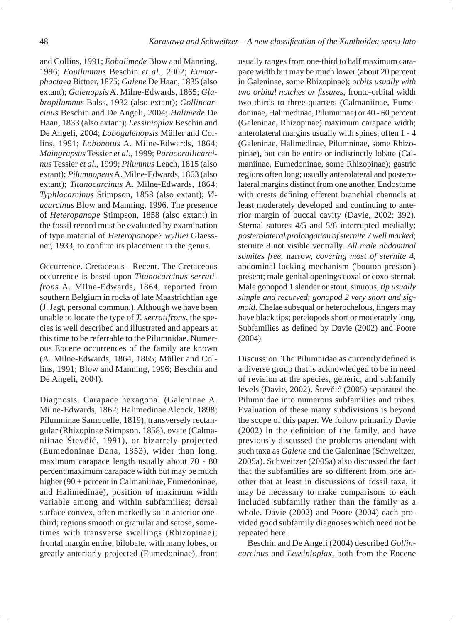and Collins, 1991; *Eohalimede* Blow and Manning, 1996; *Eopilumnus* Beschin *et al.*, 2002; *Eumorphactaea* Bittner, 1875; *Galene* De Haan, 1835 (also extant); *Galenopsis* A. Milne-Edwards, 1865; *Glabropilumnus* Balss, 1932 (also extant); *Gollincarcinus* Beschin and De Angeli, 2004; *Halimede* De Haan, 1833 (also extant); *Lessinioplax* Beschin and De Angeli, 2004; *Lobogalenopsis* Müller and Collins, 1991; *Lobonotus* A. Milne-Edwards, 1864; *Maingrapsus* Tessier *et al.*, 1999; *Paracorallicarcinus* Tessier *et al.*, 1999; *Pilumnus* Leach, 1815 (also extant); *Pilumnopeus* A. Milne-Edwards, 1863 (also extant); *Titanocarcinus* A. Milne-Edwards, 1864; *Typhlocarcinus* Stimpson, 1858 (also extant); *Viacarcinus* Blow and Manning, 1996. The presence of *Heteropanope* Stimpson, 1858 (also extant) in the fossil record must be evaluated by examination of type material of *Heteropanope? wylliei* Glaessner, 1933, to confirm its placement in the genus.

Occurrence. Cretaceous - Recent. The Cretaceous occurrence is based upon *Titanocarcinus serratifrons* A. Milne-Edwards, 1864, reported from southern Belgium in rocks of late Maastrichtian age (J. Jagt, personal commun.). Although we have been unable to locate the type of *T. serratifrons*, the species is well described and illustrated and appears at this time to be referrable to the Pilumnidae. Numerous Eocene occurrences of the family are known (A. Milne-Edwards, 1864, 1865; Müller and Collins, 1991; Blow and Manning, 1996; Beschin and De Angeli, 2004).

Diagnosis. Carapace hexagonal (Galeninae A. Milne-Edwards, 1862; Halimedinae Alcock, 1898; Pilumninae Samouelle, 1819), transversely rectangular (Rhizopinae Stimpson, 1858), ovate (Calmaniinae Števčić, 1991), or bizarrely projected (Eumedoninae Dana, 1853), wider than long, maximum carapace length usually about 70 - 80 percent maximum carapace width but may be much higher (90 + percent in Calmaniinae, Eumedoninae, and Halimedinae), position of maximum width variable among and within subfamilies; dorsal surface convex, often markedly so in anterior onethird; regions smooth or granular and setose, sometimes with transverse swellings (Rhizopinae); frontal margin entire, bilobate, with many lobes, or greatly anteriorly projected (Eumedoninae), front usually ranges from one-third to half maximum carapace width but may be much lower (about 20 percent in Galeninae, some Rhizopinae); *orbits usually with two orbital notches or fissures*, fronto-orbital width two-thirds to three-quarters (Calmaniinae, Eumedoninae, Halimedinae, Pilumninae) or 40 - 60 percent (Galeninae, Rhizopinae) maximum carapace width; anterolateral margins usually with spines, often 1 - 4 (Galeninae, Halimedinae, Pilumninae, some Rhizopinae), but can be entire or indistinctly lobate (Calmaniinae, Eumedoninae, some Rhizopinae); gastric regions often long; usually anterolateral and posterolateral margins distinct from one another. Endostome with crests defining efferent branchial channels at least moderately developed and continuing to anterior margin of buccal cavity (Davie, 2002: 392). Sternal sutures 4/5 and 5/6 interrupted medially; *posterolateral prolongation of sternite 7 well marked*; sternite 8 not visible ventrally. *All male abdominal somites free*, narrow, *covering most of sternite 4*, abdominal locking mechanism ('bouton-presson') present; male genital openings coxal or coxo-sternal. Male gonopod 1 slender or stout, sinuous, *tip usually simple and recurved*; *gonopod 2 very short and sigmoid*. Chelae subequal or heterochelous, fingers may have black tips; pereiopods short or moderately long. Subfamilies as defined by Davie (2002) and Poore (2004).

Discussion. The Pilumnidae as currently defined is a diverse group that is acknowledged to be in need of revision at the species, generic, and subfamily levels (Davie, 2002). Števčić (2005) separated the Pilumnidae into numerous subfamilies and tribes. Evaluation of these many subdivisions is beyond the scope of this paper. We follow primarily Davie  $(2002)$  in the definition of the family, and have previously discussed the problems attendant with such taxa as *Galene* and the Galeninae (Schweitzer, 2005a). Schweitzer (2005a) also discussed the fact that the subfamilies are so different from one another that at least in discussions of fossil taxa, it may be necessary to make comparisons to each included subfamily rather than the family as a whole. Davie (2002) and Poore (2004) each provided good subfamily diagnoses which need not be repeated here.

 Beschin and De Angeli (2004) described *Gollincarcinus* and *Lessinioplax*, both from the Eocene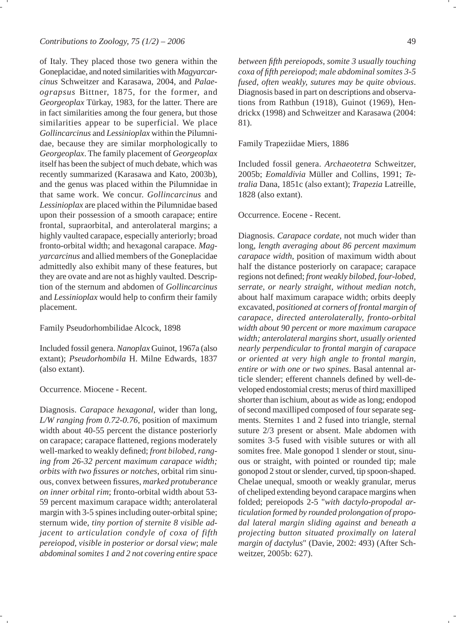of Italy. They placed those two genera within the Goneplacidae, and noted similarities with *Magyarcarcinus* Schweitzer and Karasawa, 2004, and *Palaeograpsus* Bittner, 1875, for the former, and *Georgeoplax* Türkay, 1983, for the latter. There are in fact similarities among the four genera, but those similarities appear to be superficial. We place *Gollincarcinus* and *Lessinioplax* within the Pilumnidae, because they are similar morphologically to *Georgeoplax*. The family placement of *Georgeoplax* itself has been the subject of much debate, which was recently summarized (Karasawa and Kato, 2003b), and the genus was placed within the Pilumnidae in that same work. We concur. *Gollincarcinus* and *Lessinioplax* are placed within the Pilumnidae based upon their possession of a smooth carapace; entire frontal, supraorbital, and anterolateral margins; a highly vaulted carapace, especially anteriorly; broad fronto-orbital width; and hexagonal carapace. *Magyarcarcinus* and allied members of the Goneplacidae admittedly also exhibit many of these features, but they are ovate and are not as highly vaulted. Description of the sternum and abdomen of *Gollincarcinus* and *Lessinioplax* would help to confirm their family placement.

Family Pseudorhombilidae Alcock, 1898

Included fossil genera. *Nanoplax* Guinot, 1967a (also extant); *Pseudorhombila* H. Milne Edwards, 1837 (also extant).

Occurrence. Miocene - Recent.

Diagnosis. *Carapace hexagonal*, wider than long, *L/W ranging from 0.72-0.76*, position of maximum width about 40-55 percent the distance posteriorly on carapace; carapace flattened, regions moderately well-marked to weakly defined; *front bilobed, ranging from 26-32 percent maximum carapace width; orbits with two fi ssures or notches*, orbital rim sinuous, convex between fi ssures, *marked protuberance on inner orbital rim*; fronto-orbital width about 53- 59 percent maximum carapace width; anterolateral margin with 3-5 spines including outer-orbital spine; sternum wide, *tiny portion of sternite 8 visible adjacent to articulation condyle of coxa of fifth pereiopod, visible in posterior or dorsal view*; *male abdominal somites 1 and 2 not covering entire space* 

*between fifth pereiopods, somite 3 usually touching coxa of fi fth pereiopod*; *male abdominal somites 3-5 fused, often weakly, sutures may be quite obvious*. Diagnosis based in part on descriptions and observations from Rathbun (1918), Guinot (1969), Hendrickx (1998) and Schweitzer and Karasawa (2004: 81).

Family Trapeziidae Miers, 1886

Included fossil genera. *Archaeotetra* Schweitzer, 2005b; *Eomaldivia* Müller and Collins, 1991; *Tetralia* Dana, 1851c (also extant); *Trapezia* Latreille, 1828 (also extant).

# Occurrence. Eocene - Recent.

Diagnosis. *Carapace cordate*, not much wider than long, *length averaging about 86 percent maximum carapace width*, position of maximum width about half the distance posteriorly on carapace; carapace regions not defined; *front weakly bilobed, four-lobed, serrate, or nearly straight, without median notch*, about half maximum carapace width; orbits deeply excavated, *positioned at corners of frontal margin of carapace, directed anterolaterally, fronto-orbital width about 90 percent or more maximum carapace width; anterolateral margins short, usually oriented nearly perpendicular to frontal margin of carapace or oriented at very high angle to frontal margin, entire or with one or two spines*. Basal antennal article slender; efferent channels defined by well-developed endostomial crests; merus of third maxilliped shorter than ischium, about as wide as long; endopod of second maxilliped composed of four separate segments. Sternites 1 and 2 fused into triangle, sternal suture 2/3 present or absent. Male abdomen with somites 3-5 fused with visible sutures or with all somites free. Male gonopod 1 slender or stout, sinuous or straight, with pointed or rounded tip; male gonopod 2 stout or slender, curved, tip spoon-shaped. Chelae unequal, smooth or weakly granular, merus of cheliped extending beyond carapace margins when folded; pereiopods 2-5 "*with dactylo-propodal articulation formed by rounded prolongation of propodal lateral margin sliding against and beneath a projecting button situated proximally on lateral margin of dactylus*" (Davie, 2002: 493) (After Schweitzer, 2005b: 627).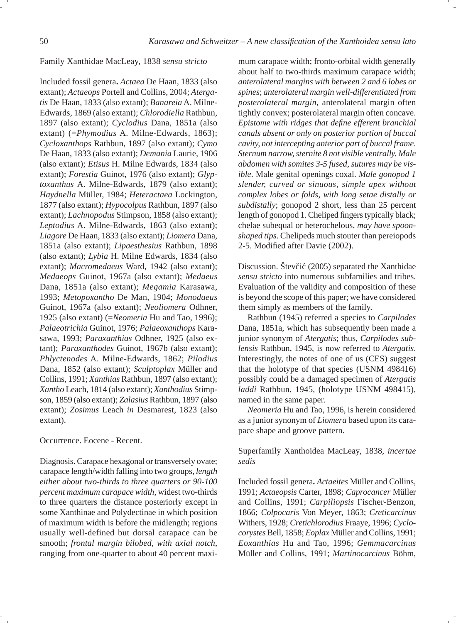# Family Xanthidae MacLeay, 1838 *sensu stricto*

Included fossil genera**.** *Actaea* De Haan, 1833 (also extant); *Actaeops* Portell and Collins, 2004; *Atergatis* De Haan, 1833 (also extant); *Banareia* A. Milne-Edwards, 1869 (also extant); *Chlorodiella* Rathbun, 1897 (also extant); *Cyclodius* Dana, 1851a (also extant) (=*Phymodius* A. Milne-Edwards, 1863); *Cycloxanthops* Rathbun, 1897 (also extant); *Cymo* De Haan, 1833 (also extant); *Demania* Laurie, 1906 (also extant); *Etisus* H. Milne Edwards, 1834 (also extant); *Forestia* Guinot, 1976 (also extant); *Glyptoxanthus* A. Milne-Edwards, 1879 (also extant); *Haydnella* Müller, 1984; *Heteractaea* Lockington, 1877 (also extant); *Hypocolpus* Rathbun, 1897 (also extant); *Lachnopodus* Stimpson, 1858 (also extant); *Leptodius* A. Milne-Edwards, 1863 (also extant); *Liagore* De Haan, 1833 (also extant); *Liomera* Dana, 1851a (also extant); *Lipaesthesius* Rathbun, 1898 (also extant); *Lybia* H. Milne Edwards, 1834 (also extant); *Macromedaeus* Ward, 1942 (also extant); *Medaeops* Guinot, 1967a (also extant); *Medaeus* Dana, 1851a (also extant); *Megamia* Karasawa, 1993; *Metopoxantho* De Man, 1904; *Monodaeus* Guinot, 1967a (also extant); *Neoliomera* Odhner, 1925 (also extant) (=*Neomeria* Hu and Tao, 1996); *Palaeotrichia* Guinot, 1976; *Palaeoxanthops* Karasawa, 1993; *Paraxanthias* Odhner, 1925 (also extant); *Paraxanthodes* Guinot, 1967b (also extant); *Phlyctenodes* A. Milne-Edwards, 1862; *Pilodius* Dana, 1852 (also extant); *Sculptoplax* Müller and Collins, 1991; *Xanthias* Rathbun, 1897 (also extant); *Xantho* Leach, 1814 (also extant); *Xanthodius* Stimpson, 1859 (also extant); *Zalasius* Rathbun, 1897 (also extant); *Zosimus* Leach *in* Desmarest, 1823 (also extant).

Occurrence. Eocene - Recent.

Diagnosis. Carapace hexagonal or transversely ovate; carapace length/width falling into two groups, *length either about two-thirds to three quarters or 90-100 percent maximum carapace width*, widest two-thirds to three quarters the distance posteriorly except in some Xanthinae and Polydectinae in which position of maximum width is before the midlength; regions usually well-defined but dorsal carapace can be smooth; *frontal margin bilobed, with axial notch*, ranging from one-quarter to about 40 percent maximum carapace width; fronto-orbital width generally about half to two-thirds maximum carapace width; *anterolateral margins with between 2 and 6 lobes or spines*; *anterolateral margin well-differentiated from posterolateral margin*, anterolateral margin often tightly convex; posterolateral margin often concave. *Epistome with ridges that define efferent branchial canals absent or only on posterior portion of buccal cavity, not intercepting anterior part of buccal frame*. *Sternum narrow, sternite 8 not visible ventrally. Male abdomen with somites 3-5 fused, sutures may be visible*. Male genital openings coxal. *Male gonopod 1 slender, curved or sinuous, simple apex without complex lobes or folds, with long setae distally or subdistally*; gonopod 2 short, less than 25 percent length of gonopod 1. Cheliped fingers typically black; chelae subequal or heterochelous, *may have spoonshaped tips*. Chelipeds much stouter than pereiopods 2-5. Modified after Davie (2002).

Discussion. Števčić (2005) separated the Xanthidae *sensu stricto* into numerous subfamilies and tribes. Evaluation of the validity and composition of these is beyond the scope of this paper; we have considered them simply as members of the family.

 Rathbun (1945) referred a species to *Carpilodes* Dana, 1851a, which has subsequently been made a junior synonym of *Atergatis*; thus, *Carpilodes sublensis* Rathbun, 1945, is now referred to *Atergatis*. Interestingly, the notes of one of us (CES) suggest that the holotype of that species (USNM 498416) possibly could be a damaged specimen of *Atergatis laddi* Rathbun, 1945, (holotype USNM 498415), named in the same paper.

 *Neomeria* Hu and Tao, 1996, is herein considered as a junior synonym of *Liomera* based upon its carapace shape and groove pattern.

Superfamily Xanthoidea MacLeay, 1838, *incertae sedis*

Included fossil genera**.** *Actaeites* Müller and Collins, 1991; *Actaeopsis* Carter, 1898; *Caprocancer* Müller and Collins, 1991; *Carpiliopsis* Fischer-Benzon, 1866; *Colpocaris* Von Meyer, 1863; *Creticarcinus* Withers, 1928; *Cretichlorodius* Fraaye, 1996; *Cyclocorystes* Bell, 1858; *Eoplax* Müller and Collins, 1991; *Eoxanthias* Hu and Tao, 1996; *Gemmacarcinus* Müller and Collins, 1991; *Martinocarcinus* Böhm,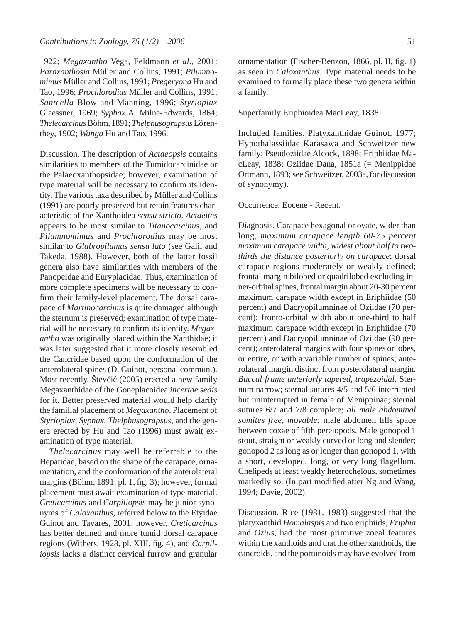1922; *Megaxantho* Vega, Feldmann *et al.*, 2001; *Paraxanthosia* Müller and Collins, 1991; *Pilumnomimus* Müller and Collins, 1991; *Pregeryona* Hu and Tao, 1996; *Prochlorodius* Müller and Collins, 1991; *Santeella* Blow and Manning, 1996; *Styrioplax* Glaessner, 1969; *Syphax* A. Milne-Edwards, 1864;  $The$  lecarcinus Böhm, 1891; *Thelphusograpsus* Lőrenthey, 1902; *Wanga* Hu and Tao, 1996.

Discussion. The description of *Actaeopsis* contains similarities to members of the Tumidocarcinidae or the Palaeoxanthopsidae; however, examination of type material will be necessary to confirm its identity. The various taxa described by Müller and Collins (1991) are poorly preserved but retain features characteristic of the Xanthoidea *sensu stricto*. *Actaeites* appears to be most similar to *Titanocarcinus*, and *Pilumnomimus* and *Prochlorodius* may be most similar to *Glabropilumus sensu lato* (see Galil and Takeda, 1988). However, both of the latter fossil genera also have similarities with members of the Panopeidae and Euryplacidae. Thus, examination of more complete specimens will be necessary to confirm their family-level placement. The dorsal carapace of *Martinocarcinus* is quite damaged although the sternum is preserved; examination of type material will be necessary to confirm its identity. *Megaxantho* was originally placed within the Xanthidae; it was later suggested that it more closely resembled the Cancridae based upon the conformation of the anterolateral spines (D. Guinot, personal commun.). Most recently, Števčić (2005) erected a new family Megaxanthidae of the Goneplacoidea *incertae sedis* for it. Better preserved material would help clarify the familial placement of *Megaxantho*. Placement of *Styrioplax*, *Syphax*, *Thelphusograpsus*, and the genera erected by Hu and Tao (1996) must await examination of type material.

 *Thelecarcinus* may well be referrable to the Hepatidae, based on the shape of the carapace, ornamentation, and the conformation of the anterolateral margins (Böhm, 1891, pl. 1, fig. 3); however, formal placement must await examination of type material. *Creticarcinus* and *Carpiliopsis* may be junior synonyms of *Caloxanthus*, referred below to the Etyidae Guinot and Tavares, 2001; however, *Creticarcinus* has better defined and more tumid dorsal carapace regions (Withers, 1928, pl. XIII, fig. 4), and *Carpiliopsis* lacks a distinct cervical furrow and granular ornamentation (Fischer-Benzon, 1866, pl. II, fig. 1) as seen in *Caloxanthus*. Type material needs to be examined to formally place these two genera within a family.

# Superfamily Eriphioidea MacLeay, 1838

Included families. Platyxanthidae Guinot, 1977; Hypothalassiidae Karasawa and Schweitzer new family; Pseudoziidae Alcock, 1898; Eriphiidae MacLeay, 1838; Oziidae Dana, 1851a (= Menippidae Ortmann, 1893; see Schweitzer, 2003a, for discussion of synonymy).

# Occurrence. Eocene - Recent.

Diagnosis. Carapace hexagonal or ovate, wider than long, *maximum carapace length 60-75 percent maximum carapace width, widest about half to twothirds the distance posteriorly on carapace*; dorsal carapace regions moderately or weakly defined; frontal margin bilobed or quadrilobed excluding inner-orbital spines, frontal margin about 20-30 percent maximum carapace width except in Eriphiidae (50 percent) and Dacryopilumninae of Oziidae (70 percent); fronto-orbital width about one-third to half maximum carapace width except in Eriphiidae (70 percent) and Dacryopilumninae of Oziidae (90 percent); anterolateral margins with four spines or lobes, or entire, or with a variable number of spines; anterolateral margin distinct from posterolateral margin. *Buccal frame anteriorly tapered, trapezoidal*. Sternum narrow; sternal sutures 4/5 and 5/6 interrupted but uninterrupted in female of Menippinae; sternal sutures 6/7 and 7/8 complete; *all male abdominal somites free, movable*; male abdomen fills space between coxae of fifth pereiopods. Male gonopod 1 stout, straight or weakly curved or long and slender; gonopod 2 as long as or longer than gonopod 1, with a short, developed, long, or very long flagellum. Chelipeds at least weakly heterochelous, sometimes markedly so. (In part modified after Ng and Wang, 1994; Davie, 2002).

Discussion. Rice (1981, 1983) suggested that the platyxanthid *Homalaspis* and two eriphiids, *Eriphia* and *Ozius*, had the most primitive zoeal features within the xanthoids and that the other xanthoids, the cancroids, and the portunoids may have evolved from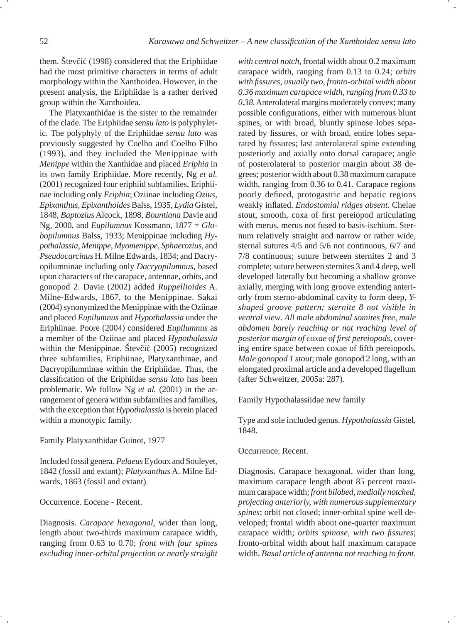them. Števčić (1998) considered that the Eriphiidae had the most primitive characters in terms of adult morphology within the Xanthoidea. However, in the present analysis, the Eriphiidae is a rather derived group within the Xanthoidea.

 The Platyxanthidae is the sister to the remainder of the clade. The Eriphiidae *sensu lato* is polyphyletic. The polyphyly of the Eriphiidae *sensu lato* was previously suggested by Coelho and Coelho Filho (1993), and they included the Menippinae with *Menippe* within the Xanthidae and placed *Eriphia* in its own family Eriphiidae. More recently, Ng *et al.* (2001) recognized four eriphiid subfamilies, Eriphiinae including only *Eriphia*; Oziinae including *Ozius*, *Epixanthus, Epixanthoides* Balss, 1935, *Lydia* Gistel, 1848, *Baptozius* Alcock, 1898, *Bountiana* Davie and Ng, 2000, and *Eupilumnus* Kossmann, 1877 = *Globopilumnus* Balss, 1933; Menippinae including *Hypothalassia*, *Menippe*, *Myomenippe*, *Sphaerozius,* and *Pseudocarcinus* H. Milne Edwards, 1834; and Dacryopilumninae including only *Dacryopilumnus*, based upon characters of the carapace, antennae, orbits, and gonopod 2. Davie (2002) added *Ruppellioides* A. Milne-Edwards, 1867, to the Menippinae. Sakai (2004) synonymized the Menippinae with the Oziinae and placed *Eupilumnus* and *Hypothalassia* under the Eriphiinae. Poore (2004) considered *Eupilumnus* as a member of the Oziinae and placed *Hypothalassia*  within the Menippinae. Števčić  $(2005)$  recognized three subfamilies, Eriphiinae, Platyxanthinae, and Dacryopilumninae within the Eriphiidae. Thus, the classification of the Eriphiidae sensu lato has been problematic. We follow Ng *et al.* (2001) in the arrangement of genera within subfamilies and families, with the exception that *Hypothalassia* is herein placed within a monotypic family.

Family Platyxanthidae Guinot, 1977

Included fossil genera. *Pelaeus* Eydoux and Souleyet, 1842 (fossil and extant); *Platyxanthus* A. Milne Edwards, 1863 (fossil and extant).

Occurrence. Eocene - Recent.

Diagnosis. *Carapace hexagonal*, wider than long, length about two-thirds maximum carapace width, ranging from 0.63 to 0.70; *front with four spines excluding inner-orbital projection or nearly straight*  *with central notch*, frontal width about 0.2 maximum carapace width, ranging from 0.13 to 0.24; *orbits with fi ssures, usually two*, *fronto-orbital width about 0.36 maximum carapace width, ranging from 0.33 to 0.38*. Anterolateral margins moderately convex; many possible configurations, either with numerous blunt spines, or with broad, bluntly spinose lobes separated by fissures, or with broad, entire lobes separated by fissures; last anterolateral spine extending posteriorly and axially onto dorsal carapace; angle of posterolateral to posterior margin about 38 degrees; posterior width about 0.38 maximum carapace width, ranging from 0.36 to 0.41. Carapace regions poorly defined, protogastric and hepatic regions weakly infl ated. *Endostomial ridges absent*. Chelae stout, smooth, coxa of first pereiopod articulating with merus, merus not fused to basis-ischium. Sternum relatively straight and narrow or rather wide, sternal sutures 4/5 and 5/6 not continuous, 6/7 and 7/8 continuous; suture between sternites 2 and 3 complete; suture between sternites 3 and 4 deep, well developed laterally but becoming a shallow groove axially, merging with long groove extending anteriorly from sterno-abdominal cavity to form deep, *Yshaped groove pattern; sternite 8 not visible in ventral view*. *All male abdominal somites free, male abdomen barely reaching or not reaching level of posterior margin of coxae of first pereiopods, cover*ing entire space between coxae of fifth pereiopods. *Male gonopod 1 stout*; male gonopod 2 long, with an elongated proximal article and a developed flagellum (after Schweitzer, 2005a: 287).

Family Hypothalassiidae new family

Type and sole included genus. *Hypothalassia* Gistel, 1848.

Occurrence. Recent.

Diagnosis. Carapace hexagonal, wider than long, maximum carapace length about 85 percent maximum carapace width; *front bilobed, medially notched, projecting anteriorly, with numerous supplementary spines*; orbit not closed; inner-orbital spine well developed; frontal width about one-quarter maximum carapace width; *orbits spinose*, with two *fissures*; fronto-orbital width about half maximum carapace width. *Basal article of antenna not reaching to front*.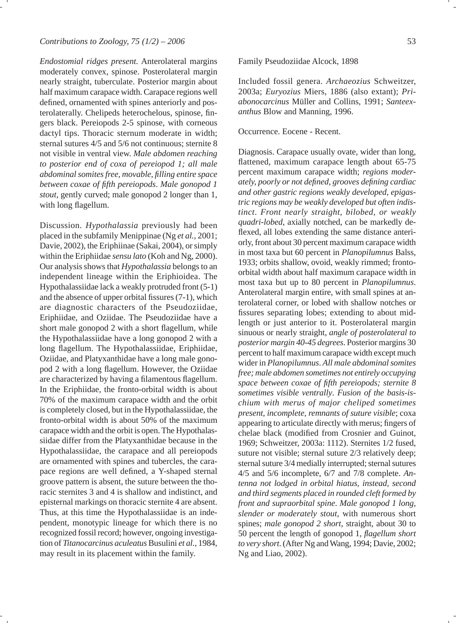*Endostomial ridges present.* Anterolateral margins moderately convex, spinose. Posterolateral margin nearly straight, tuberculate. Posterior margin about half maximum carapace width. Carapace regions well defined, ornamented with spines anteriorly and posterolaterally. Chelipeds heterochelous, spinose, fingers black. Pereiopods 2-5 spinose, with corneous dactyl tips. Thoracic sternum moderate in width; sternal sutures 4/5 and 5/6 not continuous; sternite 8 not visible in ventral view. *Male abdomen reaching to posterior end of coxa of pereiopod 1; all male abdominal somites free, movable, fi lling entire space between coxae of fifth pereiopods. Male gonopod 1 stout*, gently curved; male gonopod 2 longer than 1, with long flagellum.

Discussion. *Hypothalassia* previously had been placed in the subfamily Menippinae (Ng *et al.*, 2001; Davie, 2002), the Eriphiinae (Sakai, 2004), or simply within the Eriphiidae *sensu lato* (Koh and Ng, 2000). Our analysis shows that *Hypothalassia* belongs to an independent lineage within the Eriphioidea. The Hypothalassiidae lack a weakly protruded front (5-1) and the absence of upper orbital fissures  $(7-1)$ , which are diagnostic characters of the Pseudoziidae, Eriphiidae, and Oziidae. The Pseudoziidae have a short male gonopod 2 with a short flagellum, while the Hypothalassiidae have a long gonopod 2 with a long flagellum. The Hypothalassiidae, Eriphiidae, Oziidae, and Platyxanthidae have a long male gonopod 2 with a long flagellum. However, the Oziidae are characterized by having a filamentous flagellum. In the Eriphiidae, the fronto-orbital width is about 70% of the maximum carapace width and the orbit is completely closed, but in the Hypothalassiidae, the fronto-orbital width is about 50% of the maximum carapace width and the orbit is open. The Hypothalassiidae differ from the Platyxanthidae because in the Hypothalassiidae, the carapace and all pereiopods are ornamented with spines and tubercles, the carapace regions are well defined, a Y-shaped sternal groove pattern is absent, the suture between the thoracic sternites 3 and 4 is shallow and indistinct, and episternal markings on thoracic sternite 4 are absent. Thus, at this time the Hypothalassiidae is an independent, monotypic lineage for which there is no recognized fossil record; however, ongoing investigation of *Titanocarcinus aculeatus* Busulini *et al.*, 1984, may result in its placement within the family.

#### Family Pseudoziidae Alcock, 1898

Included fossil genera. *Archaeozius* Schweitzer, 2003a; *Euryozius* Miers, 1886 (also extant); *Priabonocarcinus* Müller and Collins, 1991; *Santeexanthus* Blow and Manning, 1996.

## Occurrence. Eocene - Recent.

Diagnosis. Carapace usually ovate, wider than long, flattened, maximum carapace length about 65-75 percent maximum carapace width; *regions moderately, poorly or not defi ned, grooves defi ning cardiac and other gastric regions weakly developed, epigastric regions may be weakly developed but often indistinct*. *Front nearly straight, bilobed, or weakly quadri-lobed*, axially notched, can be markedly deflexed, all lobes extending the same distance anteriorly, front about 30 percent maximum carapace width in most taxa but 60 percent in *Planopilumnus* Balss, 1933; orbits shallow, ovoid, weakly rimmed; frontoorbital width about half maximum carapace width in most taxa but up to 80 percent in *Planopilumnus*. Anterolateral margin entire, with small spines at anterolateral corner, or lobed with shallow notches or fissures separating lobes; extending to about midlength or just anterior to it. Posterolateral margin sinuous or nearly straight, *angle of posterolateral to posterior margin 40-45 degrees*. Posterior margins 30 percent to half maximum carapace width except much wider in *Planopilumnus*. *All male abdominal somites free; male abdomen sometimes not entirely occupying space between coxae of fifth pereiopods; sternite 8 sometimes visible ventrally*. *Fusion of the basis-ischium with merus of major cheliped sometimes present, incomplete, remnants of suture visible*; coxa appearing to articulate directly with merus; fingers of chelae black (modified from Crosnier and Guinot, 1969; Schweitzer, 2003a: 1112). Sternites 1/2 fused, suture not visible; sternal suture 2/3 relatively deep; sternal suture 3/4 medially interrupted; sternal sutures 4/5 and 5/6 incomplete, 6/7 and 7/8 complete. *Antenna not lodged in orbital hiatus, instead, second and third segments placed in rounded cleft formed by front and supraorbital spine*. *Male gonopod 1 long, slender or moderately stout*, with numerous short spines; *male gonopod 2 short*, straight, about 30 to 50 percent the length of gonopod 1, *flagellum short to very short*. (After Ng and Wang, 1994; Davie, 2002; Ng and Liao, 2002).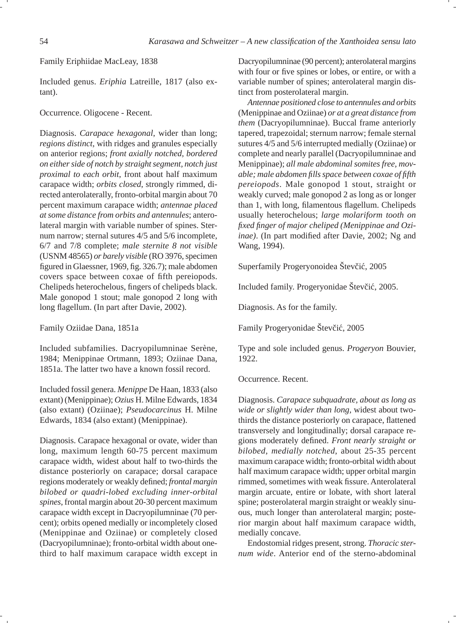Family Eriphiidae MacLeay, 1838

Included genus. *Eriphia* Latreille, 1817 (also extant).

Occurrence. Oligocene - Recent.

Diagnosis. *Carapace hexagonal*, wider than long; *regions distinct*, with ridges and granules especially on anterior regions; *front axially notched, bordered on either side of notch by straight segment, notch just proximal to each orbit*, front about half maximum carapace width; *orbits closed*, strongly rimmed, directed anterolaterally, fronto-orbital margin about 70 percent maximum carapace width; *antennae placed at some distance from orbits and antennules*; anterolateral margin with variable number of spines. Sternum narrow; sternal sutures 4/5 and 5/6 incomplete, 6/7 and 7/8 complete; *male sternite 8 not visible* (USNM 48565) *or barely visible* (RO 3976, specimen figured in Glaessner, 1969, fig. 326.7); male abdomen covers space between coxae of fifth pereiopods. Chelipeds heterochelous, fingers of chelipeds black. Male gonopod 1 stout; male gonopod 2 long with long flagellum. (In part after Davie, 2002).

Family Oziidae Dana, 1851a

Included subfamilies. Dacryopilumninae Serène, 1984; Menippinae Ortmann, 1893; Oziinae Dana, 1851a. The latter two have a known fossil record.

Included fossil genera. *Menippe* De Haan, 1833 (also extant) (Menippinae); *Ozius* H. Milne Edwards, 1834 (also extant) (Oziinae); *Pseudocarcinus* H. Milne Edwards, 1834 (also extant) (Menippinae).

Diagnosis. Carapace hexagonal or ovate, wider than long, maximum length 60-75 percent maximum carapace width, widest about half to two-thirds the distance posteriorly on carapace; dorsal carapace regions moderately or weakly defined; *frontal margin bilobed or quadri-lobed excluding inner-orbital spines*, frontal margin about 20-30 percent maximum carapace width except in Dacryopilumninae (70 percent); orbits opened medially or incompletely closed (Menippinae and Oziinae) or completely closed (Dacryopilumninae); fronto-orbital width about onethird to half maximum carapace width except in

Dacryopilumninae (90 percent); anterolateral margins with four or five spines or lobes, or entire, or with a variable number of spines; anterolateral margin distinct from posterolateral margin.

 *Antennae positioned close to antennules and orbits* (Menippinae and Oziinae) *or at a great distance from them* (Dacryopilumninae). Buccal frame anteriorly tapered, trapezoidal; sternum narrow; female sternal sutures 4/5 and 5/6 interrupted medially (Oziinae) or complete and nearly parallel (Dacryopilumninae and Menippinae); *all male abdominal somites free, movable; male abdomen fi lls space between coxae of fi fth pereiopods*. Male gonopod 1 stout, straight or weakly curved; male gonopod 2 as long as or longer than 1, with long, filamentous flagellum. Chelipeds usually heterochelous; *large molariform tooth on fi xed fi nger of major cheliped (Menippinae and Oziinae*). (In part modified after Davie, 2002; Ng and Wang, 1994).

Superfamily Progeryonoidea Števčić, 2005

Included family. Progeryonidae Števčić, 2005.

Diagnosis. As for the family.

Family Progeryonidae Števčić, 2005

Type and sole included genus. *Progeryon* Bouvier, 1922.

Occurrence. Recent.

Diagnosis. *Carapace subquadrate, about as long as wide or slightly wider than long,* widest about twothirds the distance posteriorly on carapace, flattened transversely and longitudinally; dorsal carapace regions moderately defined. *Front nearly straight or bilobed, medially notched*, about 25-35 percent maximum carapace width; fronto-orbital width about half maximum carapace width; upper orbital margin rimmed, sometimes with weak fissure. Anterolateral margin arcuate, entire or lobate, with short lateral spine; posterolateral margin straight or weakly sinuous, much longer than anterolateral margin; posterior margin about half maximum carapace width, medially concave.

 Endostomial ridges present, strong. *Thoracic sternum wide*. Anterior end of the sterno-abdominal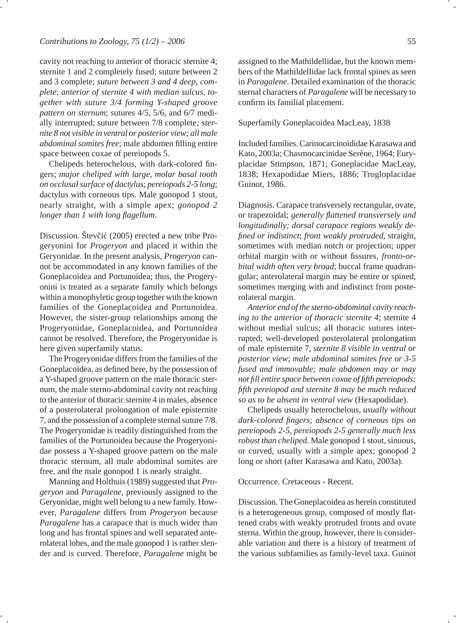cavity not reaching to anterior of thoracic sternite 4; sternite 1 and 2 completely fused; suture between 2 and 3 complete; *suture between 3 and 4 deep, complete*; *anterior of sternite 4 with median sulcus, together with suture 3/4 forming Y-shaped groove pattern on sternum*; sutures 4/5, 5/6, and 6/7 medially interrupted; suture between 7/8 complete*; sternite 8 not visible in ventral or posterior view; all male abdominal somites free*; male abdomen filling entire space between coxae of pereiopods 5.

Chelipeds heterochelous, with dark-colored fingers; *major cheliped with large, molar basal tooth on occlusal surface of dactylus*; *pereiopods 2-5 long*; dactylus with corneous tips. Male gonopod 1 stout, nearly straight, with a simple apex; *gonopod 2 longer than 1 with long flagellum.* 

Discussion. Števčić (2005) erected a new tribe Progeryonini for *Progeryon* and placed it within the Geryonidae. In the present analysis, *Progeryon* cannot be accommodated in any known families of the Goneplacoidea and Portunoidea; thus, the Progeryonini is treated as a separate family which belongs within a monophyletic group together with the known families of the Goneplacoidea and Portunoidea. However, the sister-group relationships among the Progeryonidae, Goneplacoidea, and Portunoidea cannot be resolved. Therefore, the Progeryonidae is here given superfamily status.

 The Progeryonidae differs from the families of the Goneplacoidea, as defined here, by the possession of a Y-shaped groove pattern on the male thoracic sternum, the male sterno-abdominal cavity not reaching to the anterior of thoracic sternite 4 in males, absence of a posterolateral prolongation of male episternite 7, and the possession of a complete sternal suture 7/8. The Progeryonidae is readily distinguished from the families of the Portunoidea because the Progeryonidae possess a Y-shaped groove pattern on the male thoracic sternum, all male abdominal somites are free, and the male gonopod 1 is nearly straight.

 Manning and Holthuis (1989) suggested that *Progeryon* and *Paragalene*, previously assigned to the Geryonidae, might well belong to a new family. However, *Paragalene* differs from *Progeryon* because *Paragalene* has a carapace that is much wider than long and has frontal spines and well separated anterolateral lobes, and the male gonopod 1 is rather slender and is curved. Therefore, *Paragalene* might be assigned to the Mathildellidae, but the known members of the Mathildellidae lack frontal spines as seen in *Paragalene*. Detailed examination of the thoracic sternal characters of *Paragalene* will be necessary to confirm its familial placement.

#### Superfamily Goneplacoidea MacLeay, 1838

Included families. Carinocarcinoididae Karasawa and Kato, 2003a; Chasmocarcinidae Serène, 1964; Euryplacidae Stimpson, 1871; Goneplacidae MacLeay, 1838; Hexapodidae Miers, 1886; Trogloplacidae Guinot, 1986.

Diagnosis. Carapace transversely rectangular, ovate, or trapezoidal; *generally flattened transversely and longitudinally; dorsal carapace regions weakly defi ned or indistinct*; *front weakly protruded*, straight, sometimes with median notch or projection; upper orbital margin with or without fissures, *fronto-orbital width often very broad*; buccal frame quadrangular; anterolateral margin may be entire or spined, sometimes merging with and indistinct from posterolateral margin.

 *Anterior end of the sterno-abdominal cavity reaching to the anterior of thoracic sternite 4*; sternite 4 without medial sulcus; all thoracic sutures interrupted; well-developed posterolateral prolongation of male episternite 7, *sternite 8 visible in ventral or posterior view*; *male abdominal somites free or 3-5 fused and immovable; male abdomen may or may not fill entire space between coxae of fifth pereiopods; fi fth pereiopod and sternite 8 may be much reduced so as to be absent in ventral view* (Hexapodidae).

 Chelipeds usually heterochelous, *usually without dark-colored fi ngers*; *absence of corneous tips on pereiopods 2-5*, *pereiopods 2-5 generally much less robust than cheliped*. Male gonopod 1 stout, sinuous, or curved, usually with a simple apex; gonopod 2 long or short (after Karasawa and Kato, 2003a).

Occurrence. Cretaceous - Recent.

Discussion. The Goneplacoidea as herein constituted is a heterogeneous group, composed of mostly flattened crabs with weakly protruded fronts and ovate sterna. Within the group, however, there is considerable variation and there is a history of treatment of the various subfamilies as family-level taxa. Guinot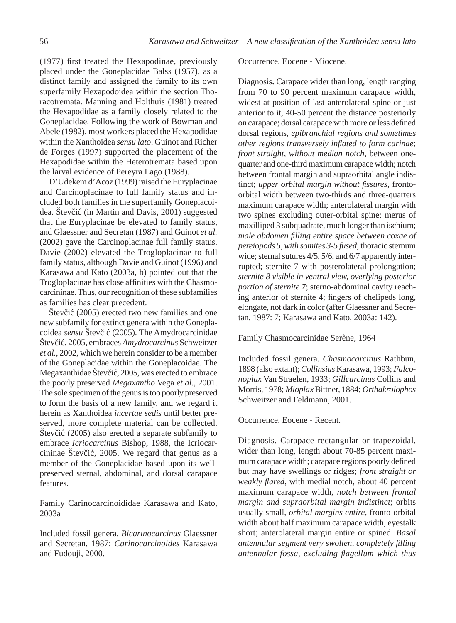$(1977)$  first treated the Hexapodinae, previously placed under the Goneplacidae Balss (1957), as a distinct family and assigned the family to its own superfamily Hexapodoidea within the section Thoracotremata. Manning and Holthuis (1981) treated the Hexapodidae as a family closely related to the Goneplacidae. Following the work of Bowman and Abele (1982), most workers placed the Hexapodidae within the Xanthoidea *sensu lato*. Guinot and Richer de Forges (1997) supported the placement of the Hexapodidae within the Heterotremata based upon the larval evidence of Pereyra Lago (1988).

 D'Udekem d'Acoz (1999) raised the Euryplacinae and Carcinoplacinae to full family status and included both families in the superfamily Goneplacoidea. Števčić (in Martin and Davis, 2001) suggested that the Euryplacinae be elevated to family status, and Glaessner and Secretan (1987) and Guinot *et al.* (2002) gave the Carcinoplacinae full family status. Davie (2002) elevated the Trogloplacinae to full family status, although Davie and Guinot (1996) and Karasawa and Kato (2003a, b) pointed out that the Trogloplacinae has close affinities with the Chasmocarcininae. Thus, our recognition of these subfamilies as families has clear precedent.

 $\text{Števčić}$  (2005) erected two new families and one new subfamily for extinct genera within the Goneplacoidea *sensu* Števčić (2005). The Amydrocarcinidae Števčić, 2005, embraces *Amydrocarcinus* Schweitzer *et al.,* 2002, which we herein consider to be a member of the Goneplacidae within the Goneplacoidae. The Megaxanthidae Števčić, 2005, was erected to embrace the poorly preserved *Megaxantho* Vega *et al.,* 2001. The sole specimen of the genus is too poorly preserved to form the basis of a new family, and we regard it herein as Xanthoidea *incertae sedis* until better preserved, more complete material can be collected. Števčić (2005) also erected a separate subfamily to embrace *Icriocarcinus* Bishop, 1988, the Icriocarcininae Števčić, 2005. We regard that genus as a member of the Goneplacidae based upon its wellpreserved sternal, abdominal, and dorsal carapace features.

Family Carinocarcinoididae Karasawa and Kato, 2003a

Included fossil genera. *Bicarinocarcinus* Glaessner and Secretan, 1987; *Carinocarcinoides* Karasawa and Fudouji, 2000.

#### Occurrence. Eocene - Miocene.

Diagnosis**.** Carapace wider than long, length ranging from 70 to 90 percent maximum carapace width, widest at position of last anterolateral spine or just anterior to it, 40-50 percent the distance posteriorly on carapace; dorsal carapace with more or less defined dorsal regions, *epibranchial regions and sometimes other regions transversely inflated to form carinae; front straight, without median notch*, between onequarter and one-third maximum carapace width; notch between frontal margin and supraorbital angle indistinct; *upper orbital margin without fissures*, frontoorbital width between two-thirds and three-quarters maximum carapace width; anterolateral margin with two spines excluding outer-orbital spine; merus of maxilliped 3 subquadrate, much longer than ischium; *male abdomen fi lling entire space between coxae of pereiopods 5, with somites 3-5 fused*; thoracic sternum wide; sternal sutures  $4/5$ ,  $5/6$ , and  $6/7$  apparently interrupted; sternite 7 with posterolateral prolongation; *sternite 8 visible in ventral view, overlying posterior portion of sternite 7*; sterno-abdominal cavity reaching anterior of sternite 4; fingers of chelipeds long, elongate, not dark in color (after Glaessner and Secretan, 1987: 7; Karasawa and Kato, 2003a: 142).

Family Chasmocarcinidae Serène, 1964

Included fossil genera. *Chasmocarcinus* Rathbun, 1898 (also extant); *Collinsius* Karasawa, 1993; *Falconoplax* Van Straelen, 1933; *Gillcarcinus* Collins and Morris, 1978; *Mioplax* Bittner, 1884; *Orthakrolophos* Schweitzer and Feldmann, 2001.

Occurrence. Eocene - Recent.

Diagnosis. Carapace rectangular or trapezoidal, wider than long, length about 70-85 percent maximum carapace width; carapace regions poorly defined but may have swellings or ridges; *front straight or weakly fl ared*, with medial notch, about 40 percent maximum carapace width, *notch between frontal margin and supraorbital margin indistinct*; orbits usually small, *orbital margins entire*, fronto-orbital width about half maximum carapace width, eyestalk short; anterolateral margin entire or spined. *Basal antennular segment very swollen, completely fi lling antennular fossa, excluding fl agellum which thus*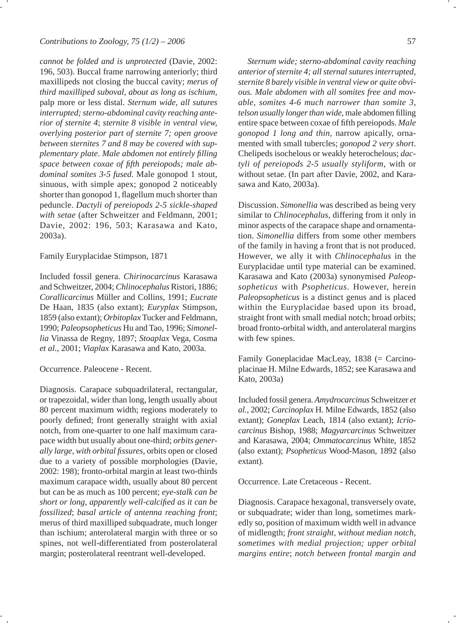*cannot be folded and is unprotected* (Davie, 2002: 196, 503). Buccal frame narrowing anteriorly; third maxillipeds not closing the buccal cavity; *merus of third maxilliped suboval, about as long as ischium*, palp more or less distal. *Sternum wide, all sutures interrupted; sterno-abdominal cavity reaching anterior of sternite 4*; *sternite 8 visible in ventral view, overlying posterior part of sternite 7; open groove between sternites 7 and 8 may be covered with supplementary plate*. *Male abdomen not entirely fi lling*  space between coxae of fifth pereiopods; male ab*dominal somites 3-5 fused*. Male gonopod 1 stout, sinuous, with simple apex; gonopod 2 noticeably shorter than gonopod 1, flagellum much shorter than peduncle. *Dactyli of pereiopods 2-5 sickle-shaped with setae* (after Schweitzer and Feldmann, 2001; Davie, 2002: 196, 503; Karasawa and Kato, 2003a).

Family Euryplacidae Stimpson, 1871

Included fossil genera. *Chirinocarcinus* Karasawa and Schweitzer, 2004; *Chlinocephalus* Ristori, 1886; *Corallicarcinus* Müller and Collins, 1991; *Eucrate* De Haan, 1835 (also extant); *Euryplax* Stimpson, 1859 (also extant); *Orbitoplax* Tucker and Feldmann, 1990; *Paleopsopheticus* Hu and Tao, 1996; *Simonellia* Vinassa de Regny, 1897; *Stoaplax* Vega, Cosma *et al.*, 2001; *Viaplax* Karasawa and Kato, 2003a.

Occurrence. Paleocene - Recent.

Diagnosis. Carapace subquadrilateral, rectangular, or trapezoidal, wider than long, length usually about 80 percent maximum width; regions moderately to poorly defined; front generally straight with axial notch, from one-quarter to one half maximum carapace width but usually about one-third; *orbits generally large, with orbital fi ssures*, orbits open or closed due to a variety of possible morphologies (Davie, 2002: 198); fronto-orbital margin at least two-thirds maximum carapace width, usually about 80 percent but can be as much as 100 percent; *eye-stalk can be short or long, apparently well-calcified as it can be fossilized*; *basal article of antenna reaching front*; merus of third maxilliped subquadrate, much longer than ischium; anterolateral margin with three or so spines, not well-differentiated from posterolateral margin; posterolateral reentrant well-developed.

 *Sternum wide; sterno-abdominal cavity reaching anterior of sternite 4; all sternal sutures interrupted, sternite 8 barely visible in ventral view or quite obvious. Male abdomen with all somites free and movable, somites 4-6 much narrower than somite 3*, *telson usually longer than wide*, male abdomen filling entire space between coxae of fifth pereiopods. Male *gonopod 1 long and thin*, narrow apically, ornamented with small tubercles; *gonopod 2 very short*. Chelipeds isochelous or weakly heterochelous; *dactyli of pereiopods 2-5 usually styliform*, with or without setae. (In part after Davie, 2002, and Karasawa and Kato, 2003a).

Discussion. *Simonellia* was described as being very similar to *Chlinocephalus*, differing from it only in minor aspects of the carapace shape and ornamentation. *Simonellia* differs from some other members of the family in having a front that is not produced. However, we ally it with *Chlinocephalus* in the Euryplacidae until type material can be examined. Karasawa and Kato (2003a) synonymised *Paleopsopheticus* with *Psopheticus*. However, herein *Paleopsopheticus* is a distinct genus and is placed within the Euryplacidae based upon its broad, straight front with small medial notch; broad orbits; broad fronto-orbital width, and anterolateral margins with few spines.

Family Goneplacidae MacLeay, 1838 (= Carcinoplacinae H. Milne Edwards, 1852; see Karasawa and Kato, 2003a)

Included fossil genera. *Amydrocarcinus* Schweitzer *et al.*, 2002; *Carcinoplax* H. Milne Edwards, 1852 (also extant); *Goneplax* Leach, 1814 (also extant); *Icriocarcinus* Bishop, 1988; *Magyarcarcinus* Schweitzer and Karasawa, 2004; *Ommatocarcinus* White, 1852 (also extant); *Psopheticus* Wood-Mason, 1892 (also extant).

Occurrence. Late Cretaceous - Recent.

Diagnosis. Carapace hexagonal, transversely ovate, or subquadrate; wider than long, sometimes markedly so, position of maximum width well in advance of midlength; *front straight, without median notch, sometimes with medial projection; upper orbital margins entire*; *notch between frontal margin and*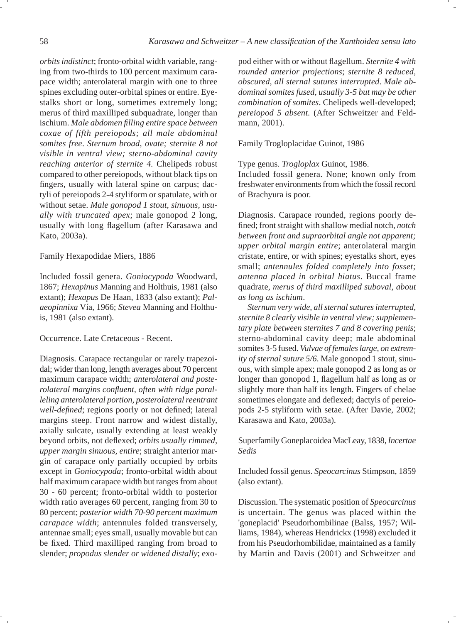*orbits indistinct*; fronto-orbital width variable, ranging from two-thirds to 100 percent maximum carapace width; anterolateral margin with one to three spines excluding outer-orbital spines or entire. Eyestalks short or long, sometimes extremely long; merus of third maxilliped subquadrate, longer than ischium. *Male abdomen fi lling entire space between coxae of fifth pereiopods; all male abdominal somites free*. *Sternum broad, ovate; sternite 8 not visible in ventral view; sterno-abdominal cavity reaching anterior of sternite 4.* Chelipeds robust compared to other pereiopods, without black tips on fingers, usually with lateral spine on carpus; dactyli of pereiopods 2-4 styliform or spatulate, with or without setae. *Male gonopod 1 stout, sinuous, usually with truncated apex*; male gonopod 2 long, usually with long flagellum (after Karasawa and Kato, 2003a).

Family Hexapodidae Miers, 1886

Included fossil genera. *Goniocypoda* Woodward, 1867; *Hexapinus* Manning and Holthuis, 1981 (also extant); *Hexapus* De Haan, 1833 (also extant); *Palaeopinnixa* Vía, 1966; *Stevea* Manning and Holthuis, 1981 (also extant).

Occurrence. Late Cretaceous - Recent.

Diagnosis. Carapace rectangular or rarely trapezoidal; wider than long, length averages about 70 percent maximum carapace width; *anterolateral and posterolateral margins confluent, often with ridge paralleling anterolateral portion, posterolateral reentrant well-defined*; regions poorly or not defined; lateral margins steep. Front narrow and widest distally, axially sulcate, usually extending at least weakly beyond orbits, not deflexed; *orbits usually rimmed*, *upper margin sinuous, entire*; straight anterior margin of carapace only partially occupied by orbits except in *Goniocypoda*; fronto-orbital width about half maximum carapace width but ranges from about 30 - 60 percent; fronto-orbital width to posterior width ratio averages 60 percent, ranging from 30 to 80 percent; *posterior width 70-90 percent maximum carapace width*; antennules folded transversely, antennae small; eyes small, usually movable but can be fixed. Third maxilliped ranging from broad to slender; *propodus slender or widened distally*; exopod either with or without fl agellum. *Sternite 4 with rounded anterior projections*; *sternite 8 reduced, obscured*, *all sternal sutures interrupted*. *Male abdominal somites fused, usually 3-5 but may be other combination of somites*. Chelipeds well-developed; *pereiopod 5 absent.* (After Schweitzer and Feldmann, 2001).

Family Trogloplacidae Guinot, 1986

Type genus. *Trogloplax* Guinot, 1986.

Included fossil genera. None; known only from freshwater environments from which the fossil record of Brachyura is poor.

Diagnosis. Carapace rounded, regions poorly defined; front straight with shallow medial notch, *notch between front and supraorbital angle not apparent; upper orbital margin entire*; anterolateral margin cristate, entire, or with spines; eyestalks short, eyes small; *antennules folded completely into fosset; antenna placed in orbital hiatus*. Buccal frame quadrate, *merus of third maxilliped suboval, about as long as ischium*.

 *Sternum very wide, all sternal sutures interrupted*, *sternite 8 clearly visible in ventral view; supplementary plate between sternites 7 and 8 covering penis*; sterno-abdominal cavity deep; male abdominal somites 3-5 fused. *Vulvae of females large, on extremity of sternal suture 5/6*. Male gonopod 1 stout, sinuous, with simple apex; male gonopod 2 as long as or longer than gonopod 1, flagellum half as long as or slightly more than half its length. Fingers of chelae sometimes elongate and deflexed; dactyls of pereiopods 2-5 styliform with setae. (After Davie, 2002; Karasawa and Kato, 2003a).

Superfamily Goneplacoidea MacLeay, 1838, *Incertae Sedis*

Included fossil genus. *Speocarcinus* Stimpson, 1859 (also extant).

Discussion. The systematic position of *Speocarcinus* is uncertain. The genus was placed within the 'goneplacid' Pseudorhombilinae (Balss, 1957; Williams, 1984), whereas Hendrickx (1998) excluded it from his Pseudorhombilidae, maintained as a family by Martin and Davis (2001) and Schweitzer and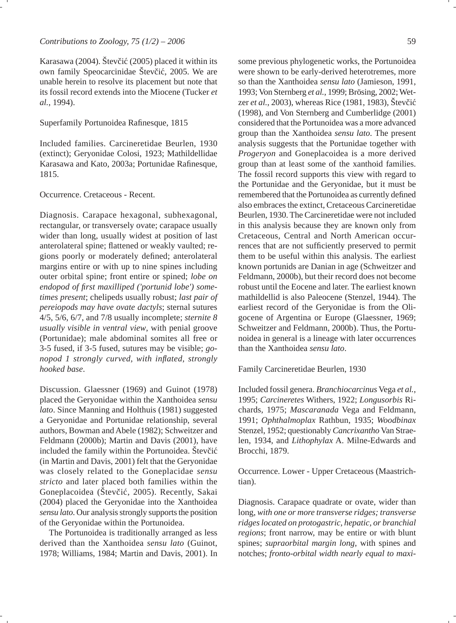Karasawa (2004). Števčić (2005) placed it within its own family Speocarcinidae Števčić, 2005. We are unable herein to resolve its placement but note that its fossil record extends into the Miocene (Tucker *et al.*, 1994).

Superfamily Portunoidea Rafinesque, 1815

Included families. Carcineretidae Beurlen, 1930 (extinct); Geryonidae Colosi, 1923; Mathildellidae Karasawa and Kato, 2003a; Portunidae Rafinesque, 1815.

Occurrence. Cretaceous - Recent.

Diagnosis. Carapace hexagonal, subhexagonal, rectangular, or transversely ovate; carapace usually wider than long, usually widest at position of last anterolateral spine; flattened or weakly vaulted; regions poorly or moderately defined; anterolateral margins entire or with up to nine spines including outer orbital spine; front entire or spined; *lobe on*  endopod of first maxilliped ('portunid lobe') some*times present*; chelipeds usually robust; *last pair of pereiopods may have ovate dactyls*; sternal sutures 4/5, 5/6, 6/7, and 7/8 usually incomplete; *sternite 8 usually visible in ventral view*, with penial groove (Portunidae); male abdominal somites all free or 3-5 fused, if 3-5 fused, sutures may be visible; *gonopod 1 strongly curved, with inflated, strongly hooked base*.

Discussion. Glaessner (1969) and Guinot (1978) placed the Geryonidae within the Xanthoidea *sensu lato*. Since Manning and Holthuis (1981) suggested a Geryonidae and Portunidae relationship, several authors, Bowman and Abele (1982); Schweitzer and Feldmann (2000b); Martin and Davis (2001), have included the family within the Portunoidea. Števčić (in Martin and Davis, 2001) felt that the Geryonidae was closely related to the Goneplacidae *sensu stricto* and later placed both families within the Goneplacoidea (Števčić, 2005). Recently, Sakai (2004) placed the Geryonidae into the Xanthoidea *sensu lato*. Our analysis strongly supports the position of the Geryonidae within the Portunoidea.

 The Portunoidea is traditionally arranged as less derived than the Xanthoidea *sensu lato* (Guinot, 1978; Williams, 1984; Martin and Davis, 2001). In some previous phylogenetic works, the Portunoidea were shown to be early-derived heterotremes, more so than the Xanthoidea *sensu lato* (Jamieson, 1991, 1993; Von Sternberg *et al.*, 1999; Brösing, 2002; Wetzer *et al.*, 2003), whereas Rice (1981, 1983), Števčić (1998), and Von Sternberg and Cumberlidge (2001) considered that the Portunoidea was a more advanced group than the Xanthoidea *sensu lato*. The present analysis suggests that the Portunidae together with *Progeryon* and Goneplacoidea is a more derived group than at least some of the xanthoid families. The fossil record supports this view with regard to the Portunidae and the Geryonidae, but it must be remembered that the Portunoidea as currently defined also embraces the extinct, Cretaceous Carcineretidae Beurlen, 1930. The Carcineretidae were not included in this analysis because they are known only from Cretaceous, Central and North American occurrences that are not sufficiently preserved to permit them to be useful within this analysis. The earliest known portunids are Danian in age (Schweitzer and Feldmann, 2000b), but their record does not become robust until the Eocene and later. The earliest known mathildellid is also Paleocene (Stenzel, 1944). The earliest record of the Geryonidae is from the Oligocene of Argentina or Europe (Glaessner, 1969; Schweitzer and Feldmann, 2000b). Thus, the Portunoidea in general is a lineage with later occurrences than the Xanthoidea *sensu lato*.

Family Carcineretidae Beurlen, 1930

Included fossil genera. *Branchiocarcinus* Vega *et al.*, 1995; *Carcineretes* Withers, 1922; *Longusorbis* Richards, 1975; *Mascaranada* Vega and Feldmann, 1991; *Ophthalmoplax* Rathbun, 1935; *Woodbinax* Stenzel, 1952; questionably *Cancrixantho* Van Straelen, 1934, and *Lithophylax* A. Milne-Edwards and Brocchi, 1879.

Occurrence. Lower - Upper Cretaceous (Maastrichtian).

Diagnosis. Carapace quadrate or ovate, wider than long, *with one or more transverse ridges; transverse ridges located on protogastric, hepatic, or branchial regions*; front narrow, may be entire or with blunt spines; *supraorbital margin long*, with spines and notches; *fronto-orbital width nearly equal to maxi-*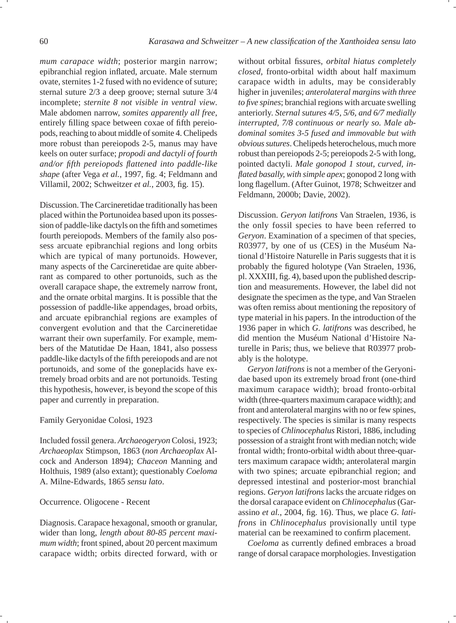*mum carapace width*; posterior margin narrow; epibranchial region inflated, arcuate. Male sternum ovate, sternites 1-2 fused with no evidence of suture; sternal suture 2/3 a deep groove; sternal suture 3/4 incomplete; *sternite 8 not visible in ventral view*. Male abdomen narrow, *somites apparently all free*, entirely filling space between coxae of fifth pereiopods, reaching to about middle of somite 4. Chelipeds more robust than pereiopods 2-5, manus may have keels on outer surface; *propodi and dactyli of fourth and/or fi fth pereiopods fl attened into paddle-like*  shape (after Vega et al., 1997, fig. 4; Feldmann and Villamil, 2002; Schweitzer et al., 2003, fig. 15).

Discussion. The Carcineretidae traditionally has been placed within the Portunoidea based upon its possession of paddle-like dactyls on the fifth and sometimes fourth pereiopods. Members of the family also possess arcuate epibranchial regions and long orbits which are typical of many portunoids. However, many aspects of the Carcineretidae are quite abberrant as compared to other portunoids, such as the overall carapace shape, the extremely narrow front, and the ornate orbital margins. It is possible that the possession of paddle-like appendages, broad orbits, and arcuate epibranchial regions are examples of convergent evolution and that the Carcineretidae warrant their own superfamily. For example, members of the Matutidae De Haan, 1841, also possess paddle-like dactyls of the fifth pereiopods and are not portunoids, and some of the goneplacids have extremely broad orbits and are not portunoids. Testing this hypothesis, however, is beyond the scope of this paper and currently in preparation.

## Family Geryonidae Colosi, 1923

Included fossil genera. *Archaeogeryon* Colosi, 1923; *Archaeoplax* Stimpson, 1863 (*non Archaeoplax* Alcock and Anderson 1894); *Chaceon* Manning and Holthuis, 1989 (also extant); questionably *Coeloma* A. Milne-Edwards, 1865 *sensu lato*.

#### Occurrence. Oligocene - Recent

Diagnosis. Carapace hexagonal, smooth or granular, wider than long, *length about 80-85 percent maximum width*; front spined, about 20 percent maximum carapace width; orbits directed forward, with or

without orbital fissures, *orbital hiatus completely closed*, fronto-orbital width about half maximum carapace width in adults, may be considerably higher in juveniles; *anterolateral margins with three to five spines*; branchial regions with arcuate swelling anteriorly. *Sternal sutures 4/5, 5/6, and 6/7 medially interrupted, 7/8 continuous or nearly so. Male abdominal somites 3-5 fused and immovable but with obvious sutures*. Chelipeds heterochelous, much more robust than pereiopods 2-5; pereiopods 2-5 with long, pointed dactyli. *Male gonopod 1 stout, curved, infl ated basally, with simple apex*; gonopod 2 long with long flagellum. (After Guinot, 1978; Schweitzer and Feldmann, 2000b; Davie, 2002).

Discussion. *Geryon latifrons* Van Straelen, 1936, is the only fossil species to have been referred to *Geryon*. Examination of a specimen of that species, R03977, by one of us (CES) in the Muséum National d'Histoire Naturelle in Paris suggests that it is probably the figured holotype (Van Straelen, 1936, pl. XXXIII, fig. 4), based upon the published description and measurements. However, the label did not designate the specimen as the type, and Van Straelen was often remiss about mentioning the repository of type material in his papers. In the introduction of the 1936 paper in which *G. latifrons* was described, he did mention the Muséum National d'Histoire Naturelle in Paris; thus, we believe that R03977 probably is the holotype.

 *Geryon latifrons* is not a member of the Geryonidae based upon its extremely broad front (one-third maximum carapace width); broad fronto-orbital width (three-quarters maximum carapace width); and front and anterolateral margins with no or few spines, respectively. The species is similar is many respects to species of *Chlinocephalus* Ristori, 1886, including possession of a straight front with median notch; wide frontal width; fronto-orbital width about three-quarters maximum carapace width; anterolateral margin with two spines; arcuate epibranchial region; and depressed intestinal and posterior-most branchial regions. *Geryon latifrons* lacks the arcuate ridges on the dorsal carapace evident on *Chlinocephalus* (Garassino et al., 2004, fig. 16). Thus, we place *G. latifrons* in *Chlinocephalus* provisionally until type material can be reexamined to confirm placement.

*Coeloma* as currently defined embraces a broad range of dorsal carapace morphologies. Investigation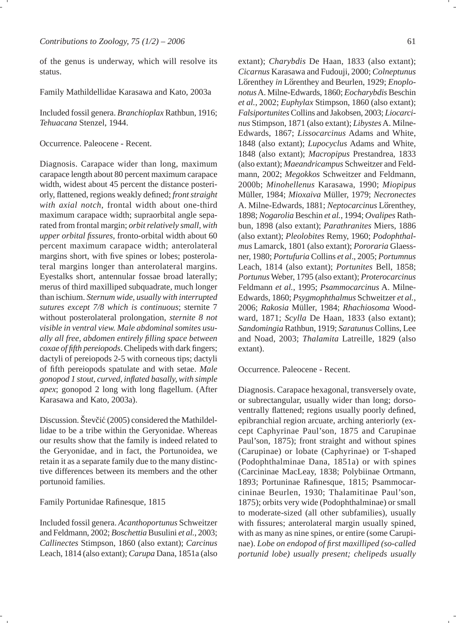of the genus is underway, which will resolve its status.

Family Mathildellidae Karasawa and Kato, 2003a

Included fossil genera. *Branchioplax* Rathbun, 1916; *Tehuacana* Stenzel, 1944.

Occurrence. Paleocene - Recent.

Diagnosis. Carapace wider than long, maximum carapace length about 80 percent maximum carapace width, widest about 45 percent the distance posteriorly, flattened, regions weakly defined; *front straight with axial notch*, frontal width about one-third maximum carapace width; supraorbital angle separated from frontal margin; *orbit relatively small, with upper orbital fi ssures*, fronto-orbital width about 60 percent maximum carapace width; anterolateral margins short, with five spines or lobes; posterolateral margins longer than anterolateral margins. Eyestalks short, antennular fossae broad laterally; merus of third maxilliped subquadrate, much longer than ischium. *Sternum wide, usually with interrupted sutures except 7/8 which is continuous*; sternite 7 without posterolateral prolongation, *sternite 8 not visible in ventral view. Male abdominal somites usually all free, abdomen entirely fi lling space between coxae of fifth pereiopods*. Chelipeds with dark fingers; dactyli of pereiopods 2-5 with corneous tips; dactyli of fifth pereiopods spatulate and with setae. Male *gonopod 1 stout, curved, infl ated basally, with simple apex*; gonopod 2 long with long flagellum. (After Karasawa and Kato, 2003a).

Discussion. Števčić (2005) considered the Mathildellidae to be a tribe within the Geryonidae. Whereas our results show that the family is indeed related to the Geryonidae, and in fact, the Portunoidea, we retain it as a separate family due to the many distinctive differences between its members and the other portunoid families.

Family Portunidae Rafinesque, 1815

Included fossil genera. *Acanthoportunus* Schweitzer and Feldmann, 2002; *Boschettia* Busulini *et al.*, 2003; *Callinectes* Stimpson, 1860 (also extant); *Carcinus* Leach, 1814 (also extant); *Carupa* Dana, 1851a (also extant); *Charybdis* De Haan, 1833 (also extant); *Cicarnus* Karasawa and Fudouji, 2000; *Colneptunus* Lőrenthey *in* Lőrenthey and Beurlen, 1929; *Enoplonotus* A. Milne-Edwards, 1860; *Eocharybdis* Beschin *et al.*, 2002; *Euphylax* Stimpson, 1860 (also extant); *Falsiportunites* Collins and Jakobsen, 2003; *Liocarcinus* Stimpson, 1871 (also extant); *Libystes* A. Milne-Edwards, 1867; *Lissocarcinus* Adams and White, 1848 (also extant); *Lupocyclus* Adams and White, 1848 (also extant); *Macropipus* Prestandrea, 1833 (also extant); *Maeandricampus* Schweitzer and Feldmann, 2002; *Megokkos* Schweitzer and Feldmann, 2000b; *Minohellenus* Karasawa, 1990; *Miopipus* Müller, 1984; *Mioxaiva* Müller, 1979; *Necronectes* A. Milne-Edwards, 1881; *Neptocarcinus* Lőrenthey, 1898; *Nogarolia* Beschin *et al.*, 1994; *Ovalipes* Rathbun, 1898 (also extant); *Parathranites* Miers, 1886 (also extant); *Pleolobites* Remy, 1960; *Podophthalmus* Lamarck, 1801 (also extant); *Pororaria* Glaessner, 1980; *Portufuria* Collins *et al*., 2005; *Portumnus* Leach, 1814 (also extant); *Portunites* Bell, 1858; *Portunus* Weber, 1795 (also extant); *Proterocarcinus* Feldmann *et al.*, 1995; *Psammocarcinus* A. Milne-Edwards, 1860; *Psygmophthalmus* Schweitzer *et al.*, 2006; *Rakosia* Müller, 1984; *Rhachiosoma* Woodward, 1871; *Scylla* De Haan, 1833 (also extant); *Sandomingia* Rathbun, 1919; *Saratunus* Collins, Lee and Noad, 2003; *Thalamita* Latreille, 1829 (also extant).

Occurrence. Paleocene - Recent.

Diagnosis. Carapace hexagonal, transversely ovate, or subrectangular, usually wider than long; dorsoventrally flattened; regions usually poorly defined, epibranchial region arcuate, arching anteriorly (except Caphyrinae Paul'son, 1875 and Carupinae Paul'son, 1875); front straight and without spines (Carupinae) or lobate (Caphyrinae) or T-shaped (Podophthalminae Dana, 1851a) or with spines (Carcininae MacLeay, 1838; Polybiinae Ortmann, 1893; Portuninae Rafinesque, 1815; Psammocarcininae Beurlen, 1930; Thalamitinae Paul'son, 1875); orbits very wide (Podophthalminae) or small to moderate-sized (all other subfamilies), usually with fissures; anterolateral margin usually spined, with as many as nine spines, or entire (some Carupinae). *Lobe on endopod of fi rst maxilliped (so-called portunid lobe) usually present; chelipeds usually*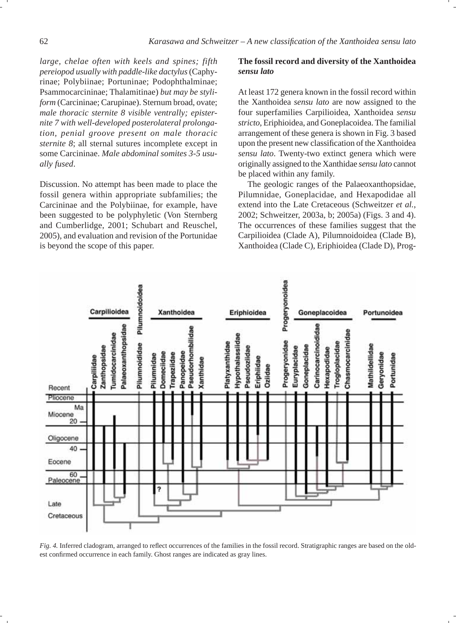*large, chelae often with keels and spines; fifth pereiopod usually with paddle-like dactylus* (Caphyrinae; Polybiinae; Portuninae; Podophthalminae; Psammocarcininae; Thalamitinae) *but may be styliform* (Carcininae; Carupinae). Sternum broad, ovate; *male thoracic sternite 8 visible ventrally; episternite 7 with well-developed posterolateral prolongation, penial groove present on male thoracic sternite 8*; all sternal sutures incomplete except in some Carcininae. *Male abdominal somites 3-5 usually fused*.

Discussion. No attempt has been made to place the fossil genera within appropriate subfamilies; the Carcininae and the Polybiinae, for example, have been suggested to be polyphyletic (Von Sternberg and Cumberlidge, 2001; Schubart and Reuschel, 2005), and evaluation and revision of the Portunidae is beyond the scope of this paper.

# **The fossil record and diversity of the Xanthoidea**  *sensu lato*

At least 172 genera known in the fossil record within the Xanthoidea *sensu lato* are now assigned to the four superfamilies Carpilioidea, Xanthoidea *sensu stricto*, Eriphioidea, and Goneplacoidea. The familial arrangement of these genera is shown in Fig. 3 based upon the present new classification of the Xanthoidea *sensu lato*. Twenty-two extinct genera which were originally assigned to the Xanthidae *sensu lato* cannot be placed within any family.

 The geologic ranges of the Palaeoxanthopsidae, Pilumnidae, Goneplacidae, and Hexapodidae all extend into the Late Cretaceous (Schweitzer *et al.*, 2002; Schweitzer, 2003a, b; 2005a) (Figs. 3 and 4). The occurrences of these families suggest that the Carpilioidea (Clade A), Pilumnoidoidea (Clade B), Xanthoidea (Clade C), Eriphioidea (Clade D), Prog-



*Fig. 4.* Inferred cladogram, arranged to reflect occurrences of the families in the fossil record. Stratigraphic ranges are based on the oldest confirmed occurrence in each family. Ghost ranges are indicated as gray lines.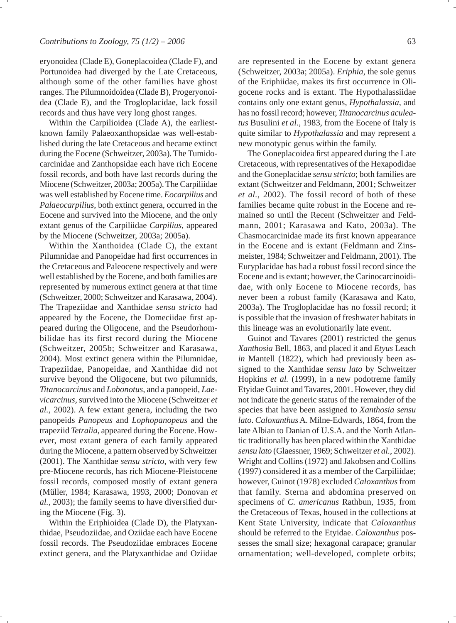eryonoidea (Clade E), Goneplacoidea (Clade F), and Portunoidea had diverged by the Late Cretaceous, although some of the other families have ghost ranges. The Pilumnoidoidea (Clade B), Progeryonoidea (Clade E), and the Trogloplacidae, lack fossil records and thus have very long ghost ranges.

 Within the Carpilioidea (Clade A), the earliestknown family Palaeoxanthopsidae was well-established during the late Cretaceous and became extinct during the Eocene (Schweitzer, 2003a). The Tumidocarcinidae and Zanthopsidae each have rich Eocene fossil records, and both have last records during the Miocene (Schweitzer, 2003a; 2005a). The Carpiliidae was well established by Eocene time. *Eocarpilius* and *Palaeocarpilius*, both extinct genera, occurred in the Eocene and survived into the Miocene, and the only extant genus of the Carpiliidae *Carpilius,* appeared by the Miocene (Schweitzer, 2003a; 2005a).

 Within the Xanthoidea (Clade C), the extant Pilumnidae and Panopeidae had first occurrences in the Cretaceous and Paleocene respectively and were well established by the Eocene, and both families are represented by numerous extinct genera at that time (Schweitzer, 2000; Schweitzer and Karasawa, 2004). The Trapeziidae and Xanthidae *sensu stricto* had appeared by the Eocene, the Domeciidae first appeared during the Oligocene, and the Pseudorhombilidae has its first record during the Miocene (Schweitzer, 2005b; Schweitzer and Karasawa, 2004). Most extinct genera within the Pilumnidae, Trapeziidae, Panopeidae, and Xanthidae did not survive beyond the Oligocene, but two pilumnids, *Titanocarcinus* and *Lobonotus,* and a panopeid, *Laevicarcinus,* survived into the Miocene (Schweitzer *et al.*, 2002). A few extant genera, including the two panopeids *Panopeus* and *Lophopanopeus* and the trapeziid *Tetralia*, appeared during the Eocene. However, most extant genera of each family appeared during the Miocene, a pattern observed by Schweitzer (2001). The Xanthidae *sensu stricto*, with very few pre-Miocene records, has rich Miocene-Pleistocene fossil records, composed mostly of extant genera (Müller, 1984; Karasawa, 1993, 2000; Donovan *et al.*, 2003); the family seems to have diversified during the Miocene (Fig. 3).

 Within the Eriphioidea (Clade D), the Platyxanthidae, Pseudoziidae, and Oziidae each have Eocene fossil records. The Pseudoziidae embraces Eocene extinct genera, and the Platyxanthidae and Oziidae are represented in the Eocene by extant genera (Schweitzer, 2003a; 2005a). *Eriphia*, the sole genus of the Eriphiidae, makes its first occurrence in Oligocene rocks and is extant. The Hypothalassiidae contains only one extant genus, *Hypothalassia*, and has no fossil record; however, *Titanocarcinus aculeatus* Busulini *et al.*, 1983, from the Eocene of Italy is quite similar to *Hypothalassia* and may represent a new monotypic genus within the family.

The Goneplacoidea first appeared during the Late Cretaceous, with representatives of the Hexapodidae and the Goneplacidae *sensu stricto*; both families are extant (Schweitzer and Feldmann, 2001; Schweitzer *et al.*, 2002). The fossil record of both of these families became quite robust in the Eocene and remained so until the Recent (Schweitzer and Feldmann, 2001; Karasawa and Kato, 2003a). The Chasmocarcinidae made its first known appearance in the Eocene and is extant (Feldmann and Zinsmeister, 1984; Schweitzer and Feldmann, 2001). The Euryplacidae has had a robust fossil record since the Eocene and is extant; however, the Carinocarcinoididae, with only Eocene to Miocene records, has never been a robust family (Karasawa and Kato, 2003a). The Trogloplacidae has no fossil record; it is possible that the invasion of freshwater habitats in this lineage was an evolutionarily late event.

 Guinot and Tavares (2001) restricted the genus *Xanthosia* Bell, 1863, and placed it and *Etyus* Leach *in* Mantell (1822), which had previously been assigned to the Xanthidae *sensu lato* by Schweitzer Hopkins *et al.* (1999), in a new podotreme family Etyidae Guinot and Tavares, 2001. However, they did not indicate the generic status of the remainder of the species that have been assigned to *Xanthosia sensu lato*. *Caloxanthus* A. Milne-Edwards, 1864, from the late Albian to Danian of U.S.A. and the North Atlantic traditionally has been placed within the Xanthidae *sensu lato* (Glaessner, 1969; Schweitzer *et al.*, 2002). Wright and Collins (1972) and Jakobsen and Collins (1997) considered it as a member of the Carpiliidae; however, Guinot (1978) excluded *Caloxanthus* from that family. Sterna and abdomina preserved on specimens of *C. americanus* Rathbun, 1935, from the Cretaceous of Texas, housed in the collections at Kent State University, indicate that *Caloxanthus* should be referred to the Etyidae. *Caloxanthus* possesses the small size; hexagonal carapace; granular ornamentation; well-developed, complete orbits;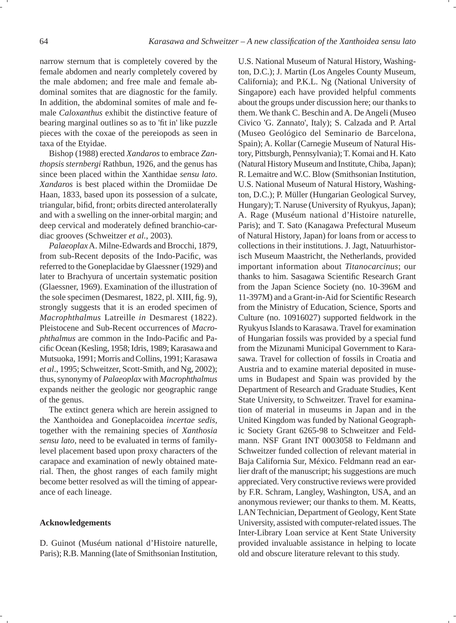narrow sternum that is completely covered by the female abdomen and nearly completely covered by the male abdomen; and free male and female abdominal somites that are diagnostic for the family. In addition, the abdominal somites of male and female *Caloxanthus* exhibit the distinctive feature of bearing marginal outlines so as to 'fit in' like puzzle pieces with the coxae of the pereiopods as seen in taxa of the Etyidae.

 Bishop (1988) erected *Xandaros* to embrace *Zanthopsis sternbergi* Rathbun, 1926, and the genus has since been placed within the Xanthidae *sensu lato*. *Xandaros* is best placed within the Dromiidae De Haan, 1833, based upon its possession of a sulcate, triangular, bifid, front; orbits directed anterolaterally and with a swelling on the inner-orbital margin; and deep cervical and moderately defined branchio-cardiac grooves (Schweitzer *et al.*, 2003).

 *Palaeoplax* A. Milne-Edwards and Brocchi, 1879, from sub-Recent deposits of the Indo-Pacific, was referred to the Goneplacidae by Glaessner (1929) and later to Brachyura of uncertain systematic position (Glaessner, 1969). Examination of the illustration of the sole specimen (Desmarest,  $1822$ , pl. XIII, fig. 9), strongly suggests that it is an eroded specimen of *Macrophthalmus* Latreille *in* Desmarest (1822). Pleistocene and Sub-Recent occurrences of *Macrophthalmus* are common in the Indo-Pacific and Pacific Ocean (Kesling, 1958; Idris, 1989; Karasawa and Mutsuoka, 1991; Morris and Collins, 1991; Karasawa *et al*., 1995; Schweitzer, Scott-Smith, and Ng, 2002); thus, synonymy of *Palaeoplax* with *Macrophthalmus* expands neither the geologic nor geographic range of the genus.

 The extinct genera which are herein assigned to the Xanthoidea and Goneplacoidea *incertae sedis,*  together with the remaining species of *Xanthosia sensu lato*, need to be evaluated in terms of familylevel placement based upon proxy characters of the carapace and examination of newly obtained material. Then, the ghost ranges of each family might become better resolved as will the timing of appearance of each lineage.

## **Acknowledgements**

D. Guinot (Muséum national d'Histoire naturelle, Paris); R.B. Manning (late of Smithsonian Institution, U.S. National Museum of Natural History, Washington, D.C.); J. Martin (Los Angeles County Museum, California); and P.K.L. Ng (National University of Singapore) each have provided helpful comments about the groups under discussion here; our thanks to them. We thank C. Beschin and A. De Angeli (Museo Civico 'G. Zannato', Italy); S. Calzada and P. Artal (Museo Geológico del Seminario de Barcelona, Spain); A. Kollar (Carnegie Museum of Natural History, Pittsburgh, Pennsylvania); T. Komai and H. Kato (Natural History Museum and Institute, Chiba, Japan); R. Lemaitre and W.C. Blow (Smithsonian Institution, U.S. National Museum of Natural History, Washington, D.C.); P. Müller (Hungarian Geological Survey, Hungary); T. Naruse (University of Ryukyus, Japan); A. Rage (Muséum national d'Histoire naturelle, Paris); and T. Sato (Kanagawa Prefectural Museum of Natural History, Japan) for loans from or access to collections in their institutions. J. Jagt, Natuurhistorisch Museum Maastricht, the Netherlands, provided important information about *Titanocarcinus*; our thanks to him. Sasagawa Scientific Research Grant from the Japan Science Society (no. 10-396M and 11-397M) and a Grant-in-Aid for Scientific Research from the Ministry of Education, Science, Sports and Culture (no.  $10916027$ ) supported fieldwork in the Ryukyus Islands to Karasawa. Travel for examination of Hungarian fossils was provided by a special fund from the Mizunami Municipal Government to Karasawa. Travel for collection of fossils in Croatia and Austria and to examine material deposited in museums in Budapest and Spain was provided by the Department of Research and Graduate Studies, Kent State University, to Schweitzer. Travel for examination of material in museums in Japan and in the United Kingdom was funded by National Geographic Society Grant 6265-98 to Schweitzer and Feldmann. NSF Grant INT 0003058 to Feldmann and Schweitzer funded collection of relevant material in Baja California Sur, México. Feldmann read an earlier draft of the manuscript; his suggestions are much appreciated. Very constructive reviews were provided by F.R. Schram, Langley, Washington, USA, and an anonymous reviewer; our thanks to them. M. Keatts, LAN Technician, Department of Geology, Kent State University, assisted with computer-related issues. The Inter-Library Loan service at Kent State University provided invaluable assistance in helping to locate old and obscure literature relevant to this study.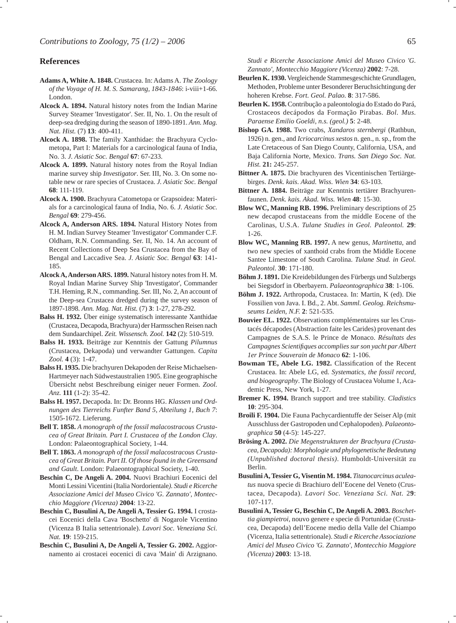#### **References**

- **Adams A, White A. 1848.** Crustacea. In: Adams A. *The Zoology of the Voyage of H. M. S. Samarang, 1843-1846*: i-viii+1-66. London.
- **Alcock A. 1894.** Natural history notes from the Indian Marine Survey Steamer 'Investigator'. Ser. II, No. 1. On the result of deep-sea dredging during the season of 1890-1891. *Ann. Mag. Nat. Hist.* (7) **13**: 400-411.
- **Alcock A. 1898.** The family Xanthidae: the Brachyura Cyclometopa, Part I: Materials for a carcinological fauna of India, No. 3. *J. Asiatic Soc. Bengal* **67**: 67-233.
- **Alcock A. 1899.** Natural history notes from the Royal Indian marine survey ship *Investigator*. Ser. III, No. 3. On some notable new or rare species of Crustacea. *J. Asiatic Soc. Bengal* **68**: 111-119.
- **Alcock A. 1900.** Brachyura Catometopa or Grapsoidea: Materials for a carcinological fauna of India, No. 6. *J. Asiatic Soc. Bengal* **69**: 279-456.
- **Alcock A, Anderson ARS. 1894.** Natural History Notes from H. M. Indian Survey Steamer 'Investigator' Commander C.F. Oldham, R.N. Commanding. Ser. II, No. 14. An account of Recent Collections of Deep Sea Crustacea from the Bay of Bengal and Laccadive Sea. *J. Asiatic Soc. Bengal* **63**: 141- 185.
- **Alcock A, Anderson ARS. 1899.** Natural history notes from H. M. Royal Indian Marine Survey Ship 'Investigator', Commander T.H. Heming, R.N., commanding. Ser. III, No. 2, An account of the Deep-sea Crustacea dredged during the survey season of 1897-1898. *Ann. Mag. Nat. Hist.* (7) **3**: 1-27, 278-292.
- **Balss H. 1932.** Über einige systematisch interessante Xanthidae (Crustacea, Decapoda, Brachyura) der Harmsschen Reisen nach dem Sundaarchipel. *Zeit. Wissensch. Zool.* **142** (2): 510-519.
- **Balss H. 1933.** Beiträge zur Kenntnis der Gattung *Pilumnus* (Crustacea, Dekapoda) und verwandter Gattungen. *Capita Zool.* **4** (3): 1-47.
- **Balss H. 1935.** Die brachyuren Dekapoden der Reise Michaelsen-Hartmeyer nach Südwestaustralien 1905. Eine geographische Übersicht nebst Beschreibung einiger neuer Formen. *Zool. Anz.* **111** (1-2): 35-42.
- **Balss H. 1957.** Decapoda. In: Dr. Bronns HG. *Klassen und Ordnungen des Tierreichs Funfter Band 5, Abteilung 1, Buch 7*: 1505-1672. Lieferung.
- **Bell T. 1858.** *A monograph of the fossil malacostracous Crustacea of Great Britain. Part I. Crustacea of the London Clay*. London: Palaeontographical Society, 1-44.
- **Bell T. 1863.** *A monograph of the fossil malacostracous Crustacea of Great Britain. Part II. Of those found in the Greensand and Gault*. London: Palaeontographical Society, 1-40.
- **Beschin C, De Angeli A. 2004.** Nuovi Brachiuri Eocenici del Monti Lessini Vicentini (Italia Nordorientale*). Studi e Ricerche Associazione Amici del Museo Civico 'G. Zannato', Montecchio Maggiore (Vicenza)* **2004**: 13-22.
- **Beschin C, Busulini A, De Angeli A, Tessier G. 1994.** I crostacei Eocenici della Cava 'Boschetto' di Nogarole Vicentino (Vicenza B Italia settentrionale). *Lavori Soc. Veneziana Sci. Nat.* **19**: 159-215.
- **Beschin C, Busulini A, De Angeli A, Tessier G. 2002.** Aggiornamento ai crostacei eocenici di cava 'Main' di Arzignano.

*Studi e Ricerche Associazione Amici del Museo Civico 'G. Zannato', Montecchio Maggiore (Vicenza)* **2002**: 7-28.

- **Beurlen K. 1930.** Vergleichende Stammesgeschichte Grundlagen, Methoden, Probleme unter Besonderer Beruchsichtingung der hoheren Krebse. *Fort. Geol. Palao.* **8**: 317-586.
- **Beurlen K. 1958.** Contribução a paleontologia do Estado do Pará, Crostaceos decápodos da Formação Pirabas. *Bol. Mus. Paraense Emilio Goeldi, n.s. (geol.)* **5**: 2-48.
- **Bishop GA. 1988.** Two crabs, *Xandaros sternbergi* (Rathbun, 1926) n. gen., and *Icriocarcinus xestos* n. gen., n. sp., from the Late Cretaceous of San Diego County, California, USA, and Baja California Norte, Mexico. *Trans. San Diego Soc. Nat. Hist.* **21:** 245-257.
- **Bittner A. 1875.** Die brachyuren des Vicentinischen Tertiärgebirges. *Denk. kais. Akad. Wiss. Wien* **34**: 63-103.
- **Bittner A. 1884.** Beiträge zur Kenntnis tertiärer Brachyurenfaunen. *Denk. kais. Akad. Wiss. Wien* **48**: 15-30.
- **Blow WC, Manning RB. 1996.** Preliminary descriptions of 25 new decapod crustaceans from the middle Eocene of the Carolinas, U.S.A. *Tulane Studies in Geol. Paleontol.* **29**: 1-26.
- **Blow WC, Manning RB. 1997.** A new genus, *Martinetta*, and two new species of xanthoid crabs from the Middle Eocene Santee Limestone of South Carolina. *Tulane Stud. in Geol. Paleontol.* **30**: 171-180.
- **Böhm J. 1891.** Die Kreidebildungen des Fürbergs und Sulzbergs bei Siegsdorf in Oberbayern. *Palaeontographica* **38**: 1-106.
- **Böhm J. 1922.** Arthropoda, Crustacea. In: Martin, K (ed). Die Fossilien von Java. I. Bd., 2. Abt. *Samml. Geolog. Reichsmuseums Leiden, N.F.* **2**: 521-535.
- **Bouvier EL. 1922.** Observations complémentaires sur les Crustacés décapodes (Abstraction faite les Carides) provenant des Campagnes de S.A.S. le Prince de Monaco. *Résultats des Campagnes Scientifi ques accomplies sur son yacht par Albert 1er Prince Souverain de Monaco* **62**: 1-106.
- Bowman TE, Abele LG. 1982. Classification of the Recent Crustacea. In: Abele LG, ed. *Systematics, the fossil record, and biogeography*. The Biology of Crustacea Volume 1, Academic Press, New York, 1-27.
- **Bremer K. 1994.** Branch support and tree stability. *Cladistics* **10**: 295-304.
- **Broili F. 1904.** Die Fauna Pachycardientuffe der Seiser Alp (mit Ausschluss der Gastropoden und Cephalopoden). *Palaeontographica* **50** (4-5): 145-227.
- **Brösing A. 2002.** *Die Megenstrukturen der Brachyura (Crustacea, Decapoda): Morphologie und phylogenetische Bedeutung (Unpublished doctoral thesis)*. Humboldt-Universität zu Berlin.
- **Busulini A, Tessier G, Visentin M. 1984.** *Titanocarcinus aculeatus* nuova specie di Brachiuro dell'Eocene del Veneto (Crustacea, Decapoda). *Lavori Soc. Veneziana Sci. Nat.* 2**9**: 107-117.
- **Busulini A, Tessier G, Beschin C, De Angeli A. 2003.** *Boschettia giampietroi*, nouvo genere e specie di Portunidae (Crustacea, Decapoda) dell'Eocene medio della Valle del Chiampo (Vicenza, Italia settentrionale). *Studi e Ricerche Associazione Amici del Museo Civico 'G. Zannato', Montecchio Maggiore (Vicenza)* **2003**: 13-18.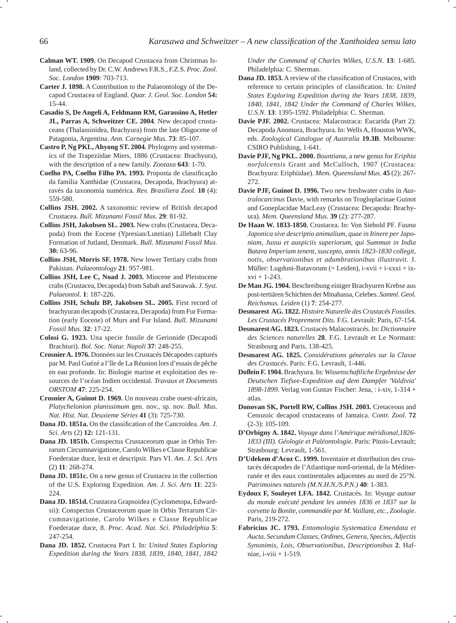- **Calman WT. 1909.** On Decapod Crustacea from Christmas Island, collected by Dr. C.W. Andrews F.R.S., F.Z.S. *Proc. Zool. Soc. London* **1909**: 703-713.
- **Carter J. 1898.** A Contribution to the Palaeontology of the Decapod Crustacea of England. *Quar. J. Geol. Soc. London* **54:** 15-44.
- **Casadío S, De Angeli A, Feldmann RM, Garassino A, Hetler JL, Parras A, Schweitzer CE. 2004**. New decapod crustaceans (Thalassinidea, Brachyura) from the late Oligocene of Patagonia, Argentina. *Ann. Carnegie Mus.* **73**: 85-107.
- **Castro P, Ng PKL, Ahyong ST. 2004.** Phylogeny and systematics of the Trapeziidae Miers, 1886 (Crustacea: Brachyura), with the description of a new family. *Zootaxa* **643**: 1-70.
- Coelho PA, Coelho Filho PA. 1993. Proposta de classificação da família Xanthidae (Crustacea, Decapoda, Brachyura) através da taxonomia numérica. *Rev. Brasiliera Zool.* **10** (4): 559-580.
- **Collins JSH. 2002.** A taxonomic review of British decapod Crustacea. *Bull. Mizunami Fossil Mus.* **29**: 81-92.
- **Collins JSH, Jakobsen SL. 2003.** New crabs (Crustacea, Decapoda) from the Eocene (Ypresian/Lutetian) Lillebælt Clay Formation of Jutland, Denmark. *Bull. Mizunami Fossil Mus.*  **30:** 63-96.
- **Collins JSH, Morris SF. 1978.** New lower Tertiary crabs from Pakistan. *Palaeontology* **21**: 957-981.
- **Collins JSH, Lee C, Noad J. 2003.** Miocene and Pleistocene crabs (Crustacea, Decapoda) from Sabah and Sarawak. *J. Syst. Palaeontol.* **1**: 187-226.
- **Collins JSH, Schulz BP, Jakobsen SL. 2005.** First record of brachyuran decapods (Crustacea, Decapoda) from Fur Formation (early Eocene) of Murs and Fur Island. *Bull. Mizunami Fossil Mus.* **32**: 17-22.
- **Colosi G. 1923.** Una specie fossile de Gerionide (Decapodi Brachiuri). *Bol. Soc. Natur. Napoli* **37**: 248-255.
- **Crosnier A. 1976.** Données sur les Crustacés Décapodes capturés par M. Paul Guézé a l'île de La Réunion lors d'essais de pêche en eau profonde. In: Biologie marine et exploitation des resources de l'océan Indien occidental. *Travaux et Documents ORSTOM* **47**: 225-254.
- **Crosnier A, Guinot D. 1969.** Un nouveau crabe ouest-africain, *Platychelonion planissimum* gen. nov., sp. nov. *Bull. Mus. Nat. Hist. Nat. Deuxieme Séries* **41** (3): 725-730.
- **Dana JD. 1851a.** On the classification of the Cancroidea. *Am. J. Sci. Arts* (2) **12:** 121-131.
- **Dana JD. 1851b.** Conspectus Crustaceorum quae in Orbis Terrarum Circumnavigatione, Carolo Wilkes e Classe Republicae Foederatae duce, lexit et descripsit. Pars VI. *Am. J. Sci. Arts*  (2) **11**: 268-274.
- **Dana JD. 1851c.** On a new genus of Crustacea in the collection of the U.S. Exploring Expedition. *Am. J. Sci. Arts* **11**: 223- 224.
- **Dana JD. 1851d.** Crustacea Grapsoidea (Cyclometopa, Edwardsii): Conspectus Crustaceorum quae in Orbis Terrarum Circumnavigatione, Carolo Wilkes e Classe Republicae Foederatae duce, 8. *Proc. Acad. Nat. Sci. Philadelphia* **5**: 247-254.
- **Dana JD. 1852.** Crustacea Part I. In: *United States Exploring Expedition during the Years 1838, 1839, 1840, 1841, 1842*

*Under the Command of Charles Wilkes, U.S.N.* **13**: 1-685. Philadelphia: C. Sherman.

- **Dana JD. 1853.** A review of the classification of Crustacea, with reference to certain principles of classification. In: *United States Exploring Expedition during the Years 1838, 1839, 1840, 1841, 1842 Under the Command of Charles Wilkes, U.S.N.* **13**: 1395-1592. Philadelphia: C. Sherman.
- **Davie PJF. 2002.** Crustacea: Malacostraca: Eucarida (Part 2): Decapoda Anomura, Brachyura. In: Wells A, Houston WWK, eds. *Zoological Catalogue of Australia* **19.3B**. Melbourne: CSIRO Publishing, 1-641.
- **Davie PJF, Ng PKL. 2000.** *Bountiana*, a new genus for *Eriphia norfolcensis* Grant and McCulloch, 1907 (Crustacea: Brachyura: Eriphiidae). *Mem. Queensland Mus.* **45** (2): 267- 272.
- **Davie PJF, Guinot D. 1996.** Two new freshwater crabs in *Australocarcinus* Davie, with remarks on Trogloplacinae Guinot and Goneplacidae MacLeay (Crustacea: Decapoda: Brachyura). *Mem. Queensland Mus.* **39** (2): 277-287.
- **De Haan W. 1833-1850.** Crustacea. In: Von Siebold PF. *Fauna Japonica sive descriptio animalium, quae in Itinere per Japoniam, Jussu et auspiciis superiorum, qui Summun in India Batava Imperium tenent, suscepto, annis 1823-1830 collegit, notis, observationibus et adumbrationibus illustravit.* J. Müller: Lugduni-Batavorum (= Leiden),  $i$ -xvi $i$  +  $i$ -xxx $i$  +  $i$ xxvi + 1-243.
- **De Man JG. 1904.** Beschreibung einiger Brachyuren Krebse aus post-tertiären Schichten der Minahassa, Celebes. *Samml. Geol. Reichsmus. Leiden* (1) **7**: 254-277.
- **Desmarest AG. 1822.** *Histoire Naturelle des Crustacés Fossiles. Les Crustacés Proprement Dits.* F.G. Levrault: Paris, 67-154.
- **Desmarest AG. 1823.** Crustacés Malacostracés. In: *Dictionnaire des Sciences naturelles* **28***.* F.G. Levrault et Le Normant: Strasbourg and Paris, 138-425.
- **Desmarest AG. 1825.** *Considérations génerales sur la Classe des Crustacés*. Paris: F.G. Levrault, 1-446.
- **Dofl ein F. 1904.** Brachyura. In: *Wissenschaftliche Ergebnisse der Deutschen Tiefsee-Expedition auf dem Dampfer 'Valdivia' 1898-1899*. Verlag von Gustav Fischer: Jena, : i-xiv, 1-314 + atlas.
- **Donovan SK, Portell RW, Collins JSH. 2003.** Cretaceous and Cenozoic decapod crustaceans of Jamaica. *Contr. Zool.* **72**  (2-3): 105-109.
- **D'Orbigny A. 1842.** *Voyage dans l'Amérique méridional,1826- 1833 (III). Géologie et Paléontologie*. Paris: Pitois-Levrault; Strasbourg: Levrault, 1-561.
- **D'Udekem d'Acoz C. 1999.** Inventaire et distribution des crustacés décapodes de l'Atlantique nord-oriental, de la Méditerranée et des eaux continentales adjacentes au nord de 25°N. *Patrimoines naturels (M.N.H.N./S.P.N.)* **40**: 1-383.
- **Eydoux F, Souleyet LFA. 1842.** Crustacés. In: *Voyage autour du monde exécuté pendant les années 1836 et 1837 sur la corvette la Bonite, commandée par M. Vaillant, etc., Zoologie*. Paris, 219-272.
- **Fabricius JC. 1793.** *Entomologia Systematica Emendata et Aucta. Secundum Classes, Ordines, Genera, Species, Adjectis Synonimis, Lois, Observationibus, Descriptionibus* **2**. Hafniae, i-viii + 1-519.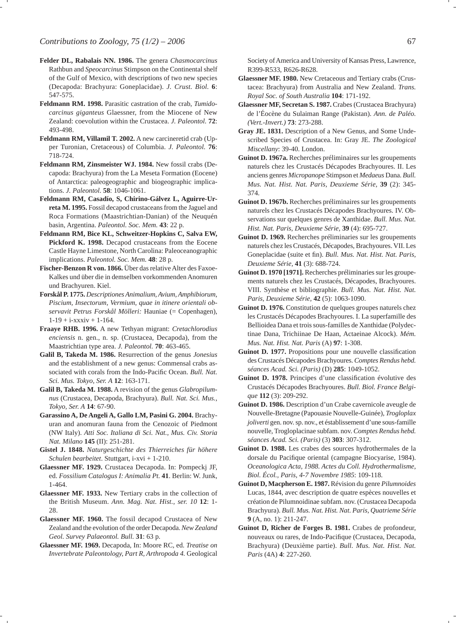- **Felder DL, Rabalais NN. 1986.** The genera *Chasmocarcinus* Rathbun and *Speocarcinus* Stimpson on the Continental shelf of the Gulf of Mexico, with descriptions of two new species (Decapoda: Brachyura: Goneplacidae). *J. Crust. Biol.* **6**: 547-575.
- **Feldmann RM. 1998.** Parasitic castration of the crab, *Tumidocarcinus giganteus* Glaessner, from the Miocene of New Zealand: coevolution within the Crustacea. *J. Paleontol.* **72**: 493-498.
- **Feldmann RM, Villamil T. 2002.** A new carcineretid crab (Upper Turonian, Cretaceous) of Columbia. *J. Paleontol.* **76**: 718-724.
- **Feldmann RM, Zinsmeister WJ. 1984.** New fossil crabs (Decapoda: Brachyura) from the La Meseta Formation (Eocene) of Antarctica: paleogeographic and biogeographic implications. *J. Paleontol.* **58**: 1046-1061.
- **Feldmann RM, Casadío, S, Chirino-Gálvez L, Aguirre-Urreta M. 1995.** Fossil decapod crustaceans from the Jaguel and Roca Formations (Maastrichtian-Danian) of the Neuquén basin, Argentina. *Paleontol. Soc. Mem.* **43**: 22 p.
- **Feldmann RM, Bice KL, Schweitzer-Hopkins C, Salva EW, Pickford K. 1998.** Decapod crustaceans from the Eocene Castle Hayne Limestone, North Carolina: Paleoceanographic implications. *Paleontol. Soc. Mem.* **48**: 28 p.
- **Fischer-Benzon R von. 1866.** Über das relative Alter des Faxoe-Kalkes und über die in demselben vorkommenden Anomuren und Brachyuren. Kiel.
- **Forskål P. 1775.** *Descriptiones Animalium, Avium, Amphibiorum, Piscium, Insectorum, Vermium, quae in itinere orientali observavit Petrus Forskål Mölleri:* Hauniae (= Copenhagen),  $1-19 + i-xxxiv + 1-164$ .
- **Fraaye RHB. 1996.** A new Tethyan migrant: *Cretachlorodius enciensis* n. gen., n. sp. (Crustacea, Decapoda), from the Maastrichtian type area. *J. Paleontol.* **70**: 463-465.
- **Galil B, Takeda M. 1986.** Resurrection of the genus *Jonesius* and the establishment of a new genus: Commensal crabs associated with corals from the Indo-Pacific Ocean. *Bull. Nat. Sci. Mus. Tokyo, Ser. A* **12**: 163-171.
- **Galil B, Takeda M. 1988.** A revision of the genus *Glabropilumnus* (Crustacea, Decapoda, Brachyura). *Bull. Nat. Sci. Mus., Tokyo, Ser. A* **14**: 67-90.
- **Garassino A, De Angeli A, Gallo LM, Pasini G. 2004.** Brachyuran and anomuran fauna from the Cenozoic of Piedmont (NW Italy). *Atti Soc. Italiana di Sci. Nat., Mus. Civ. Storia Nat. Milano* **145** (II): 251-281.
- **Gistel J. 1848.** *Naturgeschichte des Thierreiches für höhere Schulen bearbeitet*. Stuttgart, i-xvi + 1-210.
- **Glaessner MF. 1929.** Crustacea Decapoda. In: Pompeckj JF, ed. *Fossilium Catalogus I: Animalia Pt.* **41**. Berlin: W. Junk, 1-464.
- **Glaessner MF. 1933.** New Tertiary crabs in the collection of the British Museum. *Ann. Mag. Nat. Hist., ser. 10* **12**: 1- 28.
- **Glaessner MF. 1960.** The fossil decapod Crustacea of New Zealand and the evolution of the order Decapoda. *New Zealand Geol. Survey Palaeontol. Bull.* **31**: 63 p.
- **Glaessner MF. 1969.** Decapoda, In: Moore RC, ed. *Treatise on Invertebrate Paleontology, Part R, Arthropoda 4.* Geological

Society of America and University of Kansas Press, Lawrence, R399-R533, R626-R628.

- **Glaessner MF. 1980.** New Cretaceous and Tertiary crabs (Crustacea: Brachyura) from Australia and New Zealand. *Trans. Royal Soc. of South Australia* **104**: 171-192.
- **Glaessner MF, Secretan S. 1987.** Crabes (Crustacea Brachyura) de l'Éocène du Sulaiman Range (Pakistan). *Ann. de Paléo. (Vert.-Invert.)* **73**: 273-288.
- **Gray JE. 1831.** Description of a New Genus, and Some Undescribed Species of Crustacea. In: Gray JE. *The Zoological Miscellany*: 39-40. London.
- **Guinot D. 1967a.** Recherches préliminaires sur les groupements naturels chez les Crustacés Décapodes Brachyoures. II. Les anciens genres *Micropanope* Stimpson et *Medaeus* Dana. *Bull. Mus. Nat. Hist. Nat. Paris, Deuxieme Série,* **39** (2): 345- 374.
- **Guinot D. 1967b.** Recherches préliminaires sur les groupements naturels chez les Crustacés Décapodes Brachyoures. IV. Observations sur quelques genres de Xanthidae. *Bull. Mus. Nat. Hist. Nat. Paris, Deuxieme Série,* **39** (4): 695-727.
- **Guinot D. 1969.** Recherches préliminaries sur les groupements naturels chez les Crustacés, Décapodes, Brachyoures. VII. Les Goneplacidae (suite et fin). *Bull. Mus. Nat. Hist. Nat. Paris, Deuxieme Série,* **41** (3): 688-724.
- **Guinot D. 1970 [1971].** Recherches préliminaries sur les groupements naturels chez les Crustacés, Décapodes, Brachyoures. VIII. Synthèse et bibliographie. *Bull. Mus. Nat. Hist. Nat. Paris, Deuxieme Série,* **42** (5): 1063-1090.
- **Guinot D. 1976.** Constitution de quelques groupes naturels chez les Crustacés Décapodes Brachyoures. I. La superfamille des Bellioidea Dana et trois sous-familles de Xanthidae (Polydectinae Dana, Trichiinae De Haan, Actaeinae Alcock). *Mém. Mus. Nat. Hist. Nat. Paris* (A) **97**: 1-308.
- **Guinot D. 1977.** Propositions pour une nouvelle classification des Crustacés Décapodes Brachyoures. *Comptes Rendus hebd. séances Acad. Sci. (Paris)* (D) **285**: 1049-1052.
- Guinot D. 1978. Principes d'une classification évolutive des Crustacés Décapodes Brachyoures. *Bull. Biol. France Belgique* **112** (3): 209-292.
- **Guinot D. 1986.** Description d'un Crabe cavernicole aveugle de Nouvelle-Bretagne (Papouasie Nouvelle-Guinée), *Trogloplax joliverti* gen. nov. sp. nov., et éstablissement d'une sous-famille nouvelle, Trogloplacinae subfam. nov. *Comptes Rendus hebd. séances Acad. Sci. (Paris)* (3) **303**: 307-312.
- **Guinot D. 1988.** Les crabes des sources hydrothermales de la dorsale du Pacifique oriental (campagne Biocyarise, 1984). *Oceanologica Acta, 1988. Actes du Coll. Hydrothermalisme, Biol. Écol., Paris, 4-7 Novembre 1985*: 109-118.
- **Guinot D, Macpherson E. 1987.** Révision du genre *Pilumnoides* Lucas, 1844, avec description de quatre espèces nouvelles et création de Pilumnoidinae subfam. nov. (Crustacea Decapoda Brachyura). *Bull. Mus. Nat. Hist. Nat. Paris, Quatrieme Série*  **9** (A, no. 1): 211-247.
- **Guinot D, Richer de Forges B. 1981.** Crabes de profondeur, nouveaux ou rares, de Indo-Pacifique (Crustacea, Decapoda, Brachyura) (Deuxième partie). *Bull. Mus. Nat. Hist. Nat. Paris* (4A) **4**: 227-260.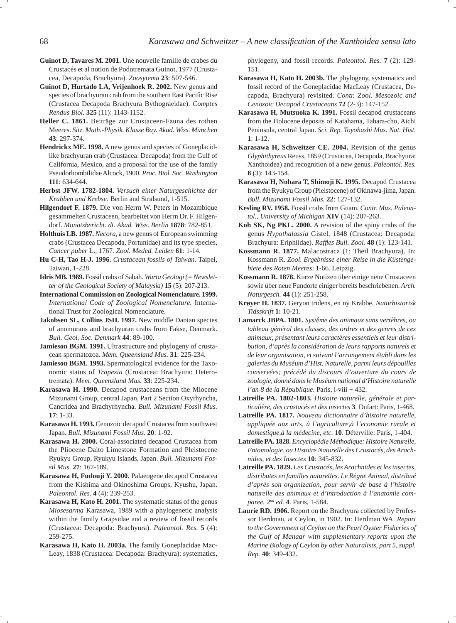- **Guinot D, Tavares M. 2001.** Une nouvelle famille de crabes du Crustacés et al notion de Podotremata Guinot, 1977 (Crustacea, Decapoda, Brachyura). *Zoosytema* **23**: 507-546.
- **Guinot D, Hurtado LA, Vrijenhoek R. 2002.** New genus and species of brachyuran crab from the southern East Pacific Rise (Crustacea Decapoda Brachyura Bythograeidae). *Comptes Rendus Biol.* **325** (11): 1143-1152.
- **Heller C. 1861.** Beiträge zur Crustaceen-Fauna des rothen Meeres. *Sitz. Math.-Physik. Klasse Bay. Akad. Wiss. München* **43**: 297-374.
- **Hendrickx ME. 1998.** A new genus and species of Goneplacidlike brachyuran crab (Crustacea: Decapoda) from the Gulf of California, Mexico, and a proposal for the use of the family Pseudorhombilidae Alcock, 1900. *Proc. Biol. Soc. Washington* **111**: 634-644.
- **Herbst JFW. 1782-1804.** *Versuch einer Naturgeschichte der Krabben und Krebse*. Berlin and Stralsund, 1-515.
- **Hilgendorf F. 1879.** Die von Herrn W. Peters in Mozambique gesammelten Crustaceen, bearbeitet von Herrn Dr. F. Hilgendorf. *Monatsbericht. dt. Akad. Wiss. Berlin* **1878**: 782-851.
- **Holthuis LB. 1987.** *Necora*, a new genus of European swimming crabs (Crustacea Decapoda, Portunidae) and its type species, *Cancer puber* L., 1767. *Zool. Meded. Leiden* **61**: 1-14.
- **Hu C-H, Tao H-J. 1996.** *Crustacean fossils of Taiwan*. Taipei, Taiwan, 1-228.
- **Idris MB. 1989.** Fossil crabs of Sabah. *Warta Geologi (= Newsletter of the Geological Society of Malaysia)* **15** (5): 207-213.
- **International Commission on Zoological Nomenclature. 1999.** *International Code of Zoological Nomenclature.* International Trust for Zoological Nomenclature.
- **Jakobsen SL, Collins JSH. 1997.** New middle Danian species of anomurans and brachyuran crabs from Fakse, Denmark. *Bull. Geol. Soc. Denmark* **44**: 89-100.
- **Jamieson BGM. 1991.** Ultrastructure and phylogeny of crustacean spermatozoa. *Mem. Queensland Mus.* **31**: 225-234.
- **Jamieson BGM. 1993.** Spermatological evidence for the Taxonomic status of *Trapezia* (Crustacea: Brachyura: Heterotremata). *Mem. Queensland Mus.* **33**: 225-234.
- **Karasawa H. 1990.** Decapod crustaceans from the Miocene Mizunami Group, central Japan, Part 2 Section Oxyrhyncha, Cancridea and Brachyrhyncha. *Bull. Mizunami Fossil Mus.*  **17**: 1-33.
- **Karasawa H. 1993.** Cenozoic decapod Crustacea from southwest Japan. *Bull. Mizunami Fossil Mus.* **20**: 1-92.
- **Karasawa H. 2000.** Coral-associated decapod Crustacea from the Pliocene Daito Limestone Formation and Pleistocene Ryukyu Group, Ryukyu Islands, Japan. *Bull. Mizunami Fossil Mus.* **27**: 167-189.
- **Karasawa H, Fudouji Y. 2000.** Palaeogene decapod Crustacea from the Kishima and Okinoshima Groups, Kyushu, Japan. *Paleontol. Res.* **4** (4): 239-253.
- **Karasawa H, Kato H. 2001.** The systematic status of the genus *Miosesarma* Karasawa, 1989 with a phylogenetic analysis within the family Grapsidae and a review of fossil records (Crustacea: Decapoda: Brachyura). *Paleontol. Res.* **5** (4): 259-275.
- **Karasawa H, Kato H. 2003a.** The family Goneplacidae Mac-Leay, 1838 (Crustacea: Decapoda: Brachyura): systematics,

phylogeny, and fossil records. *Paleontol. Res.* **7** (2): 129- 151.

- **Karasawa H, Kato H. 2003b.** The phylogeny, systematics and fossil record of the Goneplacidae MacLeay (Crustacea, Decapoda, Brachyura) revisited. *Contr. Zool. Mesozoic and Cenozoic Decapod Crustaceans* **72** (2-3): 147-152.
- **Karasawa H, Mutsuoka K. 1991.** Fossil decapod crustaceans from the Holocene deposits of Katahama, Tahara-cho, Aichi Peninsula, central Japan. *Sci. Rep. Toyohashi Mus. Nat. Hist.* **1**: 1-12.
- **Karasawa H, Schweitzer CE. 2004.** Revision of the genus *Glyphithyreus* Reuss, 1859 (Crustacea, Decapoda, Brachyura: Xanthoidea) and recognition of a new genus. *Paleontol. Res.* **8** (3): 143-154.
- **Karasawa H, Nohara T, Shimoji K. 1995.** Decapod Crustacea from the Ryukyu Group (Pleistocene) of Okinawa-jima, Japan. *Bull. Mizunami Fossil Mus.* **22**: 127-132.
- **Kesling RV. 1958.** Fossil crabs from Guam. *Contr. Mus. Paleontol., University of Michigan* **XIV** (14): 207-263.
- **Koh SK, Ng PKL. 2000.** A revision of the spiny crabs of the genus *Hypothalassia* Gistel, 1848 (Crustacea: Decapoda: Brachyura: Eriphiidae). *Raffl es Bull. Zool.* **48** (1): 123-141.
- **Kossmann R. 1877.** Malacostraca (1: Theil Brachyura). In: Kossmann R. *Zool. Ergebnisse einer Reise in die Küstengebiete des Roten Meeres*: 1-66. Leipzig.
- **Kossmann R. 1878.** Kurze Notizen über einige neue Crustaceen sowie über neue Fundorte einiger bereits beschriebenen. *Arch. Naturgesch.* **44** (1): 251-258.
- **Krøyer H. 1837.** Geryon tridens, en ny Krabbe. *Naturhistorisk Tidsskrift* **1:** 10-21.
- **Lamarck JBPA. 1801.** *Systême des animaux sans vertèbres, ou tableau général des classes, des ordres et des genres de ces animaux; présentant leurs caractères essentiels et leur distribution, d'après la considération de leurs rapports naturels et de leur organisation, et suivant l'arrangement établi dans les galeries du Muséum d'Hist. Naturelle, parmi leurs dépouilles conservées; précédé du discours d'ouverture du cours de zoologie, donné dans le Muséum national d'Histoire naturelle l'an 8 de la République*. Paris, i-viii + 432.
- **Latreille PA. 1802-1803.** *Histoire naturelle, générale et particulière, des crustacés et des insectes* **3**. Dufart: Paris, 1-468.
- **Latreille PA. 1817.** *Nouveau dictionnaire d'histoire naturelle, appliquée aux arts, à l'agriculture,à l'economie rurale et domestique,à la médecine, etc.* **10**. Déterville: Paris, 1-404.
- **Latreille PA. 1828.** *Encyclopédie Méthodique: Histoire Naturelle, Entomologie, ou Histoire Naturelle des Crustacés, des Arachnides, et des Insectes* **10**: 345-832.
- **Latreille PA. 1829.** *Les Crustacés, les Arachnides et les insectes, distributes en familles naturelles. Le Règne Animal, distribué d'après son organization, pour servir de base à l'histoire naturelle des animaux et d'introduction à l'anatomie comparee. 2nd ed.* **4**. Paris, 1-584.
- **Laurie RD. 1906.** Report on the Brachyura collected by Professor Herdman, at Ceylon, in 1902. In: Herdman WA. *Report to the Government of Ceylon on the Pearl Oyster Fisheries of the Gulf of Manaar with supplementary reports upon the Marine Biology of Ceylon by other Naturalists, part 5, suppl. Rep.* **40**: 349-432.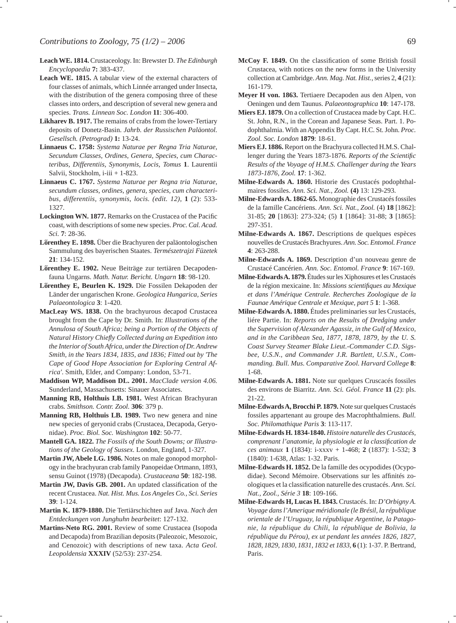- **Leach WE. 1814.** Crustaceology. In: Brewster D. *The Edinburgh Encyclopaedia* **7:** 383-437.
- **Leach WE. 1815.** A tabular view of the external characters of four classes of animals, which Linnée arranged under Insecta, with the distribution of the genera composing three of these classes into orders, and description of several new genera and species. *Trans. Linnean Soc. London* **11**: 306-400.
- **Likharev B. 1917.** The remains of crabs from the lower-Tertiary deposits of Donetz-Basin. *Jahrb. der Russischen Paläontol. Gesellsch. (Petrograd)* **1:** 13-24.
- **Linnaeus C. 1758:** *Systema Naturae per Regna Tria Naturae, Secundum Classes, Ordines, Genera, Species, cum Characteribus, Differentiis, Synonymis, Locis, Tomus* **1**. Laurentii Salvii, Stockholm, i-iii + 1-823.
- **Linnaeus C. 1767.** *Systema Naturae per Regna tria Naturae, secundum classes, ordines, genera, species, cum characteribus, differentiis, synonymis, locis. (edit. 12)*, **1** (2): 533- 1327.
- **Lockington WN. 1877.** Remarks on the Crustacea of the Pacific coast, with descriptions of some new species. *Proc. Cal. Acad. Sci.* **7**: 28-36.
- Lőrenthey E. 1898. Über die Brachyuren der paläontologischen Sammulung des bayerischen Staates. *Természetrajzi Füzetek* **21**: 134-152.
- Lőrenthey E. 1902. Neue Beiträge zur tertiären Decapodenfauna Ungarns. *Math. Natur. Bericht. Ungarn* **18**: 98-120.
- Lőrenthey E, Beurlen K. 1929. Die Fossilen Dekapoden der Länder der ungarischen Krone. *Geologica Hungarica, Series Palaeontologica* **3**: 1-420.
- **MacLeay WS. 1838.** On the brachyurous decapod Crustacea brought from the Cape by Dr. Smith. In: *Illustrations of the Annulosa of South Africa; being a Portion of the Objects of Natural History Chiefl y Collected during an Expedition into the Interior of South Africa, under the Direction of Dr. Andrew Smith, in the Years 1834, 1835, and 1836; Fitted out by 'The Cape of Good Hope Association for Exploring Central Africa'*. Smith, Elder, and Company: London, 53-71.
- **Maddison WP, Maddison DL. 2001.** *MacClade version 4.06.* Sunderland, Massachusetts: Sinauer Associates.
- **Manning RB, Holthuis LB. 1981.** West African Brachyuran crabs*. Smithson. Contr. Zool.* **306**: 379 p.
- **Manning RB, Holthuis LB. 1989.** Two new genera and nine new species of geryonid crabs (Crustacea, Decapoda, Geryonidae). *Proc. Biol. Soc. Washington* **102**: 50-77.
- **Mantell GA. 1822.** *The Fossils of the South Downs; or Illustrations of the Geology of Sussex*. London, England, 1-327.
- **Martin JW, Abele LG. 1986.** Notes on male gonopod morphology in the brachyuran crab family Panopeidae Ortmann, 1893, sensu Guinot (1978) (Decapoda). *Crustaceana* **50**: 182-198.
- Martin JW, Davis GB. 2001. An updated classification of the recent Crustacea. *Nat. Hist. Mus. Los Angeles Co., Sci. Series* **39**: 1-124.
- **Martin K. 1879-1880.** Die Tertiärschichten auf Java. *Nach den Entdeckungen von Junghuhn bearbeitet*: 127-132.
- **Martins-Neto RG. 2001.** Review of some Crustacea (Isopoda and Decapoda) from Brazilian deposits (Paleozoic, Mesozoic, and Cenozoic) with descriptions of new taxa. *Acta Geol. Leopoldensia* **XXXIV** (52/53): 237-254.
- McCoy F. 1849. On the classification of some British fossil Crustacea, with notices on the new forms in the University collection at Cambridge. *Ann. Mag. Nat. Hist.*, series 2, **4** (21): 161-179.
- **Meyer H von. 1863.** Tertiaere Decapoden aus den Alpen, von Oeningen und dem Taunus. *Palaeontographica* **10**: 147-178.
- **Miers EJ. 1879.** On a collection of Crustacea made by Capt. H.C. St. John, R.N., in the Corean and Japanese Seas. Part. 1. Podophthalmia. With an Appendix By Capt. H.C. St. John. *Proc. Zool. Soc. London* **1879**: 18-61.
- **Miers EJ. 1886.** Report on the Brachyura collected H.M.S. Challenger during the Years 1873-1876. *Reports of the Scientific Results of the Voyage of H.M.S. Challenger during the Years 1873-1876, Zool.* **17**: 1-362.
- **Milne-Edwards A. 1860.** Historie des Crustacés podophthalmaires fossiles. *Ann. Sci. Nat., Zool.* **(4)** 13: 129-293.
- **Milne-Edwards A. 1862-65.** Monographie des Crustacés fossiles de la famille Cancériens. *Ann. Sci. Nat., Zool.* (4) **18** [1862]: 31-85; **20** [1863]: 273-324; (5) **1** [1864]: 31-88; **3** [1865]: 297-351.
- **Milne-Edwards A. 1867.** Descriptions de quelques espèces nouvelles de Crustacés Brachyures. *Ann. Soc. Entomol. France* **4**: 263-288.
- **Milne-Edwards A. 1869.** Description d'un nouveau genre de Crustacé Cancérien. *Ann. Soc. Entomol. France* **9**: 167-169.
- **Milne-Edwards A. 1879.** Études sur les Xiphosures et les Crustacés de la région mexicaine. In: *Missions scientifi ques au Mexique et dans l'Amérique Centrale. Recherches Zoologique de la Faunae Amérique Centrale et Mexique, part 5* **1**: 1-368.
- **Milne-Edwards A. 1880.** Études preliminaries sur les Crustacés, liére Partie. In: *Reports on the Results of Dredging under the Supervision of Alexander Agassiz, in the Gulf of Mexico, and in the Caribbean Sea, 1877, 1878, 1879, by the U. S. Coast Survey Steamer Blake Lieut.-Commander C.D. Sigsbee, U.S.N., and Commander J.R. Bartlett, U.S.N., Commanding. Bull. Mus. Comparative Zool. Harvard College* **8**: 1-68.
- **Milne-Edwards A. 1881.** Note sur quelques Cruscacés fossiles des environs de Biarritz. *Ann. Sci. Géol. France* **11** (2): pls. 21-22.
- **Milne-Edwards A, Brocchi P. 1879.** Note sur quelques Crustacés fossiles appartenant au groupe des Macrophthalmiens. *Bull. Soc. Philomathique Paris* **3**: 113-117.
- **Milne-Edwards H. 1834-1840.** *Histoire naturelle des Crustacés, comprenant l'anatomie, la physiologie et la classifi cation de ces animaux* **1** (1834): i-xxxv + 1-468; **2** (1837): 1-532; **3**  (1840): 1-638, Atlas: 1-32. Paris.
- **Milne-Edwards H. 1852.** De la famille des ocypodides (Ocypodidae). Second Mémoire. Observations sur les affinités zoologiques et la classifi cation naturelle des crustacés. *Ann. Sci. Nat., Zool., Série 3* **18**: 109-166.
- **Milne-Edwards H, Lucas H. 1843.** Crustacés. In: *D'Orbigny A. Voyage dans l'Amerique méridionale (le Brésil, la république orientale de l'Uruguay, la république Argentine, la Patagonie, la république du Chili, la république de Bolivia, la république du Pérou), ex ut pendant les années 1826, 1827, 1828, 1829, 1830, 1831, 1832 et 1833*, **6** (1): 1-37. P. Bertrand, Paris.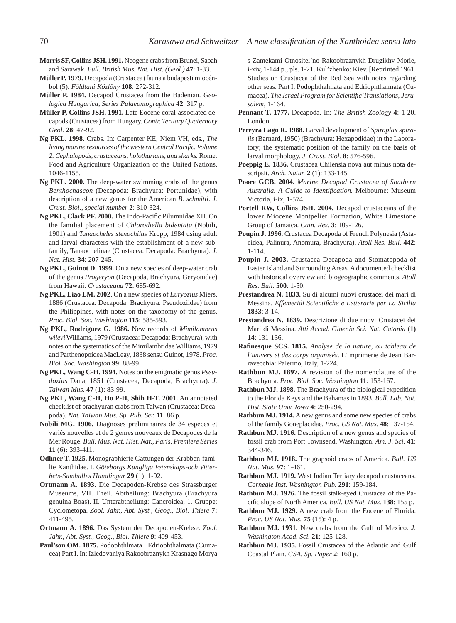- **Morris SF, Collins JSH. 1991.** Neogene crabs from Brunei, Sabah and Sarawak. *Bull. British Mus. Nat. Hist. (Geol.)* **47**: 1-33.
- **Müller P. 1979.** Decapoda (Crustacea) fauna a budapesti miocénbol (5). *Földtani Közlöny* **108**: 272-312.
- **Müller P. 1984.** Decapod Crustacea from the Badenian. *Geologica Hungarica, Series Palaeontographica* **42**: 317 p.
- **Müller P, Collins JSH. 1991.** Late Eocene coral-associated decapods (Crustacea) from Hungary. *Contr. Tertiary Quaternary Geol.* **28**: 47-92.
- **Ng PKL. 1998.** Crabs. In: Carpenter KE, Niem VH, eds*., The living marine resources of the western Central Pacific. Volume 2. Cephalopods, crustaceans, holothurians, and sharks.* Rome: Food and Agriculture Organization of the United Nations, 1046-1155.
- **Ng PKL. 2000.** The deep-water swimming crabs of the genus *Benthochascon* (Decapoda: Brachyura: Portunidae), with description of a new genus for the American *B. schmitti*. *J. Crust. Biol., special number* **2**: 310-324.
- Ng PKL, Clark PF. 2000. The Indo-Pacific Pilumnidae XII. On the familial placement of *Chlorodiella bidentata* (Nobili, 1901) and *Tanaocheles stenochilus* Kropp, 1984 using adult and larval characters with the establishment of a new subfamily, Tanaochelinae (Crustacea: Decapoda: Brachyura). *J. Nat. Hist.* **34**: 207-245.
- **Ng PKL, Guinot D. 1999.** On a new species of deep-water crab of the genus *Progeryon* (Decapoda, Brachyura, Geryonidae) from Hawaii. *Crustaceana* **72**: 685-692.
- **Ng PKL, Liao LM. 2002**. On a new species of *Euryozius* Miers, 1886 (Crustacea: Decapoda: Brachyura: Pseudoziidae) from the Philippines, with notes on the taxonomy of the genus. *Proc. Biol. Soc. Washington* **115**: 585-593.
- **Ng PKL, Rodriguez G. 1986.** New records of *Mimilambrus wileyi* Williams, 1979 (Crustacea: Decapoda: Brachyura), with notes on the systematics of the Mimilambridae Williams, 1979 and Parthenopoidea MacLeay, 1838 sensu Guinot, 1978. *Proc. Biol. Soc. Washington* **99**: 88-99.
- **Ng PKL, Wang C-H. 1994.** Notes on the enigmatic genus *Pseudozius* Dana, 1851 (Crustacea, Decapoda, Brachyura). *J. Taiwan Mus.* **47** (1): 83-99.
- **Ng PKL, Wang C-H, Ho P-H, Shih H-T. 2001.** An annotated checklist of brachyuran crabs from Taiwan (Crustacea: Decapoda). *Nat. Taiwan Mus. Sp. Pub. Ser.* **11**: 86 p.
- **Nobili MG. 1906.** Diagnoses preliminaires de 34 especes et variés nouvelles et de 2 genres nouveaux de Decapodes de la Mer Rouge. *Bull. Mus. Nat. Hist. Nat., Paris, Premiere Séries* **11** (6)**:** 393-411.
- **Odhner T. 1925.** Monographierte Gattungen der Krabben-familie Xanthidae. I. *Göteborgs Kungliga Vetenskaps-och Vitterhets-Samhalles Handlingar* **29** (1): 1-92.
- **Ortmann A. 1893.** Die Decapoden-Krebse des Strassburger Museums, VII. Theil. Abtheilung: Brachyura (Brachyura genuina Boas). II. Unterabtheilung: Cancroidea, 1. Gruppe: Cyclometopa. *Zool. Jahr., Abt. Syst., Geog., Biol. Thiere* **7:** 411-495.
- **Ortmann A. 1896.** Das System der Decapoden-Krebse. *Zool. Jahr., Abt. Syst., Geog., Biol. Thiere* **9**: 409-453.
- **Paul'son OM. 1875.** Podophthlmata I Edriophthalmata (Cumacea) Part I. In: Izledovaniya Rakoobraznykh Krasnago Morya

s Zamekami Otnositel'no Rakoobraznykh Drugikhv Morie, i-xiv, 1-144 p., pls. 1-21. Kul'zhenko: Kiev. [Reprinted 1961. Studies on Crustacea of the Red Sea with notes regarding other seas. Part I. Podophthalmata and Edriophthalmata (Cumacea). The Israel Program for Scientific Translations, Jeru*salem,* 1-164.

- **Pennant T. 1777.** Decapoda. In: *The British Zoology* **4**: 1-20. London.
- **Pereyra Lago R. 1988.** Larval development of *Spiroplax spiralis* (Barnard, 1950) (Brachyura: Hexapodidae) in the Laboratory; the systematic position of the family on the basis of larval morphology. *J. Crust. Biol.* **8**: 576-596.
- **Poeppig E. 1836.** Crustacea Chilensia nova aut minus nota descripsit. *Arch. Natur.* **2** (1): 133-145.
- **Poore GCB. 2004.** *Marine Decapod Crustacea of Southern Australia. A Guide to Identifi cation.* Melbourne: Museum Victoria, i-ix, 1-574.
- **Portell RW, Collins JSH. 2004.** Decapod crustaceans of the lower Miocene Montpelier Formation, White Limestone Group of Jamaica. *Cain. Res.* **3**: 109-126.
- **Poupin J. 1996.** Crustacea Decapoda of French Polynesia (Astacidea, Palinura, Anomura, Brachyura). *Atoll Res. Bull.* **442**: 1-114.
- **Poupin J. 2003.** Crustacea Decapoda and Stomatopoda of Easter Island and Surrounding Areas. A documented checklist with historical overview and biogeographic comments. *Atoll Res. Bull.* **500**: 1-50.
- **Prestandrea N. 1833.** Su di alcumi nuovi crustacei dei mari di Messina. *Effemeridi Scientifi che e Letterarie per La Sicilia* **1833**: 3-14.
- **Prestandrea N. 1839.** Descrizione di due nuovi Crustacei dei Mari di Messina. *Atti Accad. Gioenia Sci. Nat. Catania* **(1) 14**: 131-136.
- **Rafi nesque SCS. 1815.** *Analyse de la nature, ou tableau de l'univers et des corps organisés*. L'Imprimerie de Jean Barravecchia: Palermo, Italy, 1-224.
- **Rathbun MJ. 1897.** A revision of the nomenclature of the Brachyura. *Proc. Biol. Soc. Washington* **11**: 153-167.
- **Rathbun MJ. 1898.** The Brachyura of the biological expedition to the Florida Keys and the Bahamas in 1893. *Bull. Lab. Nat. Hist. State Univ. Iowa* **4**: 250-294.
- **Rathbun MJ. 1914.** A new genus and some new species of crabs of the family Goneplacidae. *Proc. US Nat. Mus.* **48**: 137-154.
- **Rathbun MJ. 1916.** Description of a new genus and species of fossil crab from Port Townsend, Washington. *Am. J. Sci.* **41**: 344-346.
- **Rathbun MJ. 1918.** The grapsoid crabs of America. *Bull. US Nat. Mus.* **97**: 1-461.
- **Rathbun MJ. 1919.** West Indian Tertiary decapod crustaceans. *Carnegie Inst. Washington Pub.* **291**: 159-184.
- **Rathbun MJ. 1926.** The fossil stalk-eyed Crustacea of the Pacific slope of North America. *Bull. US Nat. Mus.* **138**: 155 p.
- **Rathbun MJ. 1929.** A new crab from the Eocene of Florida. *Proc. US Nat. Mus.* **75** (15): 4 p.
- **Rathbun MJ. 1931.** New crabs from the Gulf of Mexico. *J. Washington Acad. Sci.* **21**: 125-128.
- **Rathbun MJ. 1935.** Fossil Crustacea of the Atlantic and Gulf Coastal Plain. *GSA. Sp. Paper* **2**: 160 p.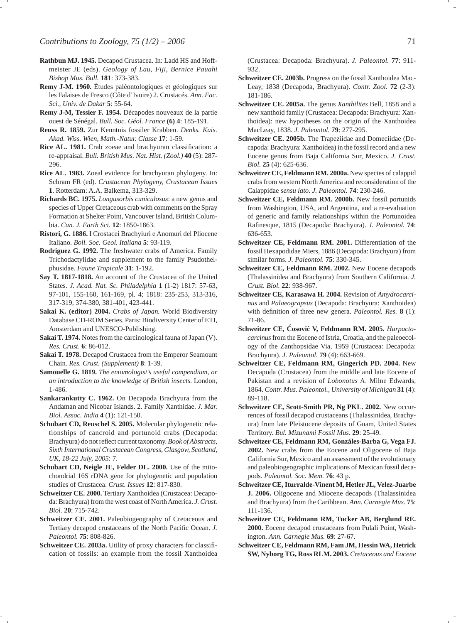- **Rathbun MJ. 1945.** Decapod Crustacea. In: Ladd HS and Hoffmeister JE (eds). *Geology of Lau, Fiji, Bernice Pauahi Bishop Mus. Bull.* **181**: 373-383.
- **Remy J-M. 1960.** Études paléontologiques et géologiques sur les Falaises de Fresco (Côte d'Ivoire) 2. Crustacés. *Ann. Fac. Sci., Univ. de Dakar* **5**: 55-64.
- **Remy J-M, Tessier F. 1954.** Décapodes nouveaux de la partie ouest de Sénégal. *Bull. Soc. Géol. France* **(6) 4**: 185-191.
- **Reuss R. 1859.** Zur Kenntnis fossiler Krabben. *Denks. Kais. Akad. Wiss. Wien, Math.-Natur. Classe* **17**: 1-59.
- **Rice AL. 1981.** Crab zoeae and brachyuran classification: a re-appraisal. *Bull. British Mus. Nat. Hist. (Zool.)* **40** (5): 287- 296.
- **Rice AL. 1983.** Zoeal evidence for brachyuran phylogeny. In: Schram FR (ed). *Crustacean Phylogeny, Crustacean Issues* **1**. Rotterdam: A.A. Balkema, 313-329.
- **Richards BC. 1975.** *Longusorbis cuniculosus*: a new genus and species of Upper Cretaceous crab with comments on the Spray Formation at Shelter Point, Vancouver Island, British Columbia. *Can. J. Earth Sci.* **12**: 1850-1863.
- **Ristori, G. 1886.** I Crostacei Brachyiuri e Anomuri del Pliocene Italiano. *Boll. Soc. Geol. Italiana* **5**: 93-119.
- **Rodriguez G. 1992.** The freshwater crabs of America. Family Trichodactylidae and supplement to the family Psudothelphusidae. *Faune Tropicale* **31**: 1-192.
- **Say T. 1817-1818.** An account of the Crustacea of the United States. *J. Acad. Nat. Sc. Philadelphia* **1** (1-2) 1817: 57-63, 97-101, 155-160, 161-169, pl. 4; 1818: 235-253, 313-316, 317-319, 374-380, 381-401, 423-441.
- **Sakai K. (editor) 2004.** *Crabs of Japan.* World Biodiversity Database CD-ROM Series. Paris: Biodiversity Center of ETI, Amsterdam and UNESCO-Publishing.
- **Sakai T. 1974.** Notes from the carcinological fauna of Japan (V). *Res. Crust*. **6**: 86-012.
- **Sakai T. 1978.** Decapod Crustacea from the Emperor Seamount Chain. *Res. Crust. (Supplement)* **8**: 1-39.
- **Samouelle G. 1819.** *The entomologist's useful compendium, or an introduction to the knowledge of British insects*. London, 1-486.
- **Sankarankutty C. 1962.** On Decapoda Brachyura from the Andaman and Nicobar Islands. 2. Family Xanthidae. *J. Mar. Biol. Assoc. India* **4** (1): 121-150.
- **Schubart CD, Reuschel S. 2005.** Molecular phylogenetic relationships of cancroid and portunoid crabs (Decapoda: Brachyura) do not reflect current taxonomy. *Book of Abstracts*, *Sixth International Crustacean Congress, Glasgow, Scotland, UK, 18-22 July, 2005*: 7.
- Schubart CD, Neigle JE, Felder DL. 2000. Use of the mitochondrial 16S rDNA gene for phylogenetic and population studies of Crustacea. *Crust. Issues* **12**: 817-830.
- **Schweitzer CE. 2000.** Tertiary Xanthoidea (Crustacea: Decapoda: Brachyura) from the west coast of North America. *J. Crust. Biol.* **20**: 715-742.
- **Schweitzer CE. 2001.** Paleobiogeography of Cretaceous and Tertiary decapod crustaceans of the North Pacific Ocean. *J. Paleontol.* **75**: 808-826.
- Schweitzer CE. 2003a. Utility of proxy characters for classification of fossils: an example from the fossil Xanthoidea

(Crustacea: Decapoda: Brachyura). *J. Paleontol.* **77**: 911- 932.

- **Schweitzer CE. 2003b.** Progress on the fossil Xanthoidea Mac-Leay, 1838 (Decapoda, Brachyura). *Contr. Zool.* **72** (2-3): 181-186.
- **Schweitzer CE. 2005a.** The genus *Xanthilites* Bell, 1858 and a new xanthoid family (Crustacea: Decapoda: Brachyura: Xanthoidea): new hypotheses on the origin of the Xanthoidea MacLeay, 1838. *J. Paleontol.* **79**: 277-295.
- **Schweitzer CE. 2005b.** The Trapeziidae and Domeciidae (Decapoda: Brachyura: Xanthoidea) in the fossil record and a new Eocene genus from Baja California Sur, Mexico. *J. Crust. Biol.* **25** (4): 625-636.
- **Schweitzer CE, Feldmann RM. 2000a.** New species of calappid crabs from western North America and reconsideration of the Calappidae *sensu lato*. *J. Paleontol.* **74**: 230-246.
- **Schweitzer CE, Feldmann RM. 2000b.** New fossil portunids from Washington, USA, and Argentina, and a re-evaluation of generic and family relationships within the Portunoidea Rafi nesque, 1815 (Decapoda: Brachyura). *J. Paleontol.* **74**: 636-653.
- **Schweitzer CE, Feldmann RM. 2001.** Differentiation of the fossil Hexapodidae Miers, 1886 (Decapoda: Brachyura) from similar forms. *J. Paleontol.* **75**: 330-345.
- **Schweitzer CE, Feldmann RM. 2002.** New Eocene decapods (Thalassinidea and Brachyura) from Southern California. *J. Crust. Biol.* **22**: 938-967.
- **Schweitzer CE, Karasawa H. 2004.** Revision of *Amydrocarcinus* and *Palaeograpsus* (Decapoda: Brachyura: Xanthoidea) with definition of three new genera. *Paleontol. Res.* 8 (1): 71-86.
- **Schweitzer CE, C´osovic´ V, Feldmann RM. 2005.** *Harpactocarcinus* from the Eocene of Istria, Croatia, and the paleoecology of the Zanthopsidae Via, 1959 (Crustacea: Decapoda: Brachyura). *J. Paleontol.* **79** (4): 663-669.
- **Schweitzer CE, Feldmann RM, Gingerich PD. 2004.** New Decapoda (Crustacea) from the middle and late Eocene of Pakistan and a revision of *Lobonotus* A. Milne Edwards, 1864. *Contr. Mus. Paleontol., University of Michigan* **31** (4): 89-118.
- **Schweitzer CE, Scott-Smith PR, Ng PKL. 2002.** New occurrences of fossil decapod crustaceans (Thalassinidea, Brachyura) from late Pleistocene deposits of Guam, United States Territory. *Bul. Mizunami Fossil Mus.* **29**: 25-49.
- **Schweitzer CE, Feldmann RM, Gonzáles-Barba G, Vega FJ. 2002.** New crabs from the Eocene and Oligocene of Baja California Sur, Mexico and an assessment of the evolutionary and paleobiogeographic implications of Mexican fossil decapods. *Paleontol. Soc. Mem.* **76**: 43 p.
- **Schweitzer CE, Iturralde-Vinent M, Hetler JL, Velez-Juarbe J. 2006.** Oligocene and Miocene decapods (Thalassinidea and Brachyura) from the Caribbean. *Ann. Carnegie Mus.* **75**: 111-136.
- **Schweitzer CE, Feldmann RM, Tucker AB, Berglund RE. 2000.** Eocene decapod crustaceans from Pulali Point, Washington. *Ann. Carnegie Mus.* **69**: 27-67.
- **Schweitzer CE, Feldmann RM, Fam JM, Hessin WA, Hetrick SW, Nyborg TG, Ross RLM. 2003.** *Cretaceous and Eocene*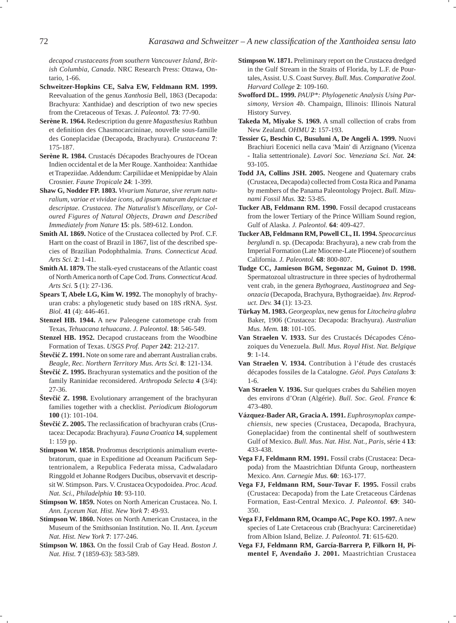*decapod crustaceans from southern Vancouver Island, British Columbia, Canada*. NRC Research Press: Ottawa, Ontario, 1-66.

- **Schweitzer-Hopkins CE, Salva EW, Feldmann RM. 1999.**  Reevaluation of the genus *Xanthosia* Bell, 1863 (Decapoda: Brachyura: Xanthidae) and description of two new species from the Cretaceous of Texas. *J. Paleontol.* **73**: 77-90.
- **Serène R. 1964.** Redescription du genre *Magasthesius* Rathbun et definition des Chasmocarcininae, nouvelle sous-famille des Goneplacidae (Decapoda, Brachyura). *Crustaceana* **7**: 175-187.
- **Serène R. 1984.** Crustacés Décapodes Brachyoures de l'Ocean Indien occidental et de la Mer Rouge. Xanthoidea: Xanthidae et Trapeziidae. Addendum: Carpiliidae et Menippidae by Alain Crosnier. *Faune Tropicale* **24**: 1-399.
- **Shaw G, Nodder FP. 1803.** *Vivarium Naturae, sive rerum naturalium, variae et vividae icons, ad ipsam naturam depictae et descriptae. Crustacea. The Naturalist's Miscellany, or Coloured Figures of Natural Objects, Drawn and Described Immediately from Nature* **15**: pls. 589-612. London.
- **Smith AI. 1869.** Notice of the Crustacea collected by Prof. C.F. Hartt on the coast of Brazil in 1867, list of the described species of Brazilian Podophthalmia. *Trans. Connecticut Acad. Arts Sci.* **2**: 1-41.
- **Smith AI. 1879.** The stalk-eyed crustaceans of the Atlantic coast of North America north of Cape Cod. *Trans. Connecticut Acad. Arts Sci.* **5** (1): 27-136.
- **Spears T, Abele LG, Kim W. 1992.** The monophyly of brachyuran crabs: a phylogenetic study based on 18S rRNA. *Syst. Biol.* **41** (4): 446-461.
- **Stenzel HB. 1944.** A new Paleogene catometope crab from Texas, *Tehuacana tehuacana*. *J. Paleontol.* **18**: 546-549.
- **Stenzel HB. 1952.** Decapod crustaceans from the Woodbine Formation of Texas. *USGS Prof. Paper* **242**: 212-217.
- Števčić Z. 1991. Note on some rare and aberrant Australian crabs. *Beagle, Rec. Northern Territory Mus. Arts Sci.* **8**: 121-134.
- **Števčić Z. 1995.** Brachyuran systematics and the position of the family Raninidae reconsidered. *Arthropoda Selecta* **4** (3/4): 27-36.
- **Števčić Z. 1998.** Evolutionary arrangement of the brachyuran families together with a checklist. *Periodicum Biologorum* **100** (1): 101-104.
- **Števčić Z. 2005.** The reclassification of brachyuran crabs (Crustacea: Decapoda: Brachyura). *Fauna Croatica* **14**, supplement 1: 159 pp.
- **Stimpson W. 1858.** Prodromus descriptionis animalium evertebratorum, quae in Expeditione ad Oceanum Pacificum Septentrionalem, a Republica Federata missa, Cadwaladaro Ringgold et Johanne Rodgers Ducibus, observavit et descripsit W. Stimpson. Pars. V. Crustacea Ocypodoidea. *Proc. Acad. Nat. Sci., Philadelphia* **10**: 93-110.
- **Stimpson W. 1859.** Notes on North American Crustacea. No. I. *Ann. Lyceum Nat. Hist. New York* **7**: 49-93.
- **Stimpson W. 1860.** Notes on North American Crustacea, in the Museum of the Smithsonian Institution. No. II. *Ann. Lyceum Nat. Hist. New York* **7**: 177-246.
- **Stimpson W. 1863.** On the fossil Crab of Gay Head. *Boston J. Nat. Hist.* **7** (1859-63): 583-589.
- **Stimpson W. 1871.** Preliminary report on the Crustacea dredged in the Gulf Stream in the Straits of Florida, by L.F. de Pourtales, Assist. U.S. Coast Survey. *Bull. Mus. Comparative Zool. Harvard College* **2**: 109-160.
- **Swofford DL. 1999.** *PAUP\*: Phylogenetic Analysis Using Parsimony, Version 4b.* Champaign, Illinois: Illinois Natural History Survey.
- **Takeda M, Miyake S. 1969.** A small collection of crabs from New Zealand. *OHMU* **2**: 157-193.
- **Tessier G, Beschin C, Busuluni A, De Angeli A. 1999.** Nuovi Brachiuri Eocenici nella cava 'Main' di Arzignano (Vicenza - Italia settentrionale). *Lavori Soc. Veneziana Sci. Nat.* **24**: 93-105.
- **Todd JA, Collins JSH. 2005.** Neogene and Quaternary crabs (Crustacea, Decapoda) collected from Costa Rica and Panama by members of the Panama Paleontology Project. *Bull. Mizunami Fossil Mus.* **32**: 53-85.
- **Tucker AB, Feldmann RM. 1990.** Fossil decapod crustaceans from the lower Tertiary of the Prince William Sound region, Gulf of Alaska. *J. Paleontol.* **64**: 409-427.
- **Tucker AB, Feldmann RM, Powell CL, II. 1994.** *Speocarcinus berglundi* n. sp. (Decapoda: Brachyura), a new crab from the Imperial Formation (Late Miocene-Late Pliocene) of southern California. *J. Paleontol.* **68**: 800-807.
- **Tudge CC, Jamieson BGM, Segonzac M, Guinot D. 1998.** Spermatozoal ultrastructure in three species of hydrothermal vent crab, in the genera *Bythograea, Austinograea* and *Segonzacia* (Decapoda, Brachyura, Bythograeidae). *Inv. Reproduct. Dev.* **34** (1): 13-23.
- **Türkay M. 1983.** *Georgeoplax*, new genus for *Litocheira glabra* Baker, 1906 (Crustacea: Decapoda: Brachyura). *Australian Mus. Mem.* **18**: 101-105.
- **Van Straelen V. 1933.** Sur des Crustacés Décapodes Cénozoiques du Venezuela. *Bull. Mus. Royal Hist. Nat. Belgique* **9**: 1-14.
- **Van Straelen V. 1934.** Contribution à l'étude des crustacés décapodes fossiles de la Catalogne. *Géol. Pays Catalans* **3**: 1-6.
- **Van Straelen V. 1936.** Sur quelques crabes du Sahélien moyen des environs d'Oran (Algérie). *Bull. Soc. Geol. France* **6**: 473-480.
- **Vázquez-Bader AR, Gracia A. 1991.** *Euphrosynoplax campechiensis*, new species (Crustacea, Decapoda, Brachyura, Goneplacidae) from the continental shelf of southwestern Gulf of Mexico. *Bull. Mus. Nat. Hist. Nat., Paris*, série 4 **13**: 433-438.
- **Vega FJ, Feldmann RM. 1991.** Fossil crabs (Crustacea: Decapoda) from the Maastrichtian Difunta Group, northeastern Mexico. *Ann. Carnegie Mus.* **60**: 163-177.
- **Vega FJ, Feldmann RM, Sour-Tovar F. 1995.** Fossil crabs (Crustacea: Decapoda) from the Late Cretaceous Cárdenas Formation, East-Central Mexico. *J. Paleontol.* **69**: 340- 350.
- **Vega FJ, Feldmann RM, Ocampo AC, Pope KO. 1997.** A new species of Late Cretaceous crab (Brachyura: Carcineretidae) from Albion Island, Belize. *J. Paleontol.* **71**: 615-620.
- **Vega FJ, Feldmann RM, García-Barrera P, Filkorn H, Pimentel F, Avendaño J. 2001.** Maastrichtian Crustacea